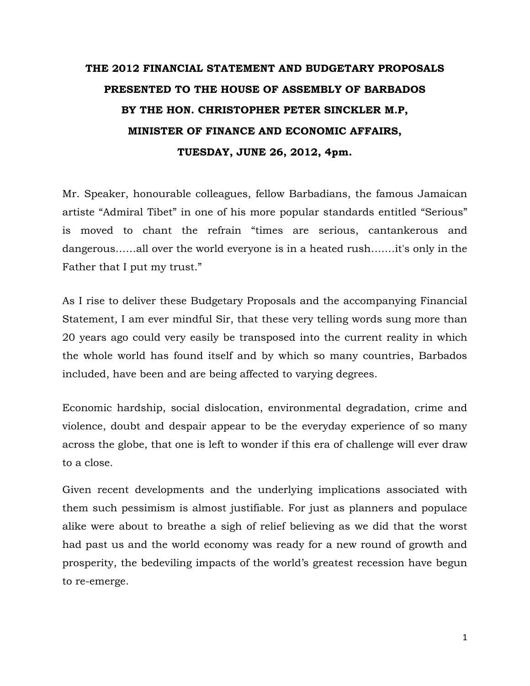# THE 2012 FINANCIAL STATEMENT AND BUDGETARY PROPOSALS PRESENTED TO THE HOUSE OF ASSEMBLY OF BARBADOS BY THE HON. CHRISTOPHER PETER SINCKLER M.P, MINISTER OF FINANCE AND ECONOMIC AFFAIRS, TUESDAY, JUNE 26, 2012, 4pm.

Mr. Speaker, honourable colleagues, fellow Barbadians, the famous Jamaican artiste "Admiral Tibet" in one of his more popular standards entitled "Serious" is moved to chant the refrain "times are serious, cantankerous and dangerous……all over the world everyone is in a heated rush….…it's only in the Father that I put my trust."

As I rise to deliver these Budgetary Proposals and the accompanying Financial Statement, I am ever mindful Sir, that these very telling words sung more than 20 years ago could very easily be transposed into the current reality in which the whole world has found itself and by which so many countries, Barbados included, have been and are being affected to varying degrees.

Economic hardship, social dislocation, environmental degradation, crime and violence, doubt and despair appear to be the everyday experience of so many across the globe, that one is left to wonder if this era of challenge will ever draw to a close.

Given recent developments and the underlying implications associated with them such pessimism is almost justifiable. For just as planners and populace alike were about to breathe a sigh of relief believing as we did that the worst had past us and the world economy was ready for a new round of growth and prosperity, the bedeviling impacts of the world's greatest recession have begun to re-emerge.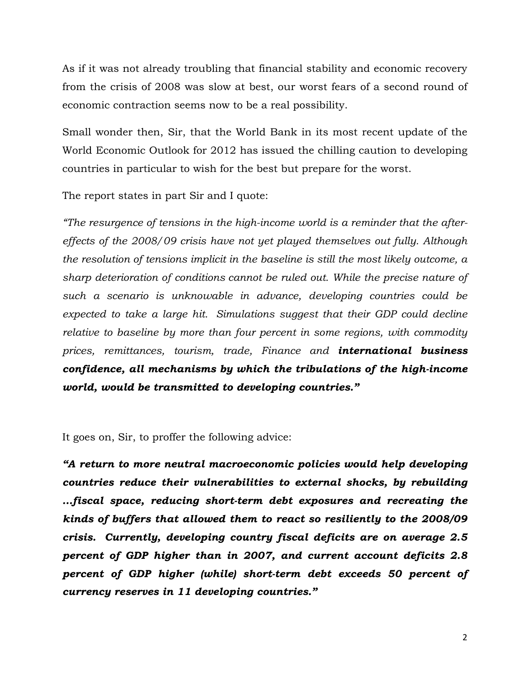As if it was not already troubling that financial stability and economic recovery from the crisis of 2008 was slow at best, our worst fears of a second round of economic contraction seems now to be a real possibility.

Small wonder then, Sir, that the World Bank in its most recent update of the World Economic Outlook for 2012 has issued the chilling caution to developing countries in particular to wish for the best but prepare for the worst.

The report states in part Sir and I quote:

"The resurgence of tensions in the high-income world is a reminder that the aftereffects of the 2008/09 crisis have not yet played themselves out fully. Although the resolution of tensions implicit in the baseline is still the most likely outcome, a sharp deterioration of conditions cannot be ruled out. While the precise nature of such a scenario is unknowable in advance, developing countries could be expected to take a large hit. Simulations suggest that their GDP could decline relative to baseline by more than four percent in some regions, with commodity prices, remittances, tourism, trade, Finance and **international business** confidence, all mechanisms by which the tribulations of the high-income world, would be transmitted to developing countries."

It goes on, Sir, to proffer the following advice:

"A return to more neutral macroeconomic policies would help developing countries reduce their vulnerabilities to external shocks, by rebuilding …fiscal space, reducing short-term debt exposures and recreating the kinds of buffers that allowed them to react so resiliently to the 2008/09 crisis. Currently, developing country fiscal deficits are on average 2.5 percent of GDP higher than in 2007, and current account deficits 2.8 percent of GDP higher (while) short-term debt exceeds 50 percent of currency reserves in 11 developing countries."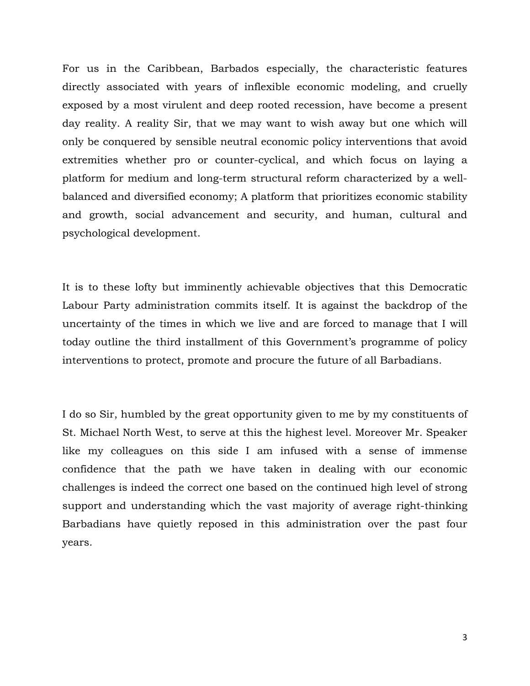For us in the Caribbean, Barbados especially, the characteristic features directly associated with years of inflexible economic modeling, and cruelly exposed by a most virulent and deep rooted recession, have become a present day reality. A reality Sir, that we may want to wish away but one which will only be conquered by sensible neutral economic policy interventions that avoid extremities whether pro or counter-cyclical, and which focus on laying a platform for medium and long-term structural reform characterized by a wellbalanced and diversified economy; A platform that prioritizes economic stability and growth, social advancement and security, and human, cultural and psychological development.

It is to these lofty but imminently achievable objectives that this Democratic Labour Party administration commits itself. It is against the backdrop of the uncertainty of the times in which we live and are forced to manage that I will today outline the third installment of this Government's programme of policy interventions to protect, promote and procure the future of all Barbadians.

I do so Sir, humbled by the great opportunity given to me by my constituents of St. Michael North West, to serve at this the highest level. Moreover Mr. Speaker like my colleagues on this side I am infused with a sense of immense confidence that the path we have taken in dealing with our economic challenges is indeed the correct one based on the continued high level of strong support and understanding which the vast majority of average right-thinking Barbadians have quietly reposed in this administration over the past four years.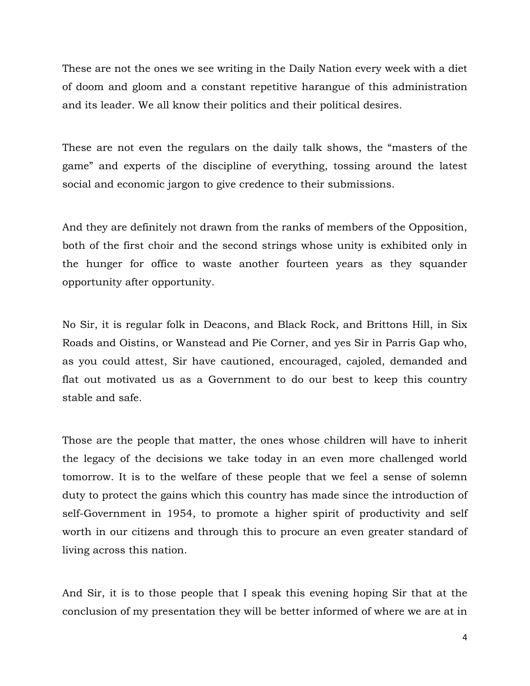These are not the ones we see writing in the Daily Nation every week with a diet of doom and gloom and a constant repetitive harangue of this administration and its leader. We all know their politics and their political desires.

These are not even the regulars on the daily talk shows, the "masters of the game" and experts of the discipline of everything, tossing around the latest social and economic jargon to give credence to their submissions.

And they are definitely not drawn from the ranks of members of the Opposition, both of the first choir and the second strings whose unity is exhibited only in the hunger for office to waste another fourteen years as they squander opportunity after opportunity.

No Sir, it is regular folk in Deacons, and Black Rock, and Brittons Hill, in Six Roads and Oistins, or Wanstead and Pie Corner, and yes Sir in Parris Gap who, as you could attest, Sir have cautioned, encouraged, cajoled, demanded and flat out motivated us as a Government to do our best to keep this country stable and safe.

Those are the people that matter, the ones whose children will have to inherit the legacy of the decisions we take today in an even more challenged world tomorrow. It is to the welfare of these people that we feel a sense of solemn duty to protect the gains which this country has made since the introduction of self-Government in 1954, to promote a higher spirit of productivity and self worth in our citizens and through this to procure an even greater standard of living across this nation.

And Sir, it is to those people that I speak this evening hoping Sir that at the conclusion of my presentation they will be better informed of where we are at in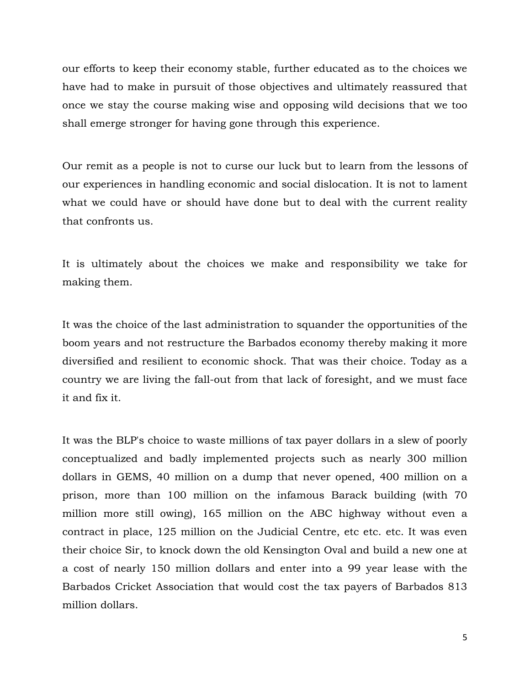our efforts to keep their economy stable, further educated as to the choices we have had to make in pursuit of those objectives and ultimately reassured that once we stay the course making wise and opposing wild decisions that we too shall emerge stronger for having gone through this experience.

Our remit as a people is not to curse our luck but to learn from the lessons of our experiences in handling economic and social dislocation. It is not to lament what we could have or should have done but to deal with the current reality that confronts us.

It is ultimately about the choices we make and responsibility we take for making them.

It was the choice of the last administration to squander the opportunities of the boom years and not restructure the Barbados economy thereby making it more diversified and resilient to economic shock. That was their choice. Today as a country we are living the fall-out from that lack of foresight, and we must face it and fix it.

It was the BLP's choice to waste millions of tax payer dollars in a slew of poorly conceptualized and badly implemented projects such as nearly 300 million dollars in GEMS, 40 million on a dump that never opened, 400 million on a prison, more than 100 million on the infamous Barack building (with 70 million more still owing), 165 million on the ABC highway without even a contract in place, 125 million on the Judicial Centre, etc etc. etc. It was even their choice Sir, to knock down the old Kensington Oval and build a new one at a cost of nearly 150 million dollars and enter into a 99 year lease with the Barbados Cricket Association that would cost the tax payers of Barbados 813 million dollars.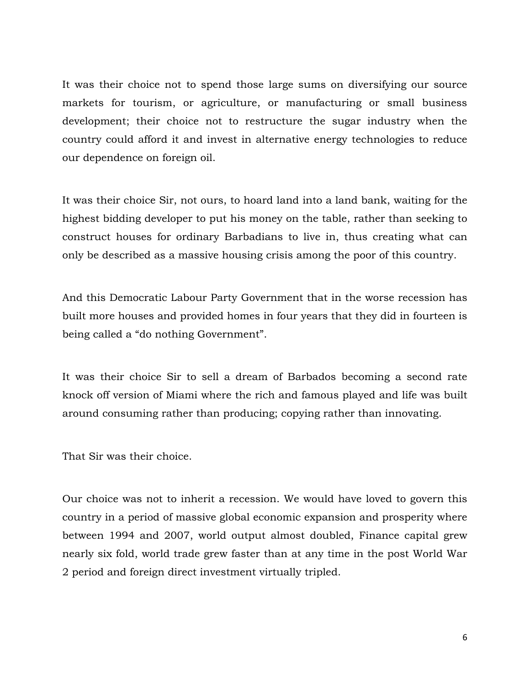It was their choice not to spend those large sums on diversifying our source markets for tourism, or agriculture, or manufacturing or small business development; their choice not to restructure the sugar industry when the country could afford it and invest in alternative energy technologies to reduce our dependence on foreign oil.

It was their choice Sir, not ours, to hoard land into a land bank, waiting for the highest bidding developer to put his money on the table, rather than seeking to construct houses for ordinary Barbadians to live in, thus creating what can only be described as a massive housing crisis among the poor of this country.

And this Democratic Labour Party Government that in the worse recession has built more houses and provided homes in four years that they did in fourteen is being called a "do nothing Government".

It was their choice Sir to sell a dream of Barbados becoming a second rate knock off version of Miami where the rich and famous played and life was built around consuming rather than producing; copying rather than innovating.

That Sir was their choice.

Our choice was not to inherit a recession. We would have loved to govern this country in a period of massive global economic expansion and prosperity where between 1994 and 2007, world output almost doubled, Finance capital grew nearly six fold, world trade grew faster than at any time in the post World War 2 period and foreign direct investment virtually tripled.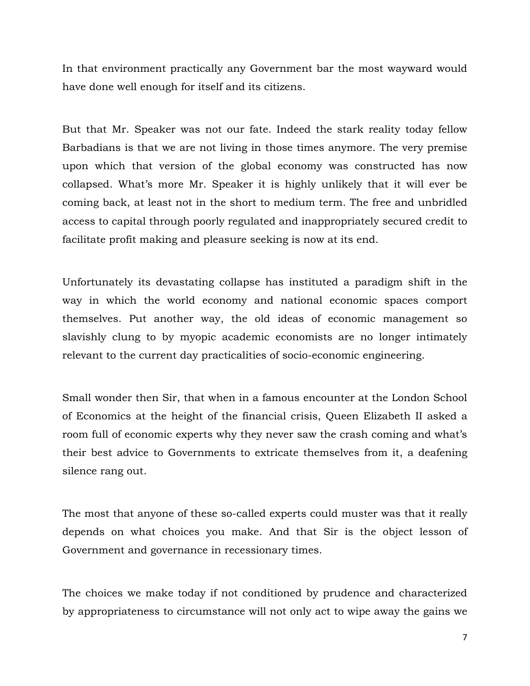In that environment practically any Government bar the most wayward would have done well enough for itself and its citizens.

But that Mr. Speaker was not our fate. Indeed the stark reality today fellow Barbadians is that we are not living in those times anymore. The very premise upon which that version of the global economy was constructed has now collapsed. What's more Mr. Speaker it is highly unlikely that it will ever be coming back, at least not in the short to medium term. The free and unbridled access to capital through poorly regulated and inappropriately secured credit to facilitate profit making and pleasure seeking is now at its end.

Unfortunately its devastating collapse has instituted a paradigm shift in the way in which the world economy and national economic spaces comport themselves. Put another way, the old ideas of economic management so slavishly clung to by myopic academic economists are no longer intimately relevant to the current day practicalities of socio-economic engineering.

Small wonder then Sir, that when in a famous encounter at the London School of Economics at the height of the financial crisis, Queen Elizabeth II asked a room full of economic experts why they never saw the crash coming and what's their best advice to Governments to extricate themselves from it, a deafening silence rang out.

The most that anyone of these so-called experts could muster was that it really depends on what choices you make. And that Sir is the object lesson of Government and governance in recessionary times.

The choices we make today if not conditioned by prudence and characterized by appropriateness to circumstance will not only act to wipe away the gains we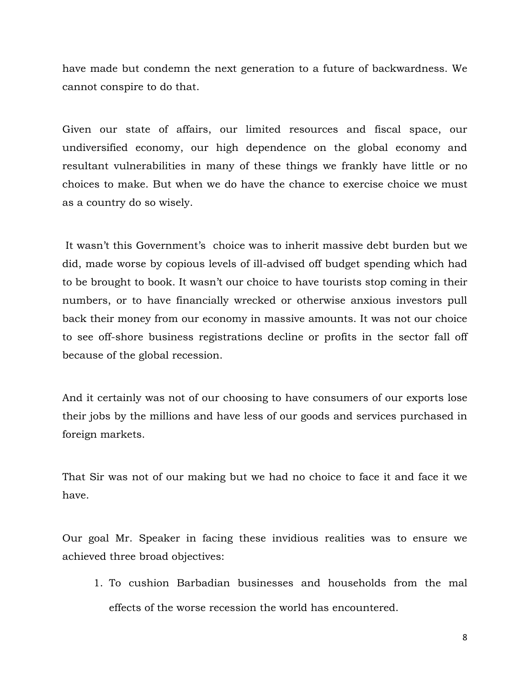have made but condemn the next generation to a future of backwardness. We cannot conspire to do that.

Given our state of affairs, our limited resources and fiscal space, our undiversified economy, our high dependence on the global economy and resultant vulnerabilities in many of these things we frankly have little or no choices to make. But when we do have the chance to exercise choice we must as a country do so wisely.

 It wasn't this Government's choice was to inherit massive debt burden but we did, made worse by copious levels of ill-advised off budget spending which had to be brought to book. It wasn't our choice to have tourists stop coming in their numbers, or to have financially wrecked or otherwise anxious investors pull back their money from our economy in massive amounts. It was not our choice to see off-shore business registrations decline or profits in the sector fall off because of the global recession.

And it certainly was not of our choosing to have consumers of our exports lose their jobs by the millions and have less of our goods and services purchased in foreign markets.

That Sir was not of our making but we had no choice to face it and face it we have.

Our goal Mr. Speaker in facing these invidious realities was to ensure we achieved three broad objectives:

1. To cushion Barbadian businesses and households from the mal effects of the worse recession the world has encountered.

8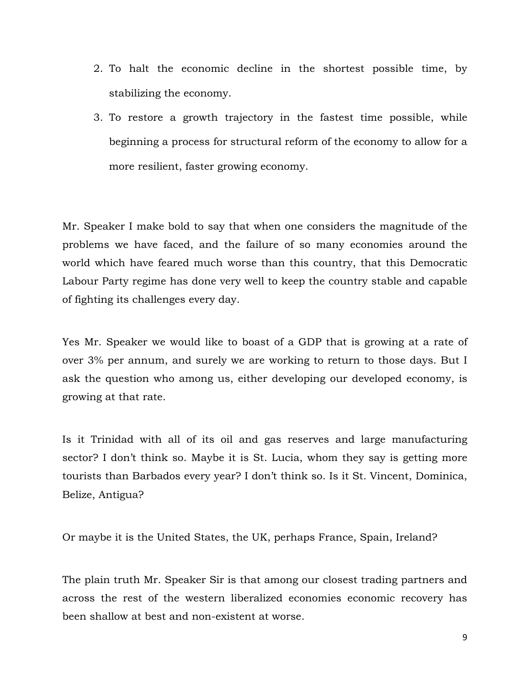- 2. To halt the economic decline in the shortest possible time, by stabilizing the economy.
- 3. To restore a growth trajectory in the fastest time possible, while beginning a process for structural reform of the economy to allow for a more resilient, faster growing economy.

Mr. Speaker I make bold to say that when one considers the magnitude of the problems we have faced, and the failure of so many economies around the world which have feared much worse than this country, that this Democratic Labour Party regime has done very well to keep the country stable and capable of fighting its challenges every day.

Yes Mr. Speaker we would like to boast of a GDP that is growing at a rate of over 3% per annum, and surely we are working to return to those days. But I ask the question who among us, either developing our developed economy, is growing at that rate.

Is it Trinidad with all of its oil and gas reserves and large manufacturing sector? I don't think so. Maybe it is St. Lucia, whom they say is getting more tourists than Barbados every year? I don't think so. Is it St. Vincent, Dominica, Belize, Antigua?

Or maybe it is the United States, the UK, perhaps France, Spain, Ireland?

The plain truth Mr. Speaker Sir is that among our closest trading partners and across the rest of the western liberalized economies economic recovery has been shallow at best and non-existent at worse.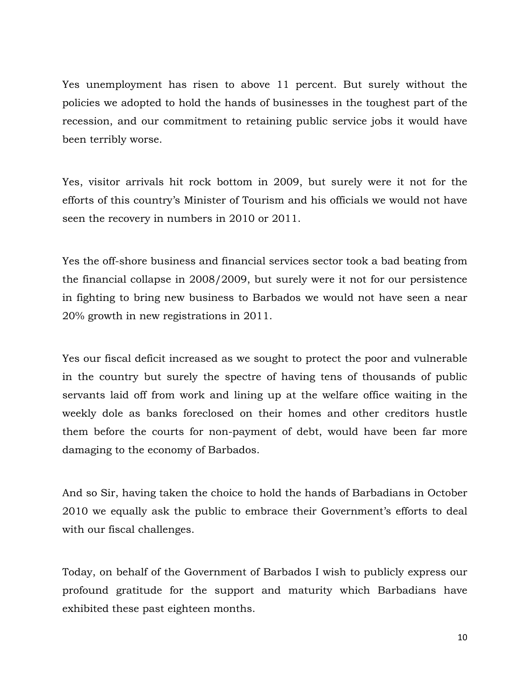Yes unemployment has risen to above 11 percent. But surely without the policies we adopted to hold the hands of businesses in the toughest part of the recession, and our commitment to retaining public service jobs it would have been terribly worse.

Yes, visitor arrivals hit rock bottom in 2009, but surely were it not for the efforts of this country's Minister of Tourism and his officials we would not have seen the recovery in numbers in 2010 or 2011.

Yes the off-shore business and financial services sector took a bad beating from the financial collapse in 2008/2009, but surely were it not for our persistence in fighting to bring new business to Barbados we would not have seen a near 20% growth in new registrations in 2011.

Yes our fiscal deficit increased as we sought to protect the poor and vulnerable in the country but surely the spectre of having tens of thousands of public servants laid off from work and lining up at the welfare office waiting in the weekly dole as banks foreclosed on their homes and other creditors hustle them before the courts for non-payment of debt, would have been far more damaging to the economy of Barbados.

And so Sir, having taken the choice to hold the hands of Barbadians in October 2010 we equally ask the public to embrace their Government's efforts to deal with our fiscal challenges.

Today, on behalf of the Government of Barbados I wish to publicly express our profound gratitude for the support and maturity which Barbadians have exhibited these past eighteen months.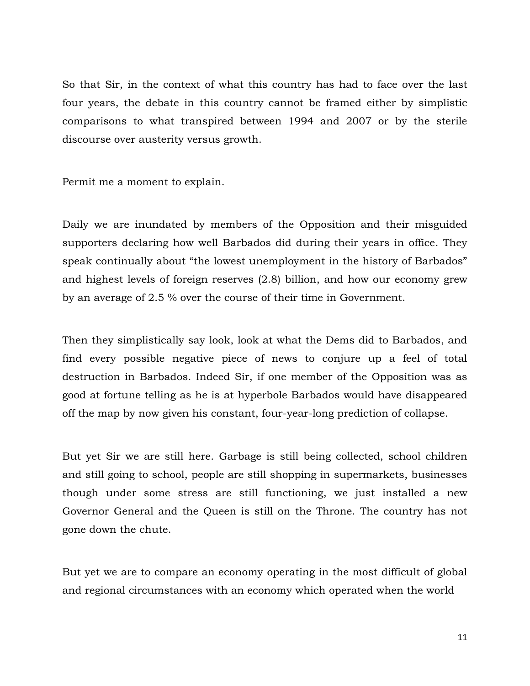So that Sir, in the context of what this country has had to face over the last four years, the debate in this country cannot be framed either by simplistic comparisons to what transpired between 1994 and 2007 or by the sterile discourse over austerity versus growth.

Permit me a moment to explain.

Daily we are inundated by members of the Opposition and their misguided supporters declaring how well Barbados did during their years in office. They speak continually about "the lowest unemployment in the history of Barbados" and highest levels of foreign reserves (2.8) billion, and how our economy grew by an average of 2.5 % over the course of their time in Government.

Then they simplistically say look, look at what the Dems did to Barbados, and find every possible negative piece of news to conjure up a feel of total destruction in Barbados. Indeed Sir, if one member of the Opposition was as good at fortune telling as he is at hyperbole Barbados would have disappeared off the map by now given his constant, four-year-long prediction of collapse.

But yet Sir we are still here. Garbage is still being collected, school children and still going to school, people are still shopping in supermarkets, businesses though under some stress are still functioning, we just installed a new Governor General and the Queen is still on the Throne. The country has not gone down the chute.

But yet we are to compare an economy operating in the most difficult of global and regional circumstances with an economy which operated when the world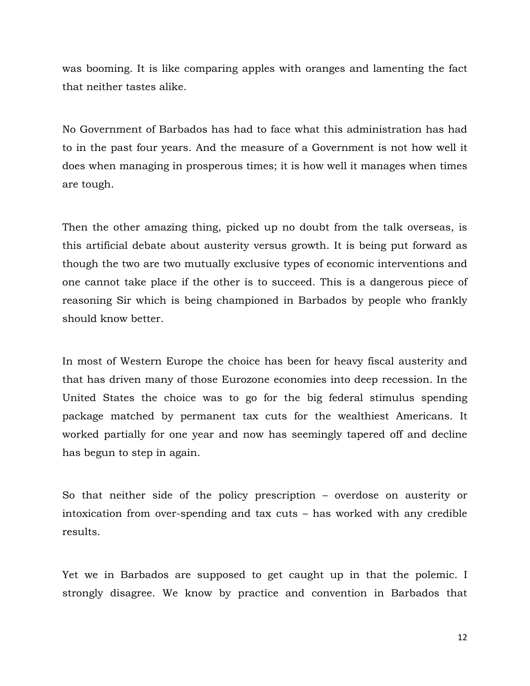was booming. It is like comparing apples with oranges and lamenting the fact that neither tastes alike.

No Government of Barbados has had to face what this administration has had to in the past four years. And the measure of a Government is not how well it does when managing in prosperous times; it is how well it manages when times are tough.

Then the other amazing thing, picked up no doubt from the talk overseas, is this artificial debate about austerity versus growth. It is being put forward as though the two are two mutually exclusive types of economic interventions and one cannot take place if the other is to succeed. This is a dangerous piece of reasoning Sir which is being championed in Barbados by people who frankly should know better.

In most of Western Europe the choice has been for heavy fiscal austerity and that has driven many of those Eurozone economies into deep recession. In the United States the choice was to go for the big federal stimulus spending package matched by permanent tax cuts for the wealthiest Americans. It worked partially for one year and now has seemingly tapered off and decline has begun to step in again.

So that neither side of the policy prescription – overdose on austerity or intoxication from over-spending and tax cuts – has worked with any credible results.

Yet we in Barbados are supposed to get caught up in that the polemic. I strongly disagree. We know by practice and convention in Barbados that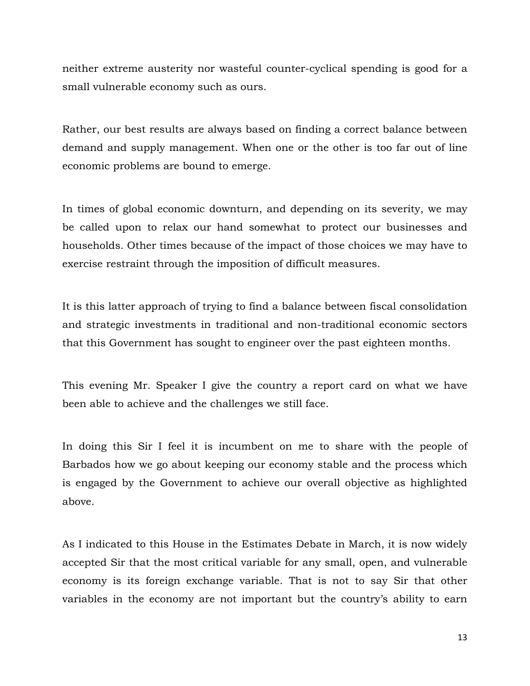neither extreme austerity nor wasteful counter-cyclical spending is good for a small vulnerable economy such as ours.

Rather, our best results are always based on finding a correct balance between demand and supply management. When one or the other is too far out of line economic problems are bound to emerge.

In times of global economic downturn, and depending on its severity, we may be called upon to relax our hand somewhat to protect our businesses and households. Other times because of the impact of those choices we may have to exercise restraint through the imposition of difficult measures.

It is this latter approach of trying to find a balance between fiscal consolidation and strategic investments in traditional and non-traditional economic sectors that this Government has sought to engineer over the past eighteen months.

This evening Mr. Speaker I give the country a report card on what we have been able to achieve and the challenges we still face.

In doing this Sir I feel it is incumbent on me to share with the people of Barbados how we go about keeping our economy stable and the process which is engaged by the Government to achieve our overall objective as highlighted above.

As I indicated to this House in the Estimates Debate in March, it is now widely accepted Sir that the most critical variable for any small, open, and vulnerable economy is its foreign exchange variable. That is not to say Sir that other variables in the economy are not important but the country's ability to earn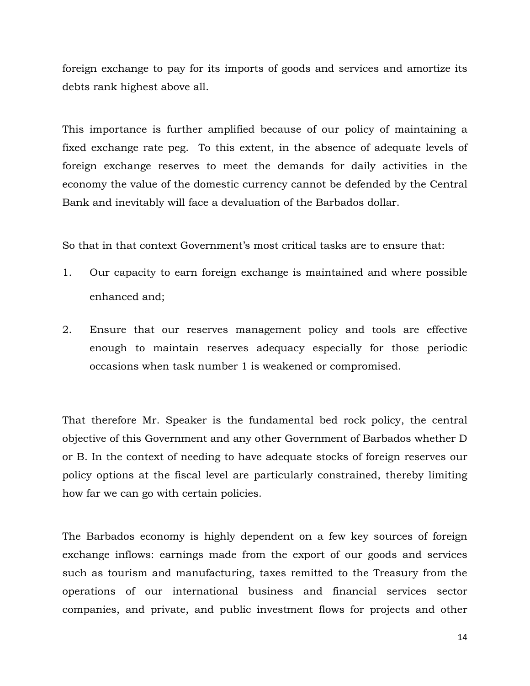foreign exchange to pay for its imports of goods and services and amortize its debts rank highest above all.

This importance is further amplified because of our policy of maintaining a fixed exchange rate peg. To this extent, in the absence of adequate levels of foreign exchange reserves to meet the demands for daily activities in the economy the value of the domestic currency cannot be defended by the Central Bank and inevitably will face a devaluation of the Barbados dollar.

So that in that context Government's most critical tasks are to ensure that:

- 1. Our capacity to earn foreign exchange is maintained and where possible enhanced and;
- 2. Ensure that our reserves management policy and tools are effective enough to maintain reserves adequacy especially for those periodic occasions when task number 1 is weakened or compromised.

That therefore Mr. Speaker is the fundamental bed rock policy, the central objective of this Government and any other Government of Barbados whether D or B. In the context of needing to have adequate stocks of foreign reserves our policy options at the fiscal level are particularly constrained, thereby limiting how far we can go with certain policies.

The Barbados economy is highly dependent on a few key sources of foreign exchange inflows: earnings made from the export of our goods and services such as tourism and manufacturing, taxes remitted to the Treasury from the operations of our international business and financial services sector companies, and private, and public investment flows for projects and other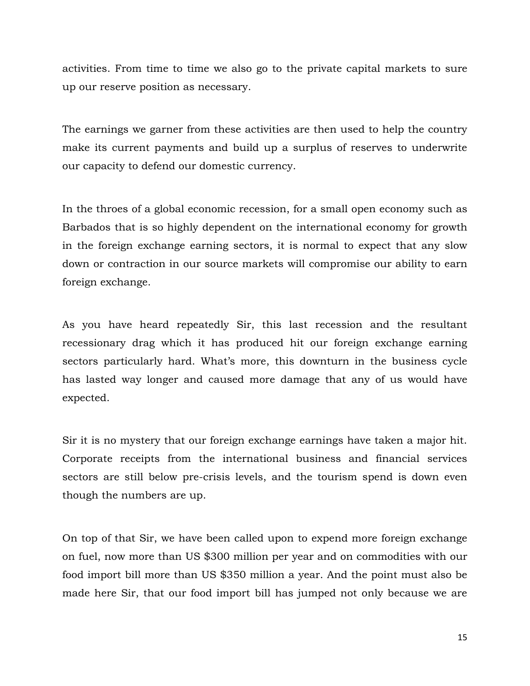activities. From time to time we also go to the private capital markets to sure up our reserve position as necessary.

The earnings we garner from these activities are then used to help the country make its current payments and build up a surplus of reserves to underwrite our capacity to defend our domestic currency.

In the throes of a global economic recession, for a small open economy such as Barbados that is so highly dependent on the international economy for growth in the foreign exchange earning sectors, it is normal to expect that any slow down or contraction in our source markets will compromise our ability to earn foreign exchange.

As you have heard repeatedly Sir, this last recession and the resultant recessionary drag which it has produced hit our foreign exchange earning sectors particularly hard. What's more, this downturn in the business cycle has lasted way longer and caused more damage that any of us would have expected.

Sir it is no mystery that our foreign exchange earnings have taken a major hit. Corporate receipts from the international business and financial services sectors are still below pre-crisis levels, and the tourism spend is down even though the numbers are up.

On top of that Sir, we have been called upon to expend more foreign exchange on fuel, now more than US \$300 million per year and on commodities with our food import bill more than US \$350 million a year. And the point must also be made here Sir, that our food import bill has jumped not only because we are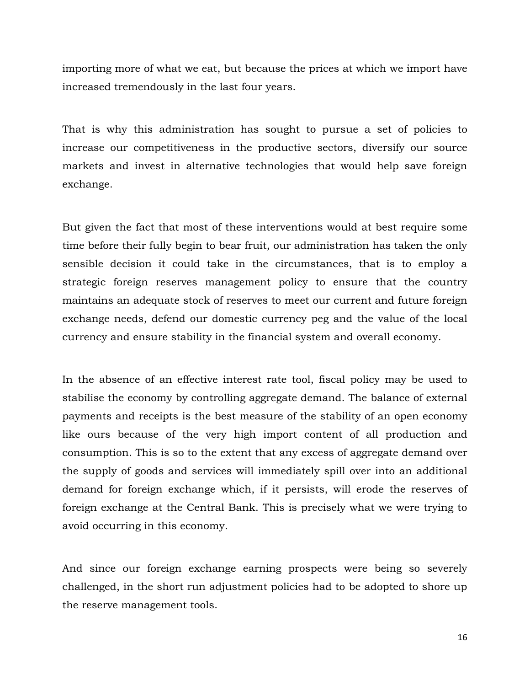importing more of what we eat, but because the prices at which we import have increased tremendously in the last four years.

That is why this administration has sought to pursue a set of policies to increase our competitiveness in the productive sectors, diversify our source markets and invest in alternative technologies that would help save foreign exchange.

But given the fact that most of these interventions would at best require some time before their fully begin to bear fruit, our administration has taken the only sensible decision it could take in the circumstances, that is to employ a strategic foreign reserves management policy to ensure that the country maintains an adequate stock of reserves to meet our current and future foreign exchange needs, defend our domestic currency peg and the value of the local currency and ensure stability in the financial system and overall economy.

In the absence of an effective interest rate tool, fiscal policy may be used to stabilise the economy by controlling aggregate demand. The balance of external payments and receipts is the best measure of the stability of an open economy like ours because of the very high import content of all production and consumption. This is so to the extent that any excess of aggregate demand over the supply of goods and services will immediately spill over into an additional demand for foreign exchange which, if it persists, will erode the reserves of foreign exchange at the Central Bank. This is precisely what we were trying to avoid occurring in this economy.

And since our foreign exchange earning prospects were being so severely challenged, in the short run adjustment policies had to be adopted to shore up the reserve management tools.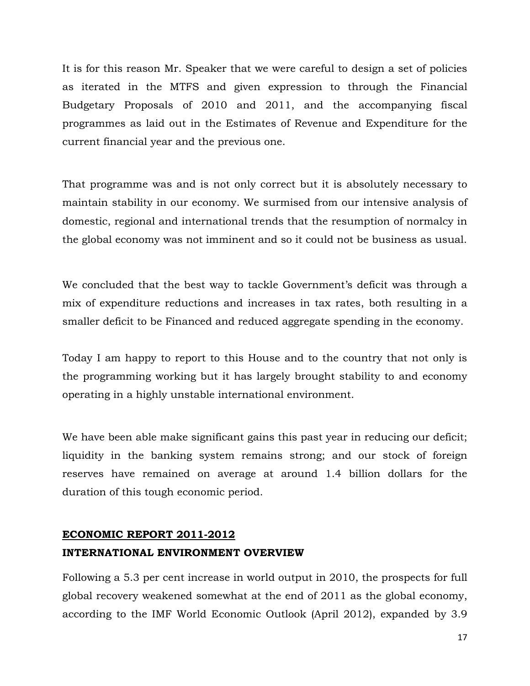It is for this reason Mr. Speaker that we were careful to design a set of policies as iterated in the MTFS and given expression to through the Financial Budgetary Proposals of 2010 and 2011, and the accompanying fiscal programmes as laid out in the Estimates of Revenue and Expenditure for the current financial year and the previous one.

That programme was and is not only correct but it is absolutely necessary to maintain stability in our economy. We surmised from our intensive analysis of domestic, regional and international trends that the resumption of normalcy in the global economy was not imminent and so it could not be business as usual.

We concluded that the best way to tackle Government's deficit was through a mix of expenditure reductions and increases in tax rates, both resulting in a smaller deficit to be Financed and reduced aggregate spending in the economy.

Today I am happy to report to this House and to the country that not only is the programming working but it has largely brought stability to and economy operating in a highly unstable international environment.

We have been able make significant gains this past year in reducing our deficit; liquidity in the banking system remains strong; and our stock of foreign reserves have remained on average at around 1.4 billion dollars for the duration of this tough economic period.

## ECONOMIC REPORT 2011-2012 INTERNATIONAL ENVIRONMENT OVERVIEW

Following a 5.3 per cent increase in world output in 2010, the prospects for full global recovery weakened somewhat at the end of 2011 as the global economy, according to the IMF World Economic Outlook (April 2012), expanded by 3.9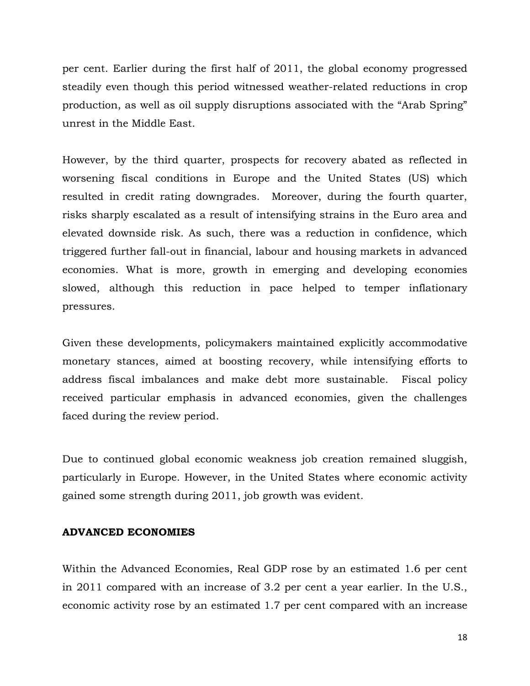per cent. Earlier during the first half of 2011, the global economy progressed steadily even though this period witnessed weather-related reductions in crop production, as well as oil supply disruptions associated with the "Arab Spring" unrest in the Middle East.

However, by the third quarter, prospects for recovery abated as reflected in worsening fiscal conditions in Europe and the United States (US) which resulted in credit rating downgrades. Moreover, during the fourth quarter, risks sharply escalated as a result of intensifying strains in the Euro area and elevated downside risk. As such, there was a reduction in confidence, which triggered further fall-out in financial, labour and housing markets in advanced economies. What is more, growth in emerging and developing economies slowed, although this reduction in pace helped to temper inflationary pressures.

Given these developments, policymakers maintained explicitly accommodative monetary stances, aimed at boosting recovery, while intensifying efforts to address fiscal imbalances and make debt more sustainable. Fiscal policy received particular emphasis in advanced economies, given the challenges faced during the review period.

Due to continued global economic weakness job creation remained sluggish, particularly in Europe. However, in the United States where economic activity gained some strength during 2011, job growth was evident.

#### ADVANCED ECONOMIES

Within the Advanced Economies, Real GDP rose by an estimated 1.6 per cent in 2011 compared with an increase of 3.2 per cent a year earlier. In the U.S., economic activity rose by an estimated 1.7 per cent compared with an increase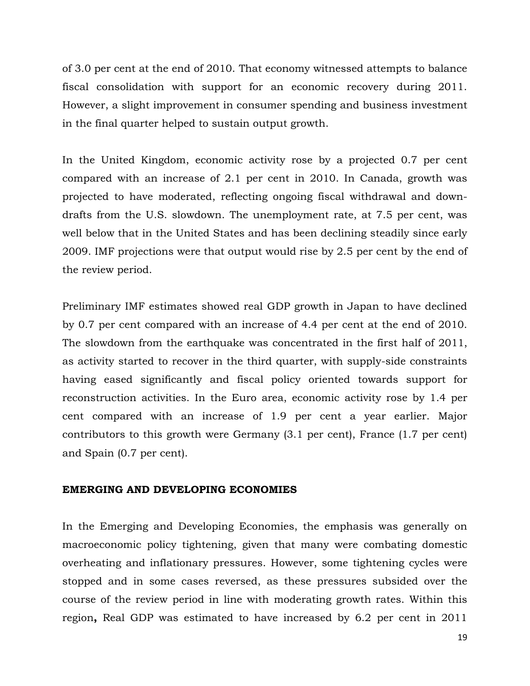of 3.0 per cent at the end of 2010. That economy witnessed attempts to balance fiscal consolidation with support for an economic recovery during 2011. However, a slight improvement in consumer spending and business investment in the final quarter helped to sustain output growth.

In the United Kingdom, economic activity rose by a projected 0.7 per cent compared with an increase of 2.1 per cent in 2010. In Canada, growth was projected to have moderated, reflecting ongoing fiscal withdrawal and downdrafts from the U.S. slowdown. The unemployment rate, at 7.5 per cent, was well below that in the United States and has been declining steadily since early 2009. IMF projections were that output would rise by 2.5 per cent by the end of the review period.

Preliminary IMF estimates showed real GDP growth in Japan to have declined by 0.7 per cent compared with an increase of 4.4 per cent at the end of 2010. The slowdown from the earthquake was concentrated in the first half of 2011, as activity started to recover in the third quarter, with supply-side constraints having eased significantly and fiscal policy oriented towards support for reconstruction activities. In the Euro area, economic activity rose by 1.4 per cent compared with an increase of 1.9 per cent a year earlier. Major contributors to this growth were Germany (3.1 per cent), France (1.7 per cent) and Spain (0.7 per cent).

#### EMERGING AND DEVELOPING ECONOMIES

In the Emerging and Developing Economies, the emphasis was generally on macroeconomic policy tightening, given that many were combating domestic overheating and inflationary pressures. However, some tightening cycles were stopped and in some cases reversed, as these pressures subsided over the course of the review period in line with moderating growth rates. Within this region, Real GDP was estimated to have increased by 6.2 per cent in 2011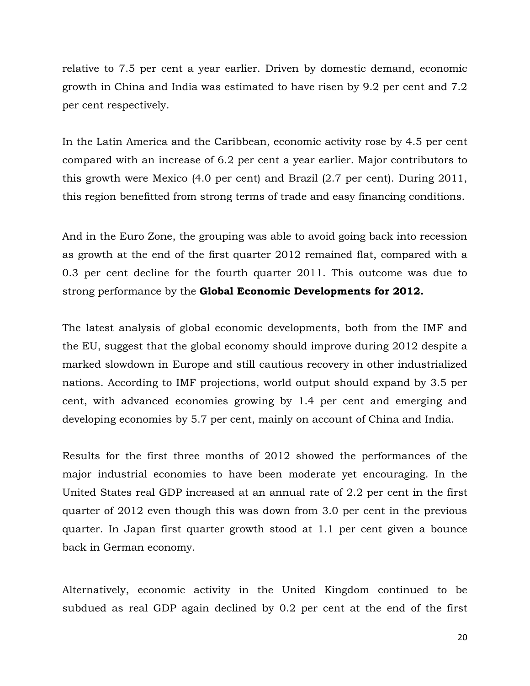relative to 7.5 per cent a year earlier. Driven by domestic demand, economic growth in China and India was estimated to have risen by 9.2 per cent and 7.2 per cent respectively.

In the Latin America and the Caribbean, economic activity rose by 4.5 per cent compared with an increase of 6.2 per cent a year earlier. Major contributors to this growth were Mexico (4.0 per cent) and Brazil (2.7 per cent). During 2011, this region benefitted from strong terms of trade and easy financing conditions.

And in the Euro Zone, the grouping was able to avoid going back into recession as growth at the end of the first quarter 2012 remained flat, compared with a 0.3 per cent decline for the fourth quarter 2011. This outcome was due to strong performance by the Global Economic Developments for 2012.

The latest analysis of global economic developments, both from the IMF and the EU, suggest that the global economy should improve during 2012 despite a marked slowdown in Europe and still cautious recovery in other industrialized nations. According to IMF projections, world output should expand by 3.5 per cent, with advanced economies growing by 1.4 per cent and emerging and developing economies by 5.7 per cent, mainly on account of China and India.

Results for the first three months of 2012 showed the performances of the major industrial economies to have been moderate yet encouraging. In the United States real GDP increased at an annual rate of 2.2 per cent in the first quarter of 2012 even though this was down from 3.0 per cent in the previous quarter. In Japan first quarter growth stood at 1.1 per cent given a bounce back in German economy.

Alternatively, economic activity in the United Kingdom continued to be subdued as real GDP again declined by 0.2 per cent at the end of the first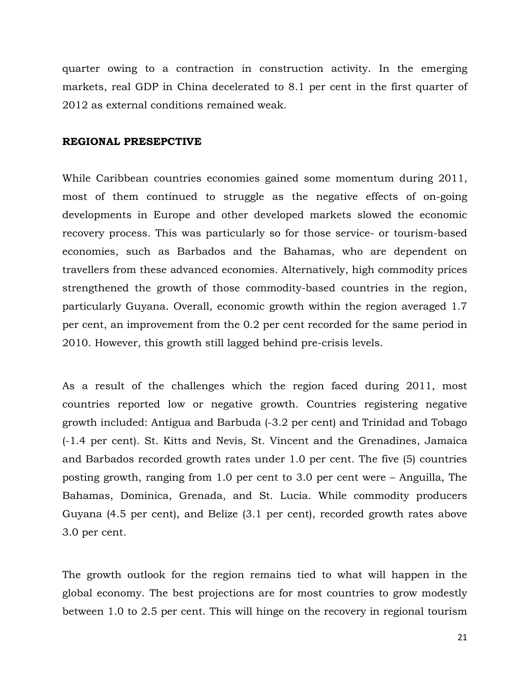quarter owing to a contraction in construction activity. In the emerging markets, real GDP in China decelerated to 8.1 per cent in the first quarter of 2012 as external conditions remained weak.

#### REGIONAL PRESEPCTIVE

While Caribbean countries economies gained some momentum during 2011, most of them continued to struggle as the negative effects of on-going developments in Europe and other developed markets slowed the economic recovery process. This was particularly so for those service- or tourism-based economies, such as Barbados and the Bahamas, who are dependent on travellers from these advanced economies. Alternatively, high commodity prices strengthened the growth of those commodity-based countries in the region, particularly Guyana. Overall, economic growth within the region averaged 1.7 per cent, an improvement from the 0.2 per cent recorded for the same period in 2010. However, this growth still lagged behind pre-crisis levels.

As a result of the challenges which the region faced during 2011, most countries reported low or negative growth. Countries registering negative growth included: Antigua and Barbuda (-3.2 per cent) and Trinidad and Tobago (-1.4 per cent). St. Kitts and Nevis, St. Vincent and the Grenadines, Jamaica and Barbados recorded growth rates under 1.0 per cent. The five (5) countries posting growth, ranging from 1.0 per cent to 3.0 per cent were – Anguilla, The Bahamas, Dominica, Grenada, and St. Lucia. While commodity producers Guyana (4.5 per cent), and Belize (3.1 per cent), recorded growth rates above 3.0 per cent.

The growth outlook for the region remains tied to what will happen in the global economy. The best projections are for most countries to grow modestly between 1.0 to 2.5 per cent. This will hinge on the recovery in regional tourism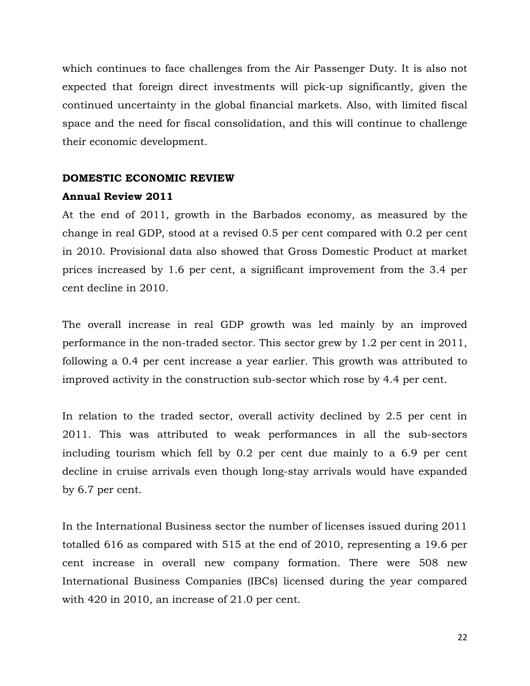which continues to face challenges from the Air Passenger Duty. It is also not expected that foreign direct investments will pick-up significantly, given the continued uncertainty in the global financial markets. Also, with limited fiscal space and the need for fiscal consolidation, and this will continue to challenge their economic development.

#### DOMESTIC ECONOMIC REVIEW

#### Annual Review 2011

At the end of 2011, growth in the Barbados economy, as measured by the change in real GDP, stood at a revised 0.5 per cent compared with 0.2 per cent in 2010. Provisional data also showed that Gross Domestic Product at market prices increased by 1.6 per cent, a significant improvement from the 3.4 per cent decline in 2010.

The overall increase in real GDP growth was led mainly by an improved performance in the non-traded sector. This sector grew by 1.2 per cent in 2011, following a 0.4 per cent increase a year earlier. This growth was attributed to improved activity in the construction sub-sector which rose by 4.4 per cent.

In relation to the traded sector, overall activity declined by 2.5 per cent in 2011. This was attributed to weak performances in all the sub-sectors including tourism which fell by 0.2 per cent due mainly to a 6.9 per cent decline in cruise arrivals even though long-stay arrivals would have expanded by 6.7 per cent.

In the International Business sector the number of licenses issued during 2011 totalled 616 as compared with 515 at the end of 2010, representing a 19.6 per cent increase in overall new company formation. There were 508 new International Business Companies (IBCs) licensed during the year compared with 420 in 2010, an increase of 21.0 per cent.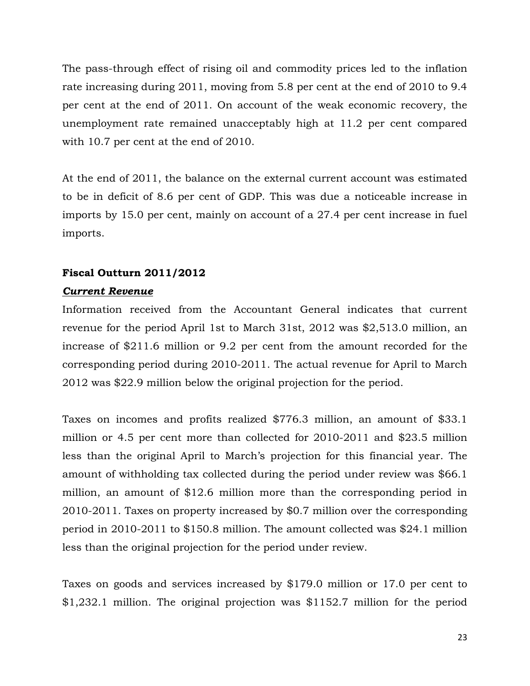The pass-through effect of rising oil and commodity prices led to the inflation rate increasing during 2011, moving from 5.8 per cent at the end of 2010 to 9.4 per cent at the end of 2011. On account of the weak economic recovery, the unemployment rate remained unacceptably high at 11.2 per cent compared with 10.7 per cent at the end of 2010.

At the end of 2011, the balance on the external current account was estimated to be in deficit of 8.6 per cent of GDP. This was due a noticeable increase in imports by 15.0 per cent, mainly on account of a 27.4 per cent increase in fuel imports.

## Fiscal Outturn 2011/2012

## Current Revenue

Information received from the Accountant General indicates that current revenue for the period April 1st to March 31st, 2012 was \$2,513.0 million, an increase of \$211.6 million or 9.2 per cent from the amount recorded for the corresponding period during 2010-2011. The actual revenue for April to March 2012 was \$22.9 million below the original projection for the period.

Taxes on incomes and profits realized \$776.3 million, an amount of \$33.1 million or 4.5 per cent more than collected for 2010-2011 and \$23.5 million less than the original April to March's projection for this financial year. The amount of withholding tax collected during the period under review was \$66.1 million, an amount of \$12.6 million more than the corresponding period in 2010-2011. Taxes on property increased by \$0.7 million over the corresponding period in 2010-2011 to \$150.8 million. The amount collected was \$24.1 million less than the original projection for the period under review.

Taxes on goods and services increased by \$179.0 million or 17.0 per cent to \$1,232.1 million. The original projection was \$1152.7 million for the period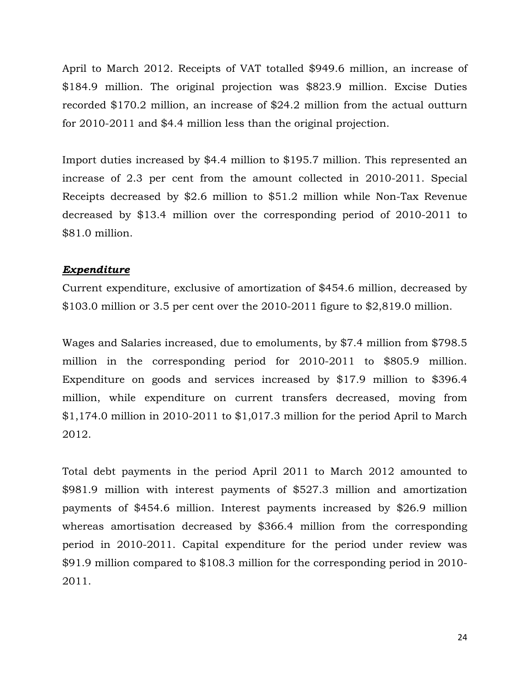April to March 2012. Receipts of VAT totalled \$949.6 million, an increase of \$184.9 million. The original projection was \$823.9 million. Excise Duties recorded \$170.2 million, an increase of \$24.2 million from the actual outturn for 2010-2011 and \$4.4 million less than the original projection.

Import duties increased by \$4.4 million to \$195.7 million. This represented an increase of 2.3 per cent from the amount collected in 2010-2011. Special Receipts decreased by \$2.6 million to \$51.2 million while Non-Tax Revenue decreased by \$13.4 million over the corresponding period of 2010-2011 to \$81.0 million.

#### **Expenditure**

Current expenditure, exclusive of amortization of \$454.6 million, decreased by \$103.0 million or 3.5 per cent over the 2010-2011 figure to \$2,819.0 million.

Wages and Salaries increased, due to emoluments, by \$7.4 million from \$798.5 million in the corresponding period for 2010-2011 to \$805.9 million. Expenditure on goods and services increased by \$17.9 million to \$396.4 million, while expenditure on current transfers decreased, moving from \$1,174.0 million in 2010-2011 to \$1,017.3 million for the period April to March 2012.

Total debt payments in the period April 2011 to March 2012 amounted to \$981.9 million with interest payments of \$527.3 million and amortization payments of \$454.6 million. Interest payments increased by \$26.9 million whereas amortisation decreased by \$366.4 million from the corresponding period in 2010-2011. Capital expenditure for the period under review was \$91.9 million compared to \$108.3 million for the corresponding period in 2010- 2011.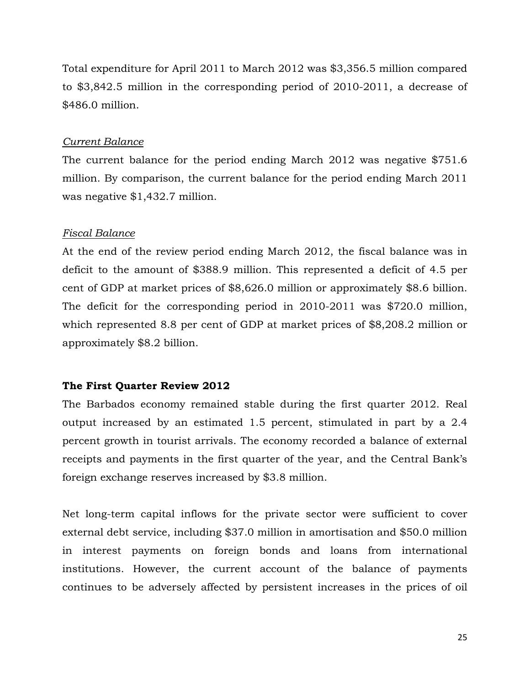Total expenditure for April 2011 to March 2012 was \$3,356.5 million compared to \$3,842.5 million in the corresponding period of 2010-2011, a decrease of \$486.0 million.

#### Current Balance

The current balance for the period ending March 2012 was negative \$751.6 million. By comparison, the current balance for the period ending March 2011 was negative \$1,432.7 million.

#### Fiscal Balance

At the end of the review period ending March 2012, the fiscal balance was in deficit to the amount of \$388.9 million. This represented a deficit of 4.5 per cent of GDP at market prices of \$8,626.0 million or approximately \$8.6 billion. The deficit for the corresponding period in 2010-2011 was \$720.0 million, which represented 8.8 per cent of GDP at market prices of \$8,208.2 million or approximately \$8.2 billion.

## The First Quarter Review 2012

The Barbados economy remained stable during the first quarter 2012. Real output increased by an estimated 1.5 percent, stimulated in part by a 2.4 percent growth in tourist arrivals. The economy recorded a balance of external receipts and payments in the first quarter of the year, and the Central Bank's foreign exchange reserves increased by \$3.8 million.

Net long-term capital inflows for the private sector were sufficient to cover external debt service, including \$37.0 million in amortisation and \$50.0 million in interest payments on foreign bonds and loans from international institutions. However, the current account of the balance of payments continues to be adversely affected by persistent increases in the prices of oil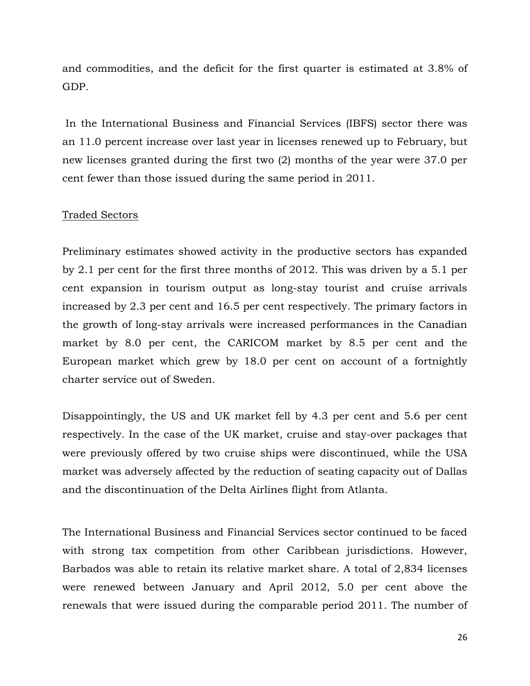and commodities, and the deficit for the first quarter is estimated at 3.8% of GDP.

 In the International Business and Financial Services (IBFS) sector there was an 11.0 percent increase over last year in licenses renewed up to February, but new licenses granted during the first two (2) months of the year were 37.0 per cent fewer than those issued during the same period in 2011.

#### Traded Sectors

Preliminary estimates showed activity in the productive sectors has expanded by 2.1 per cent for the first three months of 2012. This was driven by a 5.1 per cent expansion in tourism output as long-stay tourist and cruise arrivals increased by 2.3 per cent and 16.5 per cent respectively. The primary factors in the growth of long-stay arrivals were increased performances in the Canadian market by 8.0 per cent, the CARICOM market by 8.5 per cent and the European market which grew by 18.0 per cent on account of a fortnightly charter service out of Sweden.

Disappointingly, the US and UK market fell by 4.3 per cent and 5.6 per cent respectively. In the case of the UK market, cruise and stay-over packages that were previously offered by two cruise ships were discontinued, while the USA market was adversely affected by the reduction of seating capacity out of Dallas and the discontinuation of the Delta Airlines flight from Atlanta.

The International Business and Financial Services sector continued to be faced with strong tax competition from other Caribbean jurisdictions. However, Barbados was able to retain its relative market share. A total of 2,834 licenses were renewed between January and April 2012, 5.0 per cent above the renewals that were issued during the comparable period 2011. The number of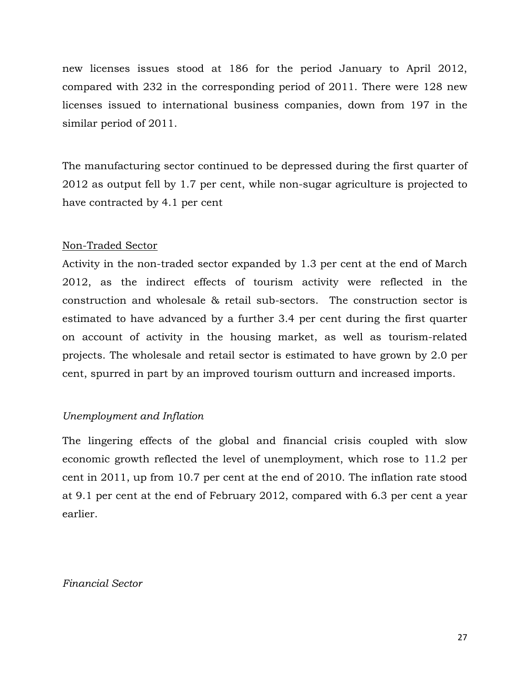new licenses issues stood at 186 for the period January to April 2012, compared with 232 in the corresponding period of 2011. There were 128 new licenses issued to international business companies, down from 197 in the similar period of 2011.

The manufacturing sector continued to be depressed during the first quarter of 2012 as output fell by 1.7 per cent, while non-sugar agriculture is projected to have contracted by 4.1 per cent

## Non-Traded Sector

Activity in the non-traded sector expanded by 1.3 per cent at the end of March 2012, as the indirect effects of tourism activity were reflected in the construction and wholesale & retail sub-sectors. The construction sector is estimated to have advanced by a further 3.4 per cent during the first quarter on account of activity in the housing market, as well as tourism-related projects. The wholesale and retail sector is estimated to have grown by 2.0 per cent, spurred in part by an improved tourism outturn and increased imports.

## Unemployment and Inflation

The lingering effects of the global and financial crisis coupled with slow economic growth reflected the level of unemployment, which rose to 11.2 per cent in 2011, up from 10.7 per cent at the end of 2010. The inflation rate stood at 9.1 per cent at the end of February 2012, compared with 6.3 per cent a year earlier.

Financial Sector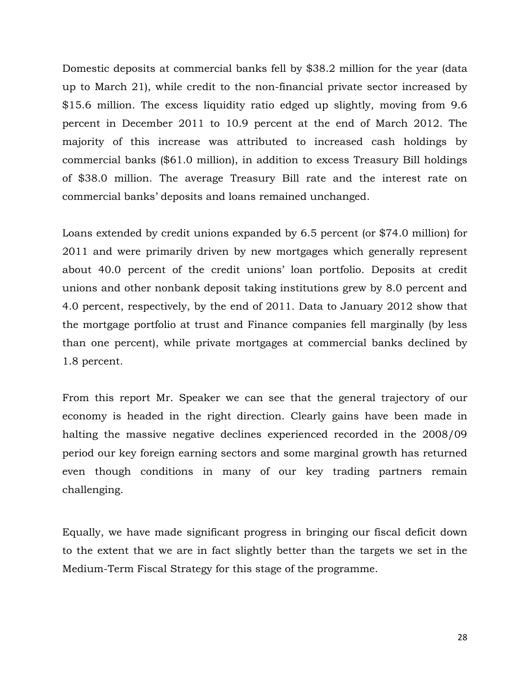Domestic deposits at commercial banks fell by \$38.2 million for the year (data up to March 21), while credit to the non-financial private sector increased by \$15.6 million. The excess liquidity ratio edged up slightly, moving from 9.6 percent in December 2011 to 10.9 percent at the end of March 2012. The majority of this increase was attributed to increased cash holdings by commercial banks (\$61.0 million), in addition to excess Treasury Bill holdings of \$38.0 million. The average Treasury Bill rate and the interest rate on commercial banks' deposits and loans remained unchanged.

Loans extended by credit unions expanded by 6.5 percent (or \$74.0 million) for 2011 and were primarily driven by new mortgages which generally represent about 40.0 percent of the credit unions' loan portfolio. Deposits at credit unions and other nonbank deposit taking institutions grew by 8.0 percent and 4.0 percent, respectively, by the end of 2011. Data to January 2012 show that the mortgage portfolio at trust and Finance companies fell marginally (by less than one percent), while private mortgages at commercial banks declined by 1.8 percent.

From this report Mr. Speaker we can see that the general trajectory of our economy is headed in the right direction. Clearly gains have been made in halting the massive negative declines experienced recorded in the 2008/09 period our key foreign earning sectors and some marginal growth has returned even though conditions in many of our key trading partners remain challenging.

Equally, we have made significant progress in bringing our fiscal deficit down to the extent that we are in fact slightly better than the targets we set in the Medium-Term Fiscal Strategy for this stage of the programme.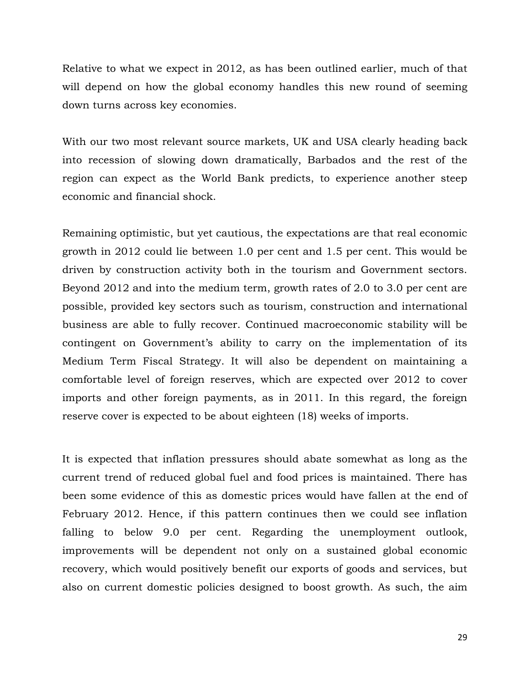Relative to what we expect in 2012, as has been outlined earlier, much of that will depend on how the global economy handles this new round of seeming down turns across key economies.

With our two most relevant source markets, UK and USA clearly heading back into recession of slowing down dramatically, Barbados and the rest of the region can expect as the World Bank predicts, to experience another steep economic and financial shock.

Remaining optimistic, but yet cautious, the expectations are that real economic growth in 2012 could lie between 1.0 per cent and 1.5 per cent. This would be driven by construction activity both in the tourism and Government sectors. Beyond 2012 and into the medium term, growth rates of 2.0 to 3.0 per cent are possible, provided key sectors such as tourism, construction and international business are able to fully recover. Continued macroeconomic stability will be contingent on Government's ability to carry on the implementation of its Medium Term Fiscal Strategy. It will also be dependent on maintaining a comfortable level of foreign reserves, which are expected over 2012 to cover imports and other foreign payments, as in 2011. In this regard, the foreign reserve cover is expected to be about eighteen (18) weeks of imports.

It is expected that inflation pressures should abate somewhat as long as the current trend of reduced global fuel and food prices is maintained. There has been some evidence of this as domestic prices would have fallen at the end of February 2012. Hence, if this pattern continues then we could see inflation falling to below 9.0 per cent. Regarding the unemployment outlook, improvements will be dependent not only on a sustained global economic recovery, which would positively benefit our exports of goods and services, but also on current domestic policies designed to boost growth. As such, the aim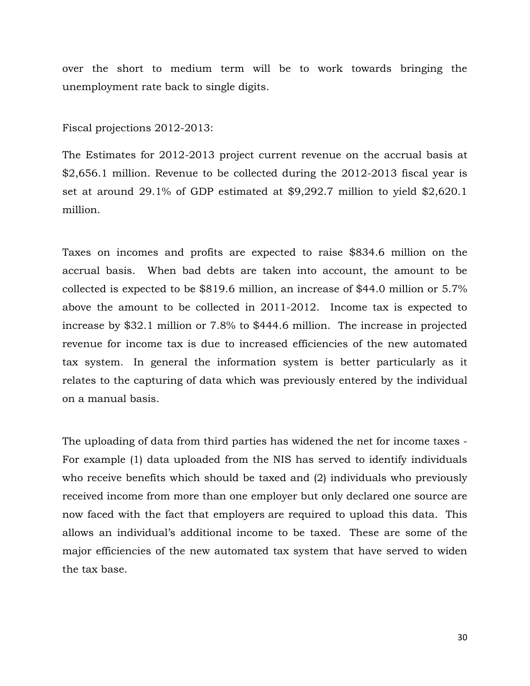over the short to medium term will be to work towards bringing the unemployment rate back to single digits.

Fiscal projections 2012-2013:

The Estimates for 2012-2013 project current revenue on the accrual basis at \$2,656.1 million. Revenue to be collected during the 2012-2013 fiscal year is set at around 29.1% of GDP estimated at \$9,292.7 million to yield \$2,620.1 million.

Taxes on incomes and profits are expected to raise \$834.6 million on the accrual basis. When bad debts are taken into account, the amount to be collected is expected to be \$819.6 million, an increase of \$44.0 million or 5.7% above the amount to be collected in 2011-2012. Income tax is expected to increase by \$32.1 million or 7.8% to \$444.6 million. The increase in projected revenue for income tax is due to increased efficiencies of the new automated tax system. In general the information system is better particularly as it relates to the capturing of data which was previously entered by the individual on a manual basis.

The uploading of data from third parties has widened the net for income taxes - For example (1) data uploaded from the NIS has served to identify individuals who receive benefits which should be taxed and (2) individuals who previously received income from more than one employer but only declared one source are now faced with the fact that employers are required to upload this data. This allows an individual's additional income to be taxed. These are some of the major efficiencies of the new automated tax system that have served to widen the tax base.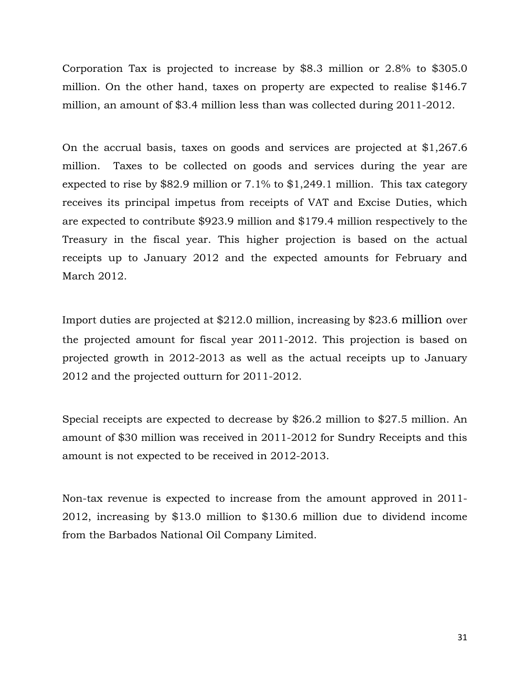Corporation Tax is projected to increase by \$8.3 million or 2.8% to \$305.0 million. On the other hand, taxes on property are expected to realise \$146.7 million, an amount of \$3.4 million less than was collected during 2011-2012.

On the accrual basis, taxes on goods and services are projected at \$1,267.6 million. Taxes to be collected on goods and services during the year are expected to rise by \$82.9 million or 7.1% to \$1,249.1 million. This tax category receives its principal impetus from receipts of VAT and Excise Duties, which are expected to contribute \$923.9 million and \$179.4 million respectively to the Treasury in the fiscal year. This higher projection is based on the actual receipts up to January 2012 and the expected amounts for February and March 2012.

Import duties are projected at \$212.0 million, increasing by \$23.6 million over the projected amount for fiscal year 2011-2012. This projection is based on projected growth in 2012-2013 as well as the actual receipts up to January 2012 and the projected outturn for 2011-2012.

Special receipts are expected to decrease by \$26.2 million to \$27.5 million. An amount of \$30 million was received in 2011-2012 for Sundry Receipts and this amount is not expected to be received in 2012-2013.

Non-tax revenue is expected to increase from the amount approved in 2011- 2012, increasing by \$13.0 million to \$130.6 million due to dividend income from the Barbados National Oil Company Limited.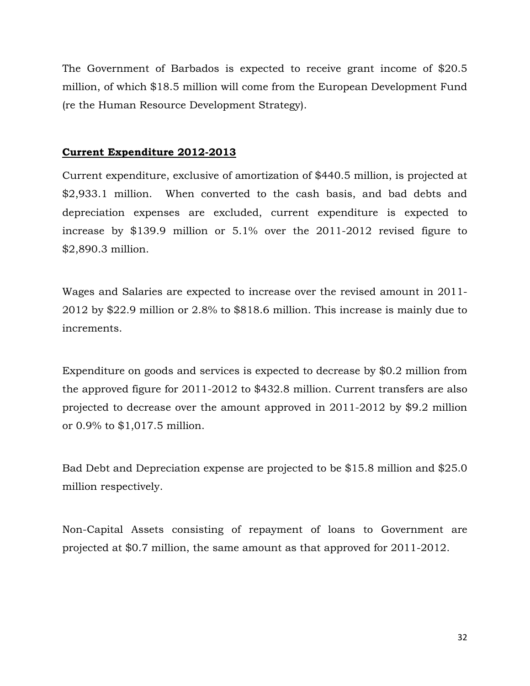The Government of Barbados is expected to receive grant income of \$20.5 million, of which \$18.5 million will come from the European Development Fund (re the Human Resource Development Strategy).

### Current Expenditure 2012-2013

Current expenditure, exclusive of amortization of \$440.5 million, is projected at \$2,933.1 million. When converted to the cash basis, and bad debts and depreciation expenses are excluded, current expenditure is expected to increase by \$139.9 million or 5.1% over the 2011-2012 revised figure to \$2,890.3 million.

Wages and Salaries are expected to increase over the revised amount in 2011- 2012 by \$22.9 million or 2.8% to \$818.6 million. This increase is mainly due to increments.

Expenditure on goods and services is expected to decrease by \$0.2 million from the approved figure for 2011-2012 to \$432.8 million. Current transfers are also projected to decrease over the amount approved in 2011-2012 by \$9.2 million or 0.9% to \$1,017.5 million.

Bad Debt and Depreciation expense are projected to be \$15.8 million and \$25.0 million respectively.

Non-Capital Assets consisting of repayment of loans to Government are projected at \$0.7 million, the same amount as that approved for 2011-2012.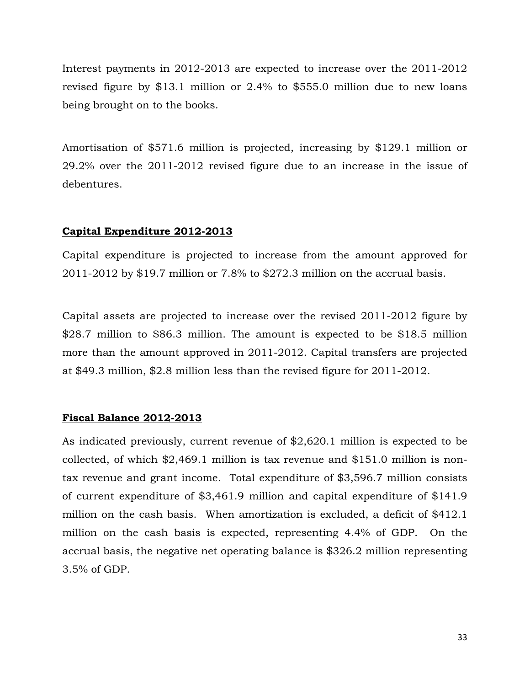Interest payments in 2012-2013 are expected to increase over the 2011-2012 revised figure by \$13.1 million or 2.4% to \$555.0 million due to new loans being brought on to the books.

Amortisation of \$571.6 million is projected, increasing by \$129.1 million or 29.2% over the 2011-2012 revised figure due to an increase in the issue of debentures.

#### Capital Expenditure 2012-2013

Capital expenditure is projected to increase from the amount approved for 2011-2012 by \$19.7 million or 7.8% to \$272.3 million on the accrual basis.

Capital assets are projected to increase over the revised 2011-2012 figure by \$28.7 million to \$86.3 million. The amount is expected to be \$18.5 million more than the amount approved in 2011-2012. Capital transfers are projected at \$49.3 million, \$2.8 million less than the revised figure for 2011-2012.

#### Fiscal Balance 2012-2013

As indicated previously, current revenue of \$2,620.1 million is expected to be collected, of which \$2,469.1 million is tax revenue and \$151.0 million is nontax revenue and grant income. Total expenditure of \$3,596.7 million consists of current expenditure of \$3,461.9 million and capital expenditure of \$141.9 million on the cash basis. When amortization is excluded, a deficit of \$412.1 million on the cash basis is expected, representing 4.4% of GDP. On the accrual basis, the negative net operating balance is \$326.2 million representing 3.5% of GDP.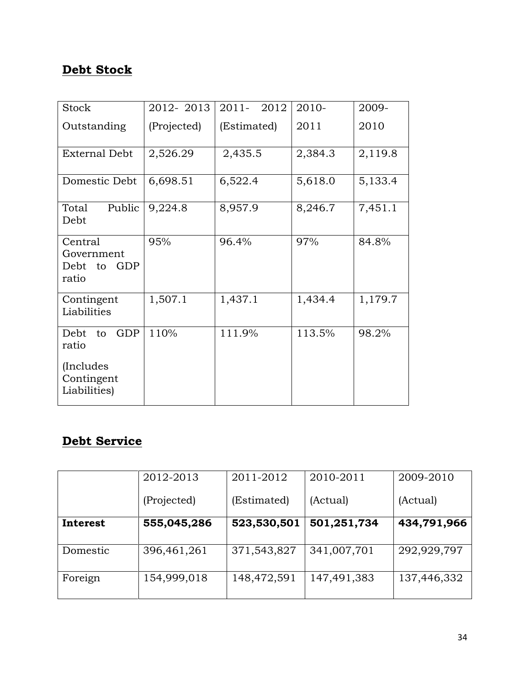## Debt Stock

| <b>Stock</b>                                     | 2012-2013   | $2011 -$<br>2012 | 2010-   | 2009-   |
|--------------------------------------------------|-------------|------------------|---------|---------|
| Outstanding                                      | (Projected) | (Estimated)      | 2011    | 2010    |
| <b>External Debt</b>                             | 2,526.29    | 2,435.5          | 2,384.3 | 2,119.8 |
| Domestic Debt                                    | 6,698.51    | 6,522.4          | 5,618.0 | 5,133.4 |
| Public<br>Total<br>Debt                          | 9,224.8     | 8,957.9          | 8,246.7 | 7,451.1 |
| Central<br>Government<br>Debt to<br>GDP<br>ratio | 95%         | 96.4%            | 97%     | 84.8%   |
| Contingent<br>Liabilities                        | 1,507.1     | 1,437.1          | 1,434.4 | 1,179.7 |
| <b>GDP</b><br>Debt to<br>ratio                   | 110%        | 111.9%           | 113.5%  | 98.2%   |
| (Includes)<br>Contingent<br>Liabilities)         |             |                  |         |         |

## Debt Service

|          | 2012-2013   | 2011-2012   | 2010-2011   | 2009-2010   |
|----------|-------------|-------------|-------------|-------------|
|          | (Projected) | (Estimated) | (Actual)    | (Actual)    |
| Interest | 555,045,286 | 523,530,501 | 501,251,734 | 434,791,966 |
| Domestic | 396,461,261 | 371,543,827 | 341,007,701 | 292,929,797 |
| Foreign  | 154,999,018 | 148,472,591 | 147,491,383 | 137,446,332 |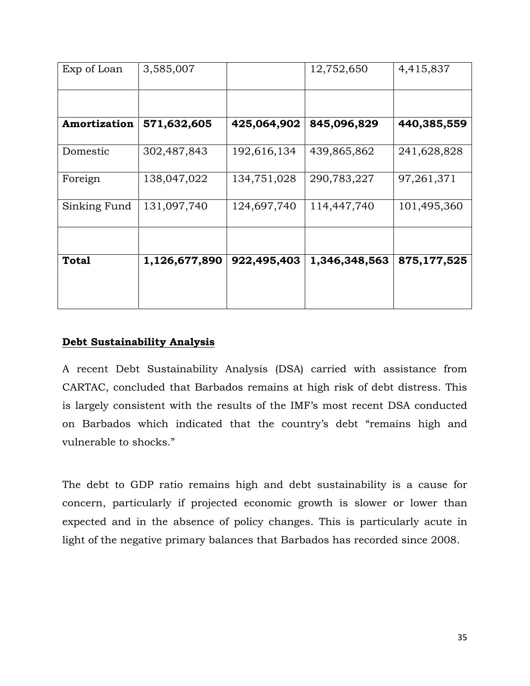| Exp of Loan  | 3,585,007     |             | 12,752,650    | 4,415,837   |
|--------------|---------------|-------------|---------------|-------------|
|              |               |             |               |             |
| Amortization | 571,632,605   | 425,064,902 | 845,096,829   | 440,385,559 |
| Domestic     | 302,487,843   | 192,616,134 | 439,865,862   | 241,628,828 |
| Foreign      | 138,047,022   | 134,751,028 | 290,783,227   | 97,261,371  |
| Sinking Fund | 131,097,740   | 124,697,740 | 114,447,740   | 101,495,360 |
|              |               |             |               |             |
| <b>Total</b> | 1,126,677,890 | 922,495,403 | 1,346,348,563 | 875,177,525 |
|              |               |             |               |             |

## Debt Sustainability Analysis

A recent Debt Sustainability Analysis (DSA) carried with assistance from CARTAC, concluded that Barbados remains at high risk of debt distress. This is largely consistent with the results of the IMF's most recent DSA conducted on Barbados which indicated that the country's debt "remains high and vulnerable to shocks."

The debt to GDP ratio remains high and debt sustainability is a cause for concern, particularly if projected economic growth is slower or lower than expected and in the absence of policy changes. This is particularly acute in light of the negative primary balances that Barbados has recorded since 2008.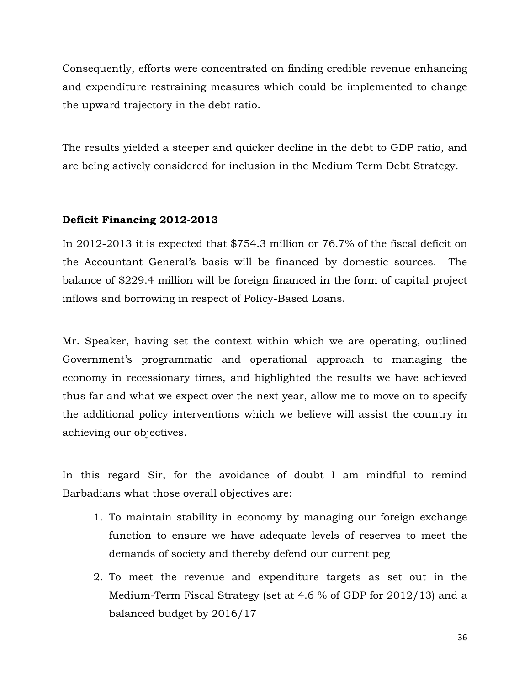Consequently, efforts were concentrated on finding credible revenue enhancing and expenditure restraining measures which could be implemented to change the upward trajectory in the debt ratio.

The results yielded a steeper and quicker decline in the debt to GDP ratio, and are being actively considered for inclusion in the Medium Term Debt Strategy.

## Deficit Financing 2012-2013

In 2012-2013 it is expected that \$754.3 million or 76.7% of the fiscal deficit on the Accountant General's basis will be financed by domestic sources. The balance of \$229.4 million will be foreign financed in the form of capital project inflows and borrowing in respect of Policy-Based Loans.

Mr. Speaker, having set the context within which we are operating, outlined Government's programmatic and operational approach to managing the economy in recessionary times, and highlighted the results we have achieved thus far and what we expect over the next year, allow me to move on to specify the additional policy interventions which we believe will assist the country in achieving our objectives.

In this regard Sir, for the avoidance of doubt I am mindful to remind Barbadians what those overall objectives are:

- 1. To maintain stability in economy by managing our foreign exchange function to ensure we have adequate levels of reserves to meet the demands of society and thereby defend our current peg
- 2. To meet the revenue and expenditure targets as set out in the Medium-Term Fiscal Strategy (set at 4.6 % of GDP for 2012/13) and a balanced budget by 2016/17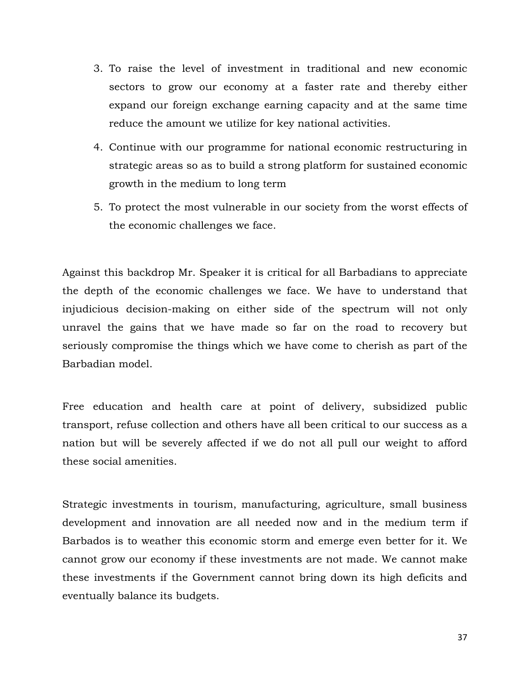- 3. To raise the level of investment in traditional and new economic sectors to grow our economy at a faster rate and thereby either expand our foreign exchange earning capacity and at the same time reduce the amount we utilize for key national activities.
- 4. Continue with our programme for national economic restructuring in strategic areas so as to build a strong platform for sustained economic growth in the medium to long term
- 5. To protect the most vulnerable in our society from the worst effects of the economic challenges we face.

Against this backdrop Mr. Speaker it is critical for all Barbadians to appreciate the depth of the economic challenges we face. We have to understand that injudicious decision-making on either side of the spectrum will not only unravel the gains that we have made so far on the road to recovery but seriously compromise the things which we have come to cherish as part of the Barbadian model.

Free education and health care at point of delivery, subsidized public transport, refuse collection and others have all been critical to our success as a nation but will be severely affected if we do not all pull our weight to afford these social amenities.

Strategic investments in tourism, manufacturing, agriculture, small business development and innovation are all needed now and in the medium term if Barbados is to weather this economic storm and emerge even better for it. We cannot grow our economy if these investments are not made. We cannot make these investments if the Government cannot bring down its high deficits and eventually balance its budgets.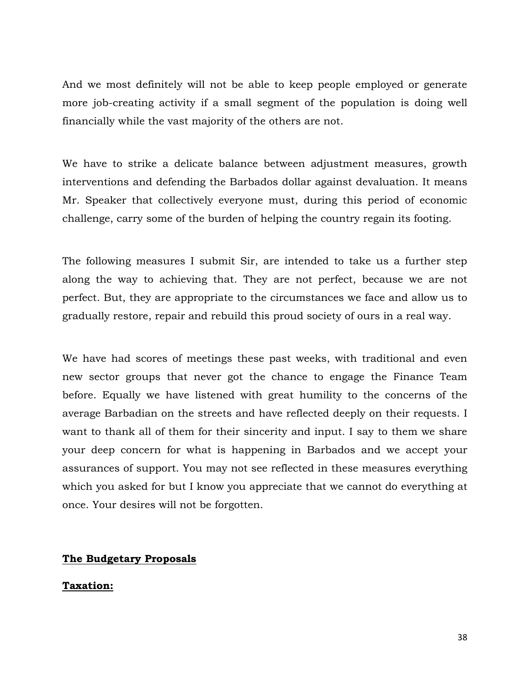And we most definitely will not be able to keep people employed or generate more job-creating activity if a small segment of the population is doing well financially while the vast majority of the others are not.

We have to strike a delicate balance between adjustment measures, growth interventions and defending the Barbados dollar against devaluation. It means Mr. Speaker that collectively everyone must, during this period of economic challenge, carry some of the burden of helping the country regain its footing.

The following measures I submit Sir, are intended to take us a further step along the way to achieving that. They are not perfect, because we are not perfect. But, they are appropriate to the circumstances we face and allow us to gradually restore, repair and rebuild this proud society of ours in a real way.

We have had scores of meetings these past weeks, with traditional and even new sector groups that never got the chance to engage the Finance Team before. Equally we have listened with great humility to the concerns of the average Barbadian on the streets and have reflected deeply on their requests. I want to thank all of them for their sincerity and input. I say to them we share your deep concern for what is happening in Barbados and we accept your assurances of support. You may not see reflected in these measures everything which you asked for but I know you appreciate that we cannot do everything at once. Your desires will not be forgotten.

# The Budgetary Proposals

# Taxation: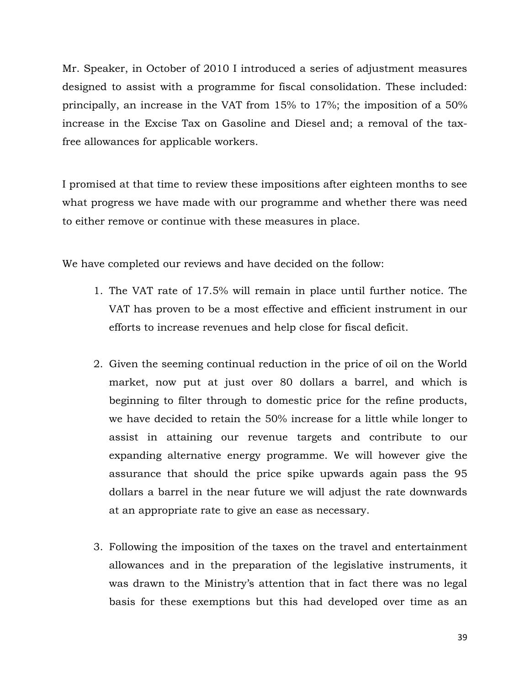Mr. Speaker, in October of 2010 I introduced a series of adjustment measures designed to assist with a programme for fiscal consolidation. These included: principally, an increase in the VAT from 15% to 17%; the imposition of a 50% increase in the Excise Tax on Gasoline and Diesel and; a removal of the taxfree allowances for applicable workers.

I promised at that time to review these impositions after eighteen months to see what progress we have made with our programme and whether there was need to either remove or continue with these measures in place.

We have completed our reviews and have decided on the follow:

- 1. The VAT rate of 17.5% will remain in place until further notice. The VAT has proven to be a most effective and efficient instrument in our efforts to increase revenues and help close for fiscal deficit.
- 2. Given the seeming continual reduction in the price of oil on the World market, now put at just over 80 dollars a barrel, and which is beginning to filter through to domestic price for the refine products, we have decided to retain the 50% increase for a little while longer to assist in attaining our revenue targets and contribute to our expanding alternative energy programme. We will however give the assurance that should the price spike upwards again pass the 95 dollars a barrel in the near future we will adjust the rate downwards at an appropriate rate to give an ease as necessary.
- 3. Following the imposition of the taxes on the travel and entertainment allowances and in the preparation of the legislative instruments, it was drawn to the Ministry's attention that in fact there was no legal basis for these exemptions but this had developed over time as an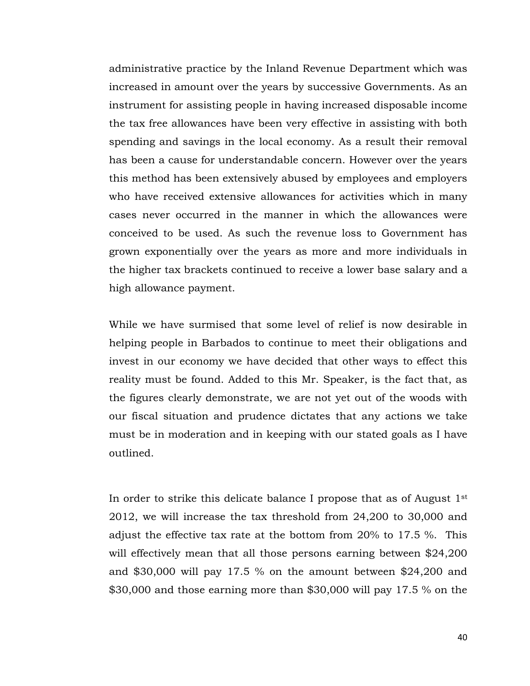administrative practice by the Inland Revenue Department which was increased in amount over the years by successive Governments. As an instrument for assisting people in having increased disposable income the tax free allowances have been very effective in assisting with both spending and savings in the local economy. As a result their removal has been a cause for understandable concern. However over the years this method has been extensively abused by employees and employers who have received extensive allowances for activities which in many cases never occurred in the manner in which the allowances were conceived to be used. As such the revenue loss to Government has grown exponentially over the years as more and more individuals in the higher tax brackets continued to receive a lower base salary and a high allowance payment.

While we have surmised that some level of relief is now desirable in helping people in Barbados to continue to meet their obligations and invest in our economy we have decided that other ways to effect this reality must be found. Added to this Mr. Speaker, is the fact that, as the figures clearly demonstrate, we are not yet out of the woods with our fiscal situation and prudence dictates that any actions we take must be in moderation and in keeping with our stated goals as I have outlined.

In order to strike this delicate balance I propose that as of August  $1<sup>st</sup>$ 2012, we will increase the tax threshold from 24,200 to 30,000 and adjust the effective tax rate at the bottom from 20% to 17.5 %. This will effectively mean that all those persons earning between \$24,200 and \$30,000 will pay 17.5 % on the amount between \$24,200 and \$30,000 and those earning more than \$30,000 will pay 17.5 % on the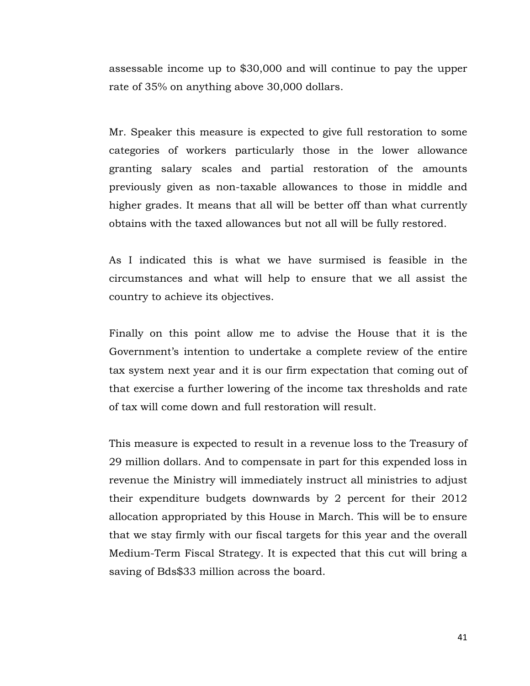assessable income up to \$30,000 and will continue to pay the upper rate of 35% on anything above 30,000 dollars.

Mr. Speaker this measure is expected to give full restoration to some categories of workers particularly those in the lower allowance granting salary scales and partial restoration of the amounts previously given as non-taxable allowances to those in middle and higher grades. It means that all will be better off than what currently obtains with the taxed allowances but not all will be fully restored.

As I indicated this is what we have surmised is feasible in the circumstances and what will help to ensure that we all assist the country to achieve its objectives.

Finally on this point allow me to advise the House that it is the Government's intention to undertake a complete review of the entire tax system next year and it is our firm expectation that coming out of that exercise a further lowering of the income tax thresholds and rate of tax will come down and full restoration will result.

This measure is expected to result in a revenue loss to the Treasury of 29 million dollars. And to compensate in part for this expended loss in revenue the Ministry will immediately instruct all ministries to adjust their expenditure budgets downwards by 2 percent for their 2012 allocation appropriated by this House in March. This will be to ensure that we stay firmly with our fiscal targets for this year and the overall Medium-Term Fiscal Strategy. It is expected that this cut will bring a saving of Bds\$33 million across the board.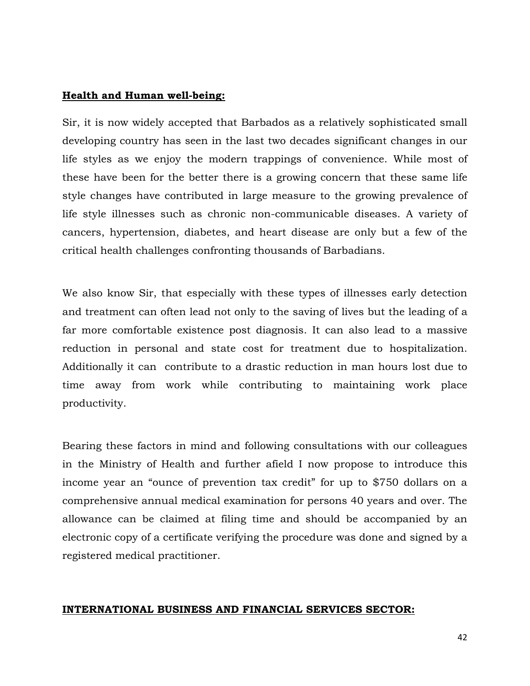#### Health and Human well-being:

Sir, it is now widely accepted that Barbados as a relatively sophisticated small developing country has seen in the last two decades significant changes in our life styles as we enjoy the modern trappings of convenience. While most of these have been for the better there is a growing concern that these same life style changes have contributed in large measure to the growing prevalence of life style illnesses such as chronic non-communicable diseases. A variety of cancers, hypertension, diabetes, and heart disease are only but a few of the critical health challenges confronting thousands of Barbadians.

We also know Sir, that especially with these types of illnesses early detection and treatment can often lead not only to the saving of lives but the leading of a far more comfortable existence post diagnosis. It can also lead to a massive reduction in personal and state cost for treatment due to hospitalization. Additionally it can contribute to a drastic reduction in man hours lost due to time away from work while contributing to maintaining work place productivity.

Bearing these factors in mind and following consultations with our colleagues in the Ministry of Health and further afield I now propose to introduce this income year an "ounce of prevention tax credit" for up to \$750 dollars on a comprehensive annual medical examination for persons 40 years and over. The allowance can be claimed at filing time and should be accompanied by an electronic copy of a certificate verifying the procedure was done and signed by a registered medical practitioner.

#### INTERNATIONAL BUSINESS AND FINANCIAL SERVICES SECTOR: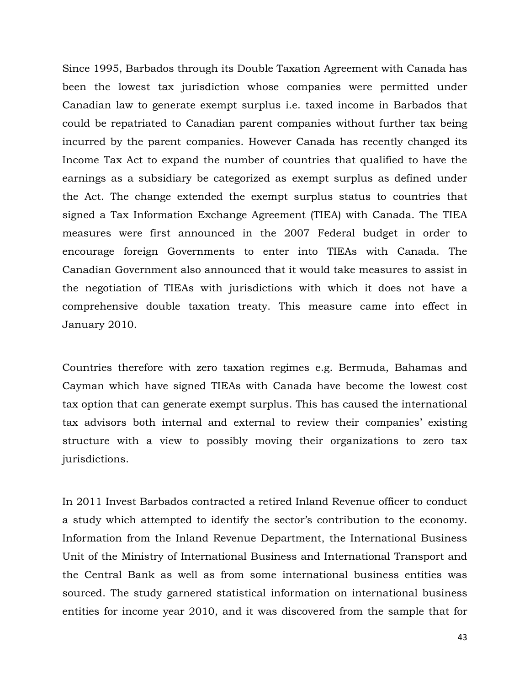Since 1995, Barbados through its Double Taxation Agreement with Canada has been the lowest tax jurisdiction whose companies were permitted under Canadian law to generate exempt surplus i.e. taxed income in Barbados that could be repatriated to Canadian parent companies without further tax being incurred by the parent companies. However Canada has recently changed its Income Tax Act to expand the number of countries that qualified to have the earnings as a subsidiary be categorized as exempt surplus as defined under the Act. The change extended the exempt surplus status to countries that signed a Tax Information Exchange Agreement (TIEA) with Canada. The TIEA measures were first announced in the 2007 Federal budget in order to encourage foreign Governments to enter into TIEAs with Canada. The Canadian Government also announced that it would take measures to assist in the negotiation of TIEAs with jurisdictions with which it does not have a comprehensive double taxation treaty. This measure came into effect in January 2010.

Countries therefore with zero taxation regimes e.g. Bermuda, Bahamas and Cayman which have signed TIEAs with Canada have become the lowest cost tax option that can generate exempt surplus. This has caused the international tax advisors both internal and external to review their companies' existing structure with a view to possibly moving their organizations to zero tax jurisdictions.

In 2011 Invest Barbados contracted a retired Inland Revenue officer to conduct a study which attempted to identify the sector's contribution to the economy. Information from the Inland Revenue Department, the International Business Unit of the Ministry of International Business and International Transport and the Central Bank as well as from some international business entities was sourced. The study garnered statistical information on international business entities for income year 2010, and it was discovered from the sample that for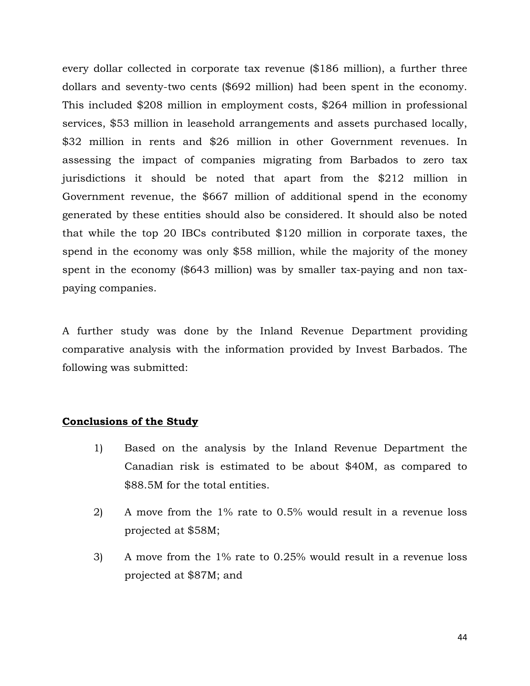every dollar collected in corporate tax revenue (\$186 million), a further three dollars and seventy-two cents (\$692 million) had been spent in the economy. This included \$208 million in employment costs, \$264 million in professional services, \$53 million in leasehold arrangements and assets purchased locally, \$32 million in rents and \$26 million in other Government revenues. In assessing the impact of companies migrating from Barbados to zero tax jurisdictions it should be noted that apart from the \$212 million in Government revenue, the \$667 million of additional spend in the economy generated by these entities should also be considered. It should also be noted that while the top 20 IBCs contributed \$120 million in corporate taxes, the spend in the economy was only \$58 million, while the majority of the money spent in the economy (\$643 million) was by smaller tax-paying and non taxpaying companies.

A further study was done by the Inland Revenue Department providing comparative analysis with the information provided by Invest Barbados. The following was submitted:

#### Conclusions of the Study

- 1) Based on the analysis by the Inland Revenue Department the Canadian risk is estimated to be about \$40M, as compared to \$88.5M for the total entities.
- 2) A move from the 1% rate to 0.5% would result in a revenue loss projected at \$58M;
- 3) A move from the 1% rate to 0.25% would result in a revenue loss projected at \$87M; and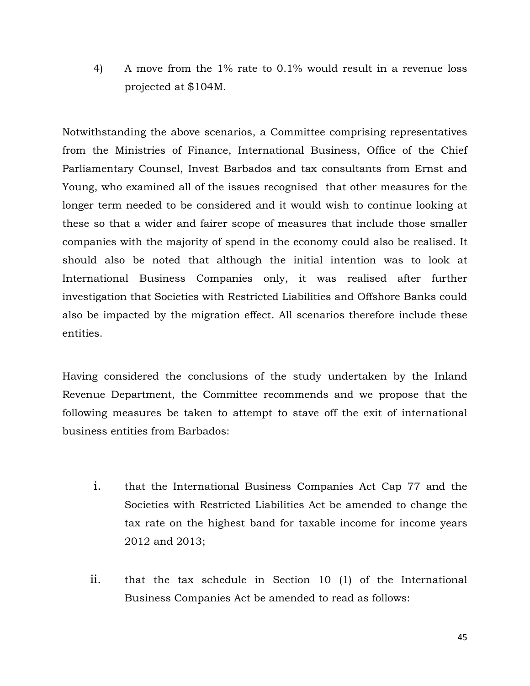4) A move from the 1% rate to 0.1% would result in a revenue loss projected at \$104M.

Notwithstanding the above scenarios, a Committee comprising representatives from the Ministries of Finance, International Business, Office of the Chief Parliamentary Counsel, Invest Barbados and tax consultants from Ernst and Young, who examined all of the issues recognised that other measures for the longer term needed to be considered and it would wish to continue looking at these so that a wider and fairer scope of measures that include those smaller companies with the majority of spend in the economy could also be realised. It should also be noted that although the initial intention was to look at International Business Companies only, it was realised after further investigation that Societies with Restricted Liabilities and Offshore Banks could also be impacted by the migration effect. All scenarios therefore include these entities.

Having considered the conclusions of the study undertaken by the Inland Revenue Department, the Committee recommends and we propose that the following measures be taken to attempt to stave off the exit of international business entities from Barbados:

- i. that the International Business Companies Act Cap 77 and the Societies with Restricted Liabilities Act be amended to change the tax rate on the highest band for taxable income for income years 2012 and 2013;
- ii. that the tax schedule in Section 10 (1) of the International Business Companies Act be amended to read as follows: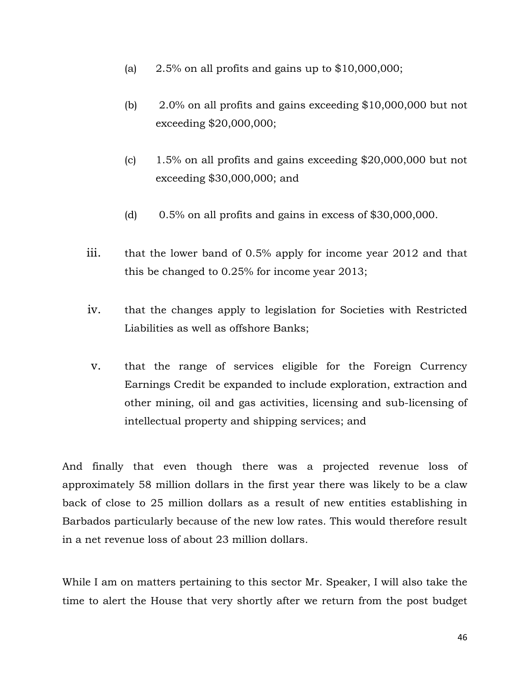- (a)  $2.5\%$  on all profits and gains up to \$10,000,000;
- (b) 2.0% on all profits and gains exceeding \$10,000,000 but not exceeding \$20,000,000;
- (c) 1.5% on all profits and gains exceeding \$20,000,000 but not exceeding \$30,000,000; and
- (d)  $0.5\%$  on all profits and gains in excess of \$30,000,000.
- iii. that the lower band of 0.5% apply for income year 2012 and that this be changed to 0.25% for income year 2013;
- iv. that the changes apply to legislation for Societies with Restricted Liabilities as well as offshore Banks;
- v. that the range of services eligible for the Foreign Currency Earnings Credit be expanded to include exploration, extraction and other mining, oil and gas activities, licensing and sub-licensing of intellectual property and shipping services; and

And finally that even though there was a projected revenue loss of approximately 58 million dollars in the first year there was likely to be a claw back of close to 25 million dollars as a result of new entities establishing in Barbados particularly because of the new low rates. This would therefore result in a net revenue loss of about 23 million dollars.

While I am on matters pertaining to this sector Mr. Speaker, I will also take the time to alert the House that very shortly after we return from the post budget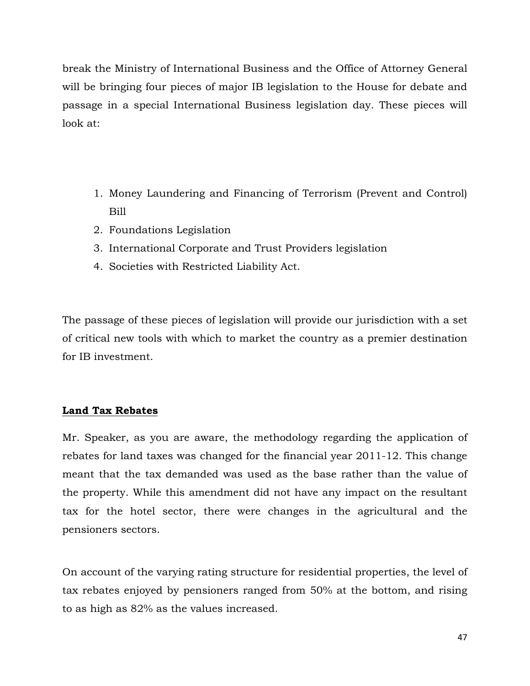break the Ministry of International Business and the Office of Attorney General will be bringing four pieces of major IB legislation to the House for debate and passage in a special International Business legislation day. These pieces will look at:

- 1. Money Laundering and Financing of Terrorism (Prevent and Control) Bill
- 2. Foundations Legislation
- 3. International Corporate and Trust Providers legislation
- 4. Societies with Restricted Liability Act.

The passage of these pieces of legislation will provide our jurisdiction with a set of critical new tools with which to market the country as a premier destination for IB investment.

# Land Tax Rebates

Mr. Speaker, as you are aware, the methodology regarding the application of rebates for land taxes was changed for the financial year 2011-12. This change meant that the tax demanded was used as the base rather than the value of the property. While this amendment did not have any impact on the resultant tax for the hotel sector, there were changes in the agricultural and the pensioners sectors.

On account of the varying rating structure for residential properties, the level of tax rebates enjoyed by pensioners ranged from 50% at the bottom, and rising to as high as 82% as the values increased.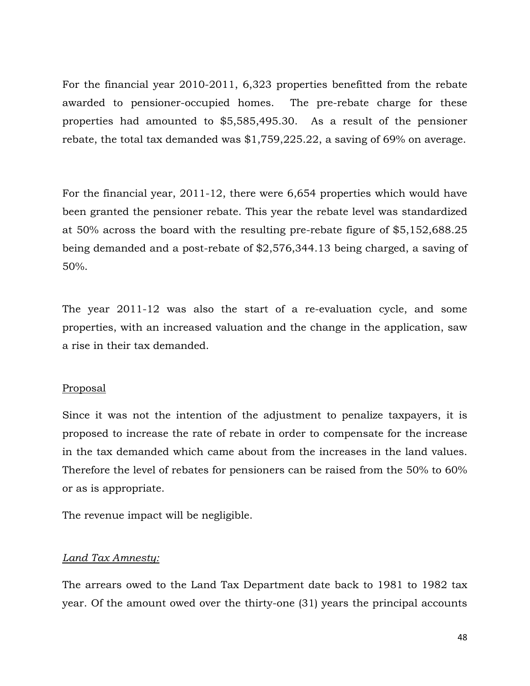For the financial year 2010-2011, 6,323 properties benefitted from the rebate awarded to pensioner-occupied homes. The pre-rebate charge for these properties had amounted to \$5,585,495.30. As a result of the pensioner rebate, the total tax demanded was \$1,759,225.22, a saving of 69% on average.

For the financial year, 2011-12, there were 6,654 properties which would have been granted the pensioner rebate. This year the rebate level was standardized at 50% across the board with the resulting pre-rebate figure of \$5,152,688.25 being demanded and a post-rebate of \$2,576,344.13 being charged, a saving of 50%.

The year 2011-12 was also the start of a re-evaluation cycle, and some properties, with an increased valuation and the change in the application, saw a rise in their tax demanded.

# Proposal

Since it was not the intention of the adjustment to penalize taxpayers, it is proposed to increase the rate of rebate in order to compensate for the increase in the tax demanded which came about from the increases in the land values. Therefore the level of rebates for pensioners can be raised from the 50% to 60% or as is appropriate.

The revenue impact will be negligible.

# Land Tax Amnesty:

The arrears owed to the Land Tax Department date back to 1981 to 1982 tax year. Of the amount owed over the thirty-one (31) years the principal accounts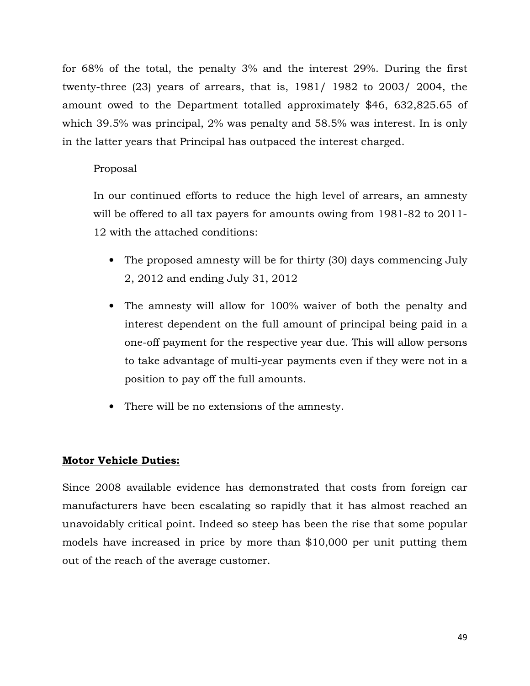for 68% of the total, the penalty 3% and the interest 29%. During the first twenty-three (23) years of arrears, that is, 1981/ 1982 to 2003/ 2004, the amount owed to the Department totalled approximately \$46, 632,825.65 of which 39.5% was principal, 2% was penalty and 58.5% was interest. In is only in the latter years that Principal has outpaced the interest charged.

# Proposal

In our continued efforts to reduce the high level of arrears, an amnesty will be offered to all tax payers for amounts owing from 1981-82 to 2011- 12 with the attached conditions:

- The proposed amnesty will be for thirty (30) days commencing July 2, 2012 and ending July 31, 2012
- The amnesty will allow for 100% waiver of both the penalty and interest dependent on the full amount of principal being paid in a one-off payment for the respective year due. This will allow persons to take advantage of multi-year payments even if they were not in a position to pay off the full amounts.
- There will be no extensions of the amnesty.

# Motor Vehicle Duties:

Since 2008 available evidence has demonstrated that costs from foreign car manufacturers have been escalating so rapidly that it has almost reached an unavoidably critical point. Indeed so steep has been the rise that some popular models have increased in price by more than \$10,000 per unit putting them out of the reach of the average customer.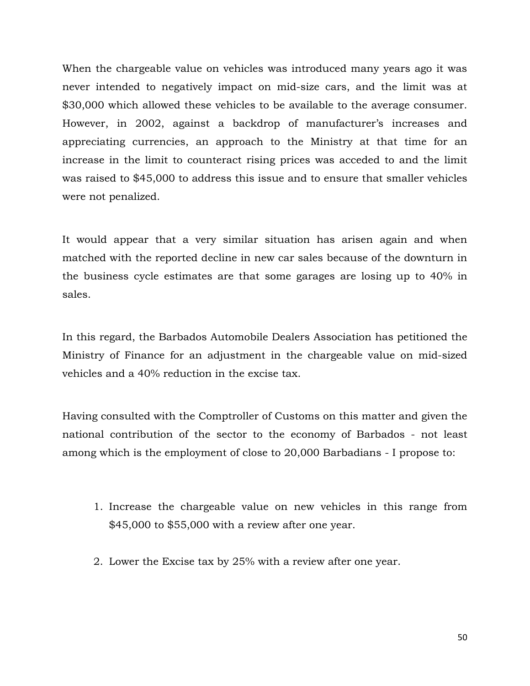When the chargeable value on vehicles was introduced many years ago it was never intended to negatively impact on mid-size cars, and the limit was at \$30,000 which allowed these vehicles to be available to the average consumer. However, in 2002, against a backdrop of manufacturer's increases and appreciating currencies, an approach to the Ministry at that time for an increase in the limit to counteract rising prices was acceded to and the limit was raised to \$45,000 to address this issue and to ensure that smaller vehicles were not penalized.

It would appear that a very similar situation has arisen again and when matched with the reported decline in new car sales because of the downturn in the business cycle estimates are that some garages are losing up to 40% in sales.

In this regard, the Barbados Automobile Dealers Association has petitioned the Ministry of Finance for an adjustment in the chargeable value on mid-sized vehicles and a 40% reduction in the excise tax.

Having consulted with the Comptroller of Customs on this matter and given the national contribution of the sector to the economy of Barbados - not least among which is the employment of close to 20,000 Barbadians - I propose to:

- 1. Increase the chargeable value on new vehicles in this range from \$45,000 to \$55,000 with a review after one year.
- 2. Lower the Excise tax by 25% with a review after one year.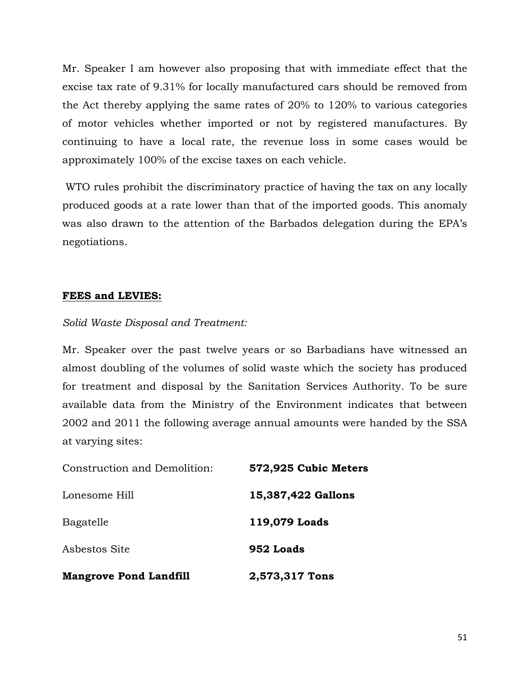Mr. Speaker I am however also proposing that with immediate effect that the excise tax rate of 9.31% for locally manufactured cars should be removed from the Act thereby applying the same rates of 20% to 120% to various categories of motor vehicles whether imported or not by registered manufactures. By continuing to have a local rate, the revenue loss in some cases would be approximately 100% of the excise taxes on each vehicle.

 WTO rules prohibit the discriminatory practice of having the tax on any locally produced goods at a rate lower than that of the imported goods. This anomaly was also drawn to the attention of the Barbados delegation during the EPA's negotiations.

## FEES and LEVIES:

## Solid Waste Disposal and Treatment:

Mr. Speaker over the past twelve years or so Barbadians have witnessed an almost doubling of the volumes of solid waste which the society has produced for treatment and disposal by the Sanitation Services Authority. To be sure available data from the Ministry of the Environment indicates that between 2002 and 2011 the following average annual amounts were handed by the SSA at varying sites:

| <b>Mangrove Pond Landfill</b> | 2,573,317 Tons       |
|-------------------------------|----------------------|
| Asbestos Site                 | 952 Loads            |
| Bagatelle                     | 119,079 Loads        |
| Lonesome Hill                 | 15,387,422 Gallons   |
| Construction and Demolition:  | 572,925 Cubic Meters |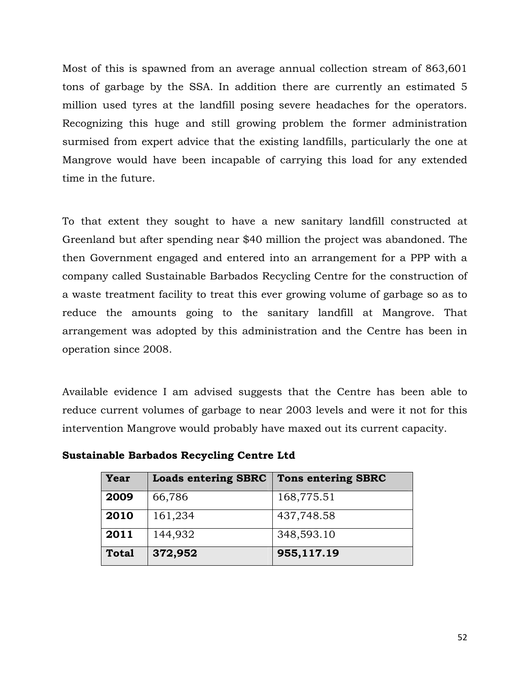Most of this is spawned from an average annual collection stream of 863,601 tons of garbage by the SSA. In addition there are currently an estimated 5 million used tyres at the landfill posing severe headaches for the operators. Recognizing this huge and still growing problem the former administration surmised from expert advice that the existing landfills, particularly the one at Mangrove would have been incapable of carrying this load for any extended time in the future.

To that extent they sought to have a new sanitary landfill constructed at Greenland but after spending near \$40 million the project was abandoned. The then Government engaged and entered into an arrangement for a PPP with a company called Sustainable Barbados Recycling Centre for the construction of a waste treatment facility to treat this ever growing volume of garbage so as to reduce the amounts going to the sanitary landfill at Mangrove. That arrangement was adopted by this administration and the Centre has been in operation since 2008.

Available evidence I am advised suggests that the Centre has been able to reduce current volumes of garbage to near 2003 levels and were it not for this intervention Mangrove would probably have maxed out its current capacity.

| Year         | <b>Loads entering SBRC</b> | <b>Tons entering SBRC</b> |
|--------------|----------------------------|---------------------------|
| 2009         | 66,786                     | 168,775.51                |
| 2010         | 161,234                    | 437,748.58                |
| 2011         | 144,932                    | 348,593.10                |
| <b>Total</b> | 372,952                    | 955,117.19                |

|  |  |  | <b>Sustainable Barbados Recycling Centre Ltd</b> |
|--|--|--|--------------------------------------------------|
|--|--|--|--------------------------------------------------|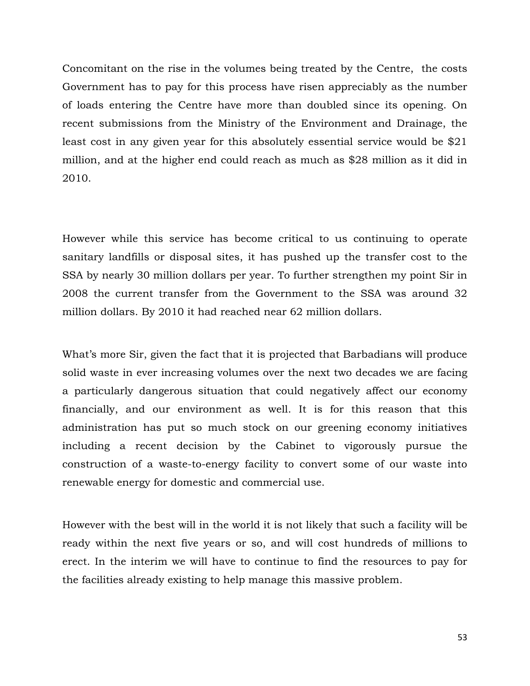Concomitant on the rise in the volumes being treated by the Centre, the costs Government has to pay for this process have risen appreciably as the number of loads entering the Centre have more than doubled since its opening. On recent submissions from the Ministry of the Environment and Drainage, the least cost in any given year for this absolutely essential service would be \$21 million, and at the higher end could reach as much as \$28 million as it did in 2010.

However while this service has become critical to us continuing to operate sanitary landfills or disposal sites, it has pushed up the transfer cost to the SSA by nearly 30 million dollars per year. To further strengthen my point Sir in 2008 the current transfer from the Government to the SSA was around 32 million dollars. By 2010 it had reached near 62 million dollars.

What's more Sir, given the fact that it is projected that Barbadians will produce solid waste in ever increasing volumes over the next two decades we are facing a particularly dangerous situation that could negatively affect our economy financially, and our environment as well. It is for this reason that this administration has put so much stock on our greening economy initiatives including a recent decision by the Cabinet to vigorously pursue the construction of a waste-to-energy facility to convert some of our waste into renewable energy for domestic and commercial use.

However with the best will in the world it is not likely that such a facility will be ready within the next five years or so, and will cost hundreds of millions to erect. In the interim we will have to continue to find the resources to pay for the facilities already existing to help manage this massive problem.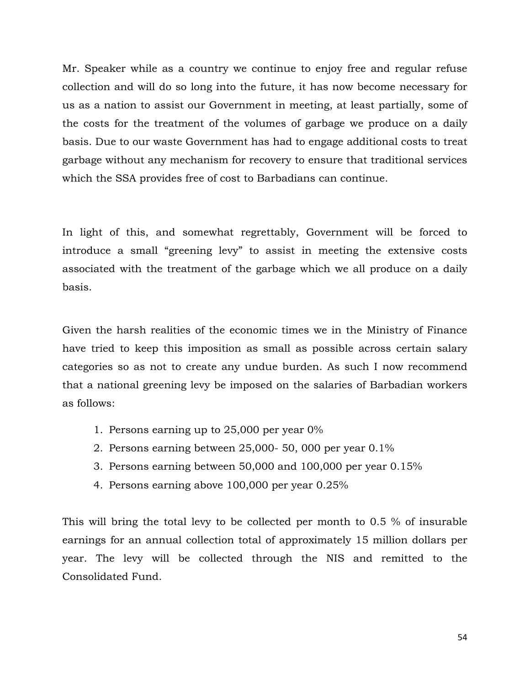Mr. Speaker while as a country we continue to enjoy free and regular refuse collection and will do so long into the future, it has now become necessary for us as a nation to assist our Government in meeting, at least partially, some of the costs for the treatment of the volumes of garbage we produce on a daily basis. Due to our waste Government has had to engage additional costs to treat garbage without any mechanism for recovery to ensure that traditional services which the SSA provides free of cost to Barbadians can continue.

In light of this, and somewhat regrettably, Government will be forced to introduce a small "greening levy" to assist in meeting the extensive costs associated with the treatment of the garbage which we all produce on a daily basis.

Given the harsh realities of the economic times we in the Ministry of Finance have tried to keep this imposition as small as possible across certain salary categories so as not to create any undue burden. As such I now recommend that a national greening levy be imposed on the salaries of Barbadian workers as follows:

- 1. Persons earning up to 25,000 per year 0%
- 2. Persons earning between 25,000- 50, 000 per year 0.1%
- 3. Persons earning between 50,000 and 100,000 per year 0.15%
- 4. Persons earning above 100,000 per year 0.25%

This will bring the total levy to be collected per month to 0.5 % of insurable earnings for an annual collection total of approximately 15 million dollars per year. The levy will be collected through the NIS and remitted to the Consolidated Fund.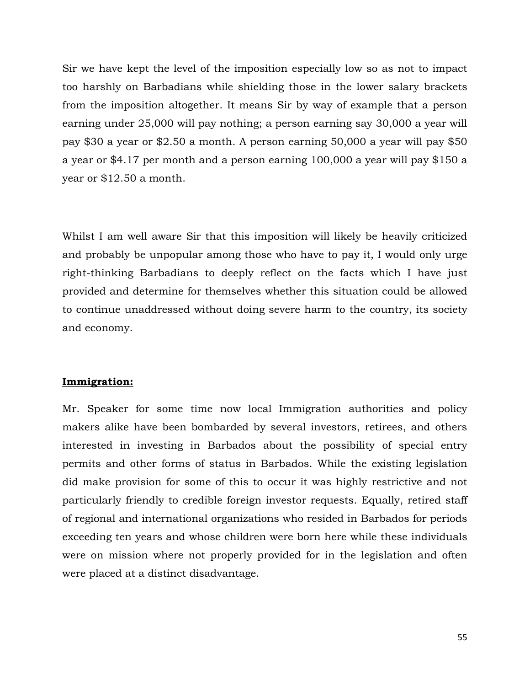Sir we have kept the level of the imposition especially low so as not to impact too harshly on Barbadians while shielding those in the lower salary brackets from the imposition altogether. It means Sir by way of example that a person earning under 25,000 will pay nothing; a person earning say 30,000 a year will pay \$30 a year or \$2.50 a month. A person earning 50,000 a year will pay \$50 a year or \$4.17 per month and a person earning 100,000 a year will pay \$150 a year or \$12.50 a month.

Whilst I am well aware Sir that this imposition will likely be heavily criticized and probably be unpopular among those who have to pay it, I would only urge right-thinking Barbadians to deeply reflect on the facts which I have just provided and determine for themselves whether this situation could be allowed to continue unaddressed without doing severe harm to the country, its society and economy.

#### Immigration:

Mr. Speaker for some time now local Immigration authorities and policy makers alike have been bombarded by several investors, retirees, and others interested in investing in Barbados about the possibility of special entry permits and other forms of status in Barbados. While the existing legislation did make provision for some of this to occur it was highly restrictive and not particularly friendly to credible foreign investor requests. Equally, retired staff of regional and international organizations who resided in Barbados for periods exceeding ten years and whose children were born here while these individuals were on mission where not properly provided for in the legislation and often were placed at a distinct disadvantage.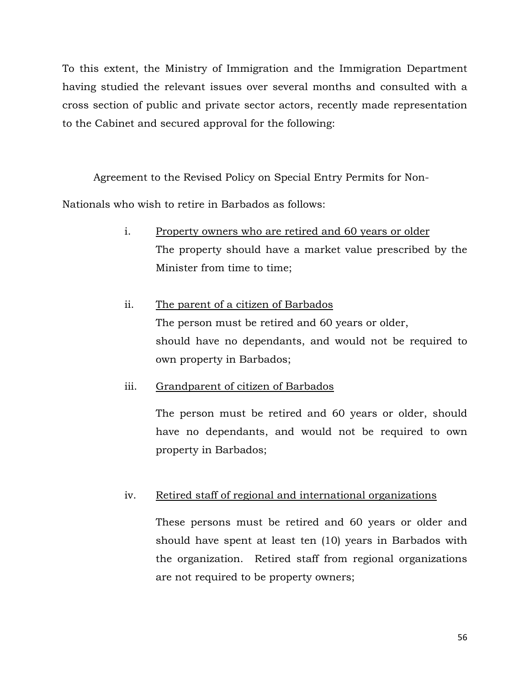To this extent, the Ministry of Immigration and the Immigration Department having studied the relevant issues over several months and consulted with a cross section of public and private sector actors, recently made representation to the Cabinet and secured approval for the following:

Agreement to the Revised Policy on Special Entry Permits for Non-

Nationals who wish to retire in Barbados as follows:

- i. Property owners who are retired and 60 years or older The property should have a market value prescribed by the Minister from time to time;
- ii. The parent of a citizen of Barbados The person must be retired and 60 years or older, should have no dependants, and would not be required to own property in Barbados;

iii. Grandparent of citizen of Barbados

The person must be retired and 60 years or older, should have no dependants, and would not be required to own property in Barbados;

# iv. Retired staff of regional and international organizations

These persons must be retired and 60 years or older and should have spent at least ten (10) years in Barbados with the organization. Retired staff from regional organizations are not required to be property owners;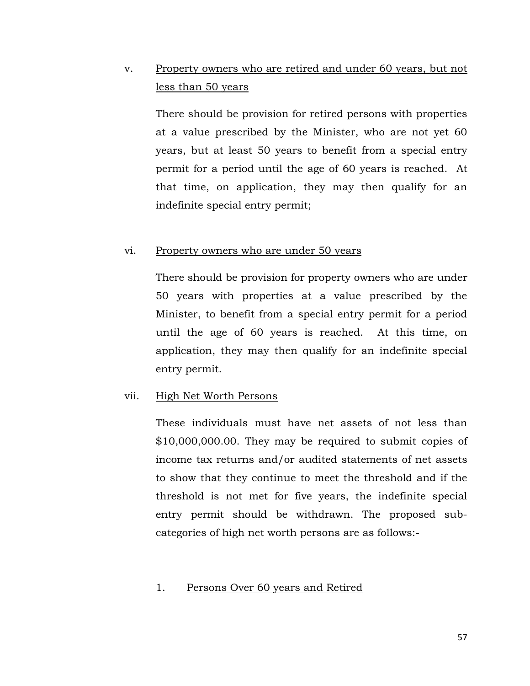# v. Property owners who are retired and under 60 years, but not less than 50 years

There should be provision for retired persons with properties at a value prescribed by the Minister, who are not yet 60 years, but at least 50 years to benefit from a special entry permit for a period until the age of 60 years is reached. At that time, on application, they may then qualify for an indefinite special entry permit;

#### vi. Property owners who are under 50 years

There should be provision for property owners who are under 50 years with properties at a value prescribed by the Minister, to benefit from a special entry permit for a period until the age of 60 years is reached. At this time, on application, they may then qualify for an indefinite special entry permit.

#### vii. High Net Worth Persons

These individuals must have net assets of not less than \$10,000,000.00. They may be required to submit copies of income tax returns and/or audited statements of net assets to show that they continue to meet the threshold and if the threshold is not met for five years, the indefinite special entry permit should be withdrawn. The proposed subcategories of high net worth persons are as follows:-

## 1. Persons Over 60 years and Retired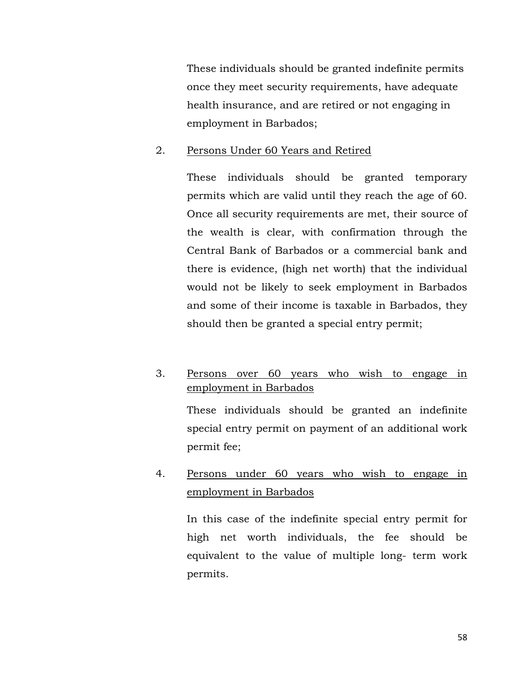These individuals should be granted indefinite permits once they meet security requirements, have adequate health insurance, and are retired or not engaging in employment in Barbados;

### 2. Persons Under 60 Years and Retired

These individuals should be granted temporary permits which are valid until they reach the age of 60. Once all security requirements are met, their source of the wealth is clear, with confirmation through the Central Bank of Barbados or a commercial bank and there is evidence, (high net worth) that the individual would not be likely to seek employment in Barbados and some of their income is taxable in Barbados, they should then be granted a special entry permit;

# 3. Persons over 60 years who wish to engage in employment in Barbados

These individuals should be granted an indefinite special entry permit on payment of an additional work permit fee;

# 4. Persons under 60 years who wish to engage in employment in Barbados

In this case of the indefinite special entry permit for high net worth individuals, the fee should be equivalent to the value of multiple long- term work permits.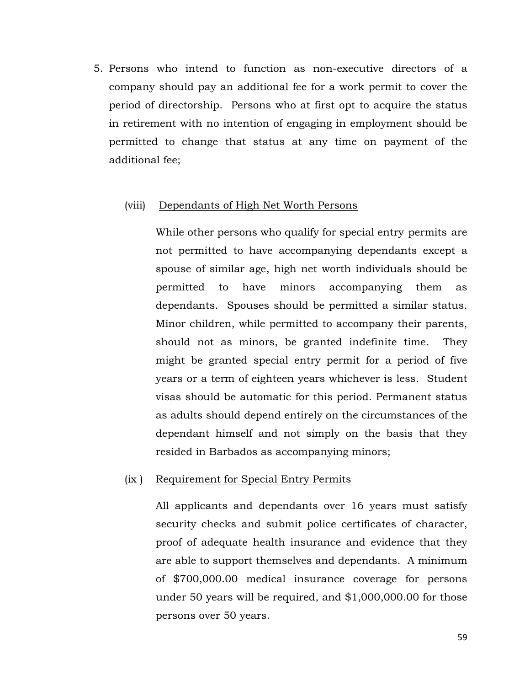5. Persons who intend to function as non-executive directors of a company should pay an additional fee for a work permit to cover the period of directorship. Persons who at first opt to acquire the status in retirement with no intention of engaging in employment should be permitted to change that status at any time on payment of the additional fee;

#### (viii) Dependants of High Net Worth Persons

While other persons who qualify for special entry permits are not permitted to have accompanying dependants except a spouse of similar age, high net worth individuals should be permitted to have minors accompanying them as dependants. Spouses should be permitted a similar status. Minor children, while permitted to accompany their parents, should not as minors, be granted indefinite time. They might be granted special entry permit for a period of five years or a term of eighteen years whichever is less. Student visas should be automatic for this period. Permanent status as adults should depend entirely on the circumstances of the dependant himself and not simply on the basis that they resided in Barbados as accompanying minors;

#### (ix ) Requirement for Special Entry Permits

All applicants and dependants over 16 years must satisfy security checks and submit police certificates of character, proof of adequate health insurance and evidence that they are able to support themselves and dependants. A minimum of \$700,000.00 medical insurance coverage for persons under 50 years will be required, and \$1,000,000.00 for those persons over 50 years.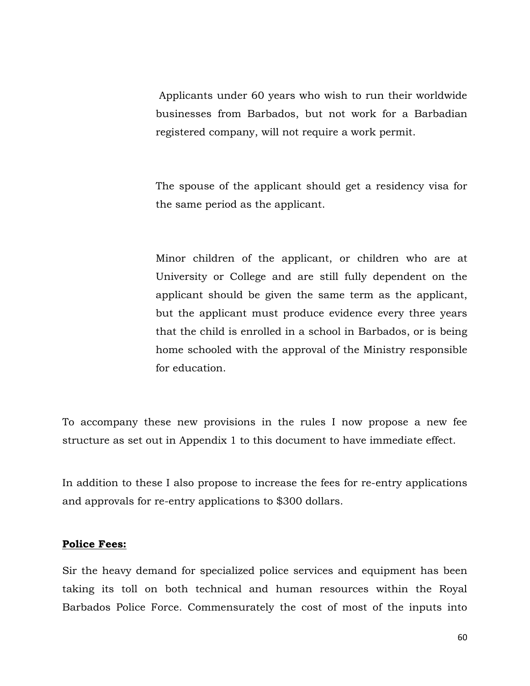Applicants under 60 years who wish to run their worldwide businesses from Barbados, but not work for a Barbadian registered company, will not require a work permit.

The spouse of the applicant should get a residency visa for the same period as the applicant.

Minor children of the applicant, or children who are at University or College and are still fully dependent on the applicant should be given the same term as the applicant, but the applicant must produce evidence every three years that the child is enrolled in a school in Barbados, or is being home schooled with the approval of the Ministry responsible for education.

To accompany these new provisions in the rules I now propose a new fee structure as set out in Appendix 1 to this document to have immediate effect.

In addition to these I also propose to increase the fees for re-entry applications and approvals for re-entry applications to \$300 dollars.

#### Police Fees:

Sir the heavy demand for specialized police services and equipment has been taking its toll on both technical and human resources within the Royal Barbados Police Force. Commensurately the cost of most of the inputs into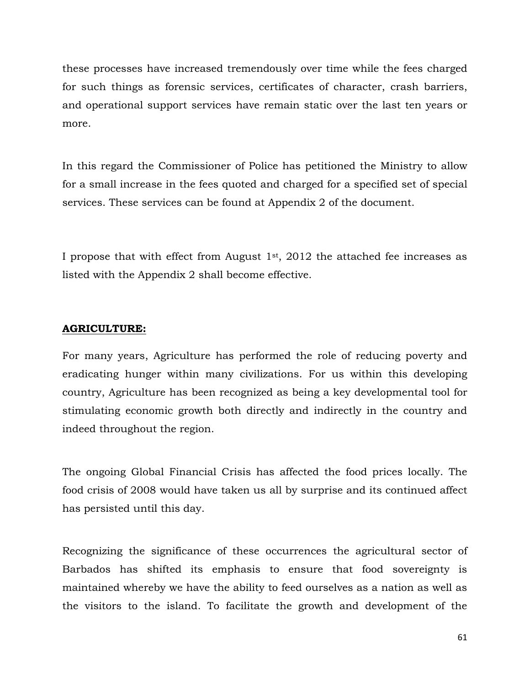these processes have increased tremendously over time while the fees charged for such things as forensic services, certificates of character, crash barriers, and operational support services have remain static over the last ten years or more.

In this regard the Commissioner of Police has petitioned the Ministry to allow for a small increase in the fees quoted and charged for a specified set of special services. These services can be found at Appendix 2 of the document.

I propose that with effect from August  $1<sup>st</sup>$ , 2012 the attached fee increases as listed with the Appendix 2 shall become effective.

#### AGRICULTURE:

For many years, Agriculture has performed the role of reducing poverty and eradicating hunger within many civilizations. For us within this developing country, Agriculture has been recognized as being a key developmental tool for stimulating economic growth both directly and indirectly in the country and indeed throughout the region.

The ongoing Global Financial Crisis has affected the food prices locally. The food crisis of 2008 would have taken us all by surprise and its continued affect has persisted until this day.

Recognizing the significance of these occurrences the agricultural sector of Barbados has shifted its emphasis to ensure that food sovereignty is maintained whereby we have the ability to feed ourselves as a nation as well as the visitors to the island. To facilitate the growth and development of the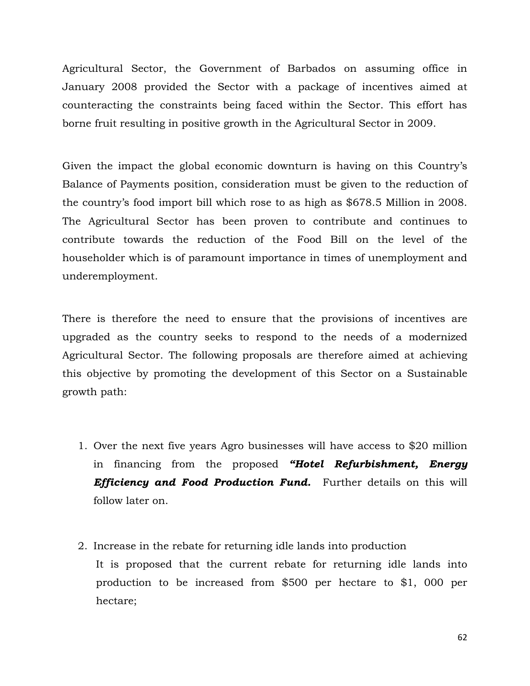Agricultural Sector, the Government of Barbados on assuming office in January 2008 provided the Sector with a package of incentives aimed at counteracting the constraints being faced within the Sector. This effort has borne fruit resulting in positive growth in the Agricultural Sector in 2009.

Given the impact the global economic downturn is having on this Country's Balance of Payments position, consideration must be given to the reduction of the country's food import bill which rose to as high as \$678.5 Million in 2008. The Agricultural Sector has been proven to contribute and continues to contribute towards the reduction of the Food Bill on the level of the householder which is of paramount importance in times of unemployment and underemployment.

There is therefore the need to ensure that the provisions of incentives are upgraded as the country seeks to respond to the needs of a modernized Agricultural Sector. The following proposals are therefore aimed at achieving this objective by promoting the development of this Sector on a Sustainable growth path:

- 1. Over the next five years Agro businesses will have access to \$20 million in financing from the proposed "Hotel Refurbishment, Energy **Efficiency and Food Production Fund.** Further details on this will follow later on.
- 2. Increase in the rebate for returning idle lands into production It is proposed that the current rebate for returning idle lands into production to be increased from \$500 per hectare to \$1, 000 per hectare;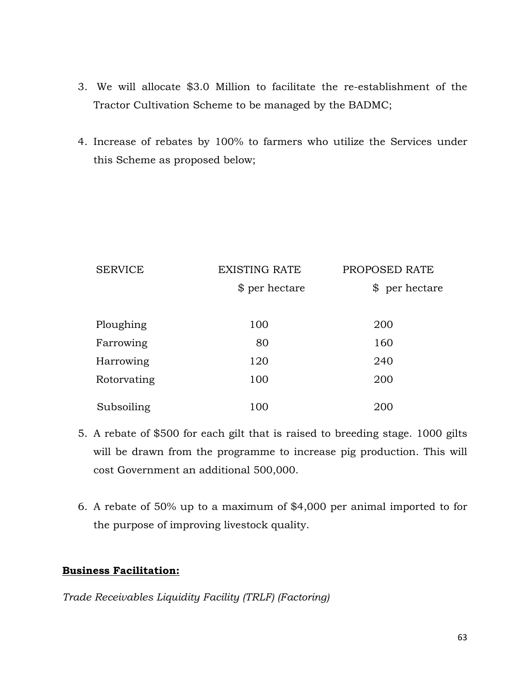- 3. We will allocate \$3.0 Million to facilitate the re-establishment of the Tractor Cultivation Scheme to be managed by the BADMC;
- 4. Increase of rebates by 100% to farmers who utilize the Services under this Scheme as proposed below;

| <b>SERVICE</b> | <b>EXISTING RATE</b> | PROPOSED RATE  |  |
|----------------|----------------------|----------------|--|
|                | \$ per hectare       | \$ per hectare |  |
|                |                      |                |  |
| Ploughing      | 100                  | 200            |  |
| Farrowing      | 80                   | 160            |  |
| Harrowing      | 120                  | 240            |  |
| Rotorvating    | 100                  | 200            |  |
| Subsoiling     | 100                  | 200            |  |

- 5. A rebate of \$500 for each gilt that is raised to breeding stage. 1000 gilts will be drawn from the programme to increase pig production. This will cost Government an additional 500,000.
- 6. A rebate of 50% up to a maximum of \$4,000 per animal imported to for the purpose of improving livestock quality.

# Business Facilitation:

Trade Receivables Liquidity Facility (TRLF) (Factoring)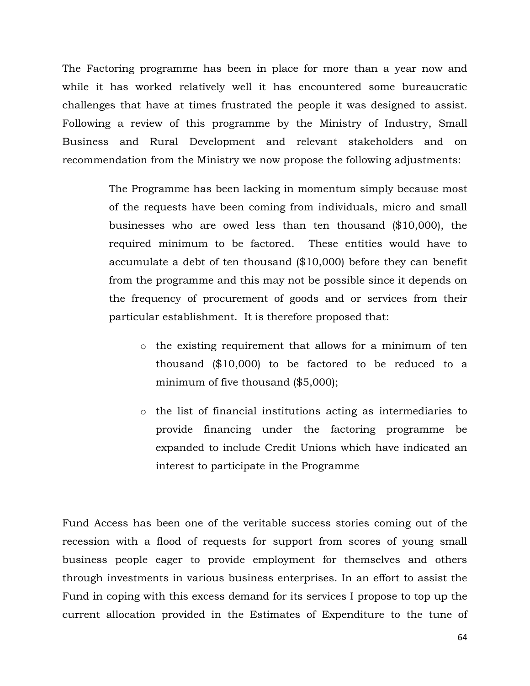The Factoring programme has been in place for more than a year now and while it has worked relatively well it has encountered some bureaucratic challenges that have at times frustrated the people it was designed to assist. Following a review of this programme by the Ministry of Industry, Small Business and Rural Development and relevant stakeholders and on recommendation from the Ministry we now propose the following adjustments:

> The Programme has been lacking in momentum simply because most of the requests have been coming from individuals, micro and small businesses who are owed less than ten thousand (\$10,000), the required minimum to be factored. These entities would have to accumulate a debt of ten thousand (\$10,000) before they can benefit from the programme and this may not be possible since it depends on the frequency of procurement of goods and or services from their particular establishment. It is therefore proposed that:

- o the existing requirement that allows for a minimum of ten thousand (\$10,000) to be factored to be reduced to a minimum of five thousand (\$5,000);
- o the list of financial institutions acting as intermediaries to provide financing under the factoring programme be expanded to include Credit Unions which have indicated an interest to participate in the Programme

Fund Access has been one of the veritable success stories coming out of the recession with a flood of requests for support from scores of young small business people eager to provide employment for themselves and others through investments in various business enterprises. In an effort to assist the Fund in coping with this excess demand for its services I propose to top up the current allocation provided in the Estimates of Expenditure to the tune of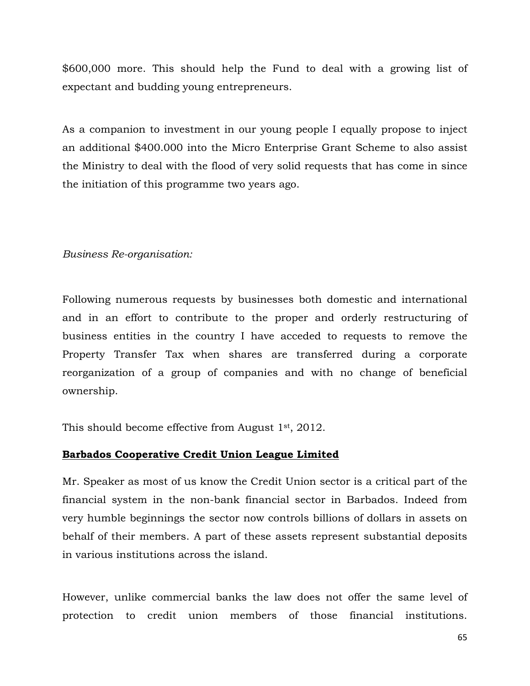\$600,000 more. This should help the Fund to deal with a growing list of expectant and budding young entrepreneurs.

As a companion to investment in our young people I equally propose to inject an additional \$400.000 into the Micro Enterprise Grant Scheme to also assist the Ministry to deal with the flood of very solid requests that has come in since the initiation of this programme two years ago.

# Business Re-organisation:

Following numerous requests by businesses both domestic and international and in an effort to contribute to the proper and orderly restructuring of business entities in the country I have acceded to requests to remove the Property Transfer Tax when shares are transferred during a corporate reorganization of a group of companies and with no change of beneficial ownership.

This should become effective from August 1st, 2012.

# Barbados Cooperative Credit Union League Limited

Mr. Speaker as most of us know the Credit Union sector is a critical part of the financial system in the non-bank financial sector in Barbados. Indeed from very humble beginnings the sector now controls billions of dollars in assets on behalf of their members. A part of these assets represent substantial deposits in various institutions across the island.

However, unlike commercial banks the law does not offer the same level of protection to credit union members of those financial institutions.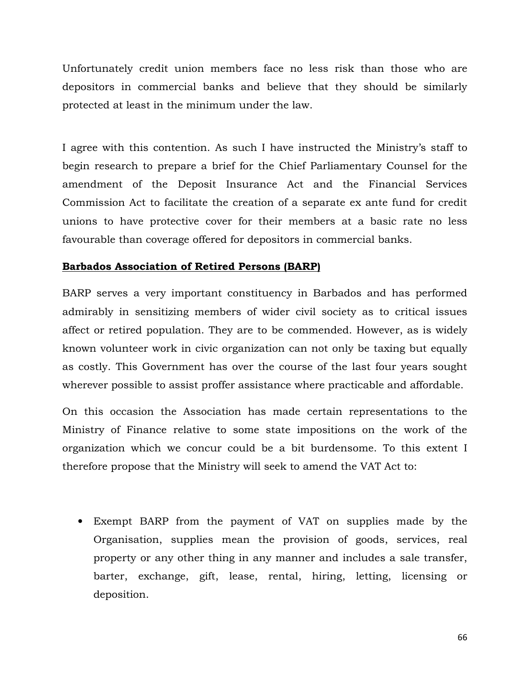Unfortunately credit union members face no less risk than those who are depositors in commercial banks and believe that they should be similarly protected at least in the minimum under the law.

I agree with this contention. As such I have instructed the Ministry's staff to begin research to prepare a brief for the Chief Parliamentary Counsel for the amendment of the Deposit Insurance Act and the Financial Services Commission Act to facilitate the creation of a separate ex ante fund for credit unions to have protective cover for their members at a basic rate no less favourable than coverage offered for depositors in commercial banks.

## Barbados Association of Retired Persons (BARP)

BARP serves a very important constituency in Barbados and has performed admirably in sensitizing members of wider civil society as to critical issues affect or retired population. They are to be commended. However, as is widely known volunteer work in civic organization can not only be taxing but equally as costly. This Government has over the course of the last four years sought wherever possible to assist proffer assistance where practicable and affordable.

On this occasion the Association has made certain representations to the Ministry of Finance relative to some state impositions on the work of the organization which we concur could be a bit burdensome. To this extent I therefore propose that the Ministry will seek to amend the VAT Act to:

• Exempt BARP from the payment of VAT on supplies made by the Organisation, supplies mean the provision of goods, services, real property or any other thing in any manner and includes a sale transfer, barter, exchange, gift, lease, rental, hiring, letting, licensing or deposition.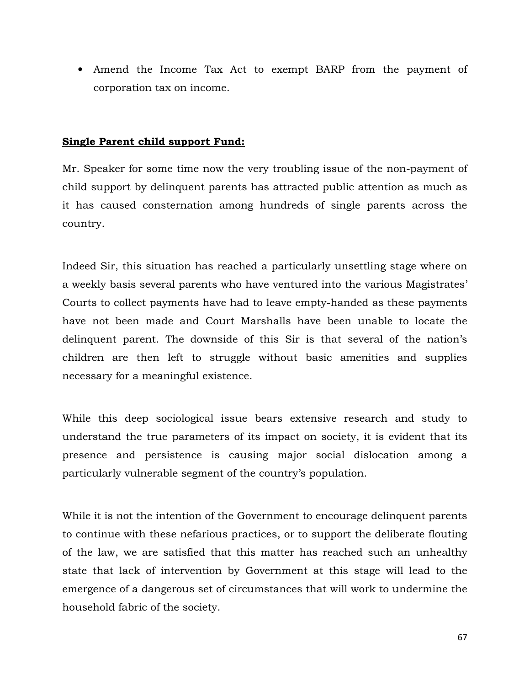• Amend the Income Tax Act to exempt BARP from the payment of corporation tax on income.

## Single Parent child support Fund:

Mr. Speaker for some time now the very troubling issue of the non-payment of child support by delinquent parents has attracted public attention as much as it has caused consternation among hundreds of single parents across the country.

Indeed Sir, this situation has reached a particularly unsettling stage where on a weekly basis several parents who have ventured into the various Magistrates' Courts to collect payments have had to leave empty-handed as these payments have not been made and Court Marshalls have been unable to locate the delinquent parent. The downside of this Sir is that several of the nation's children are then left to struggle without basic amenities and supplies necessary for a meaningful existence.

While this deep sociological issue bears extensive research and study to understand the true parameters of its impact on society, it is evident that its presence and persistence is causing major social dislocation among a particularly vulnerable segment of the country's population.

While it is not the intention of the Government to encourage delinquent parents to continue with these nefarious practices, or to support the deliberate flouting of the law, we are satisfied that this matter has reached such an unhealthy state that lack of intervention by Government at this stage will lead to the emergence of a dangerous set of circumstances that will work to undermine the household fabric of the society.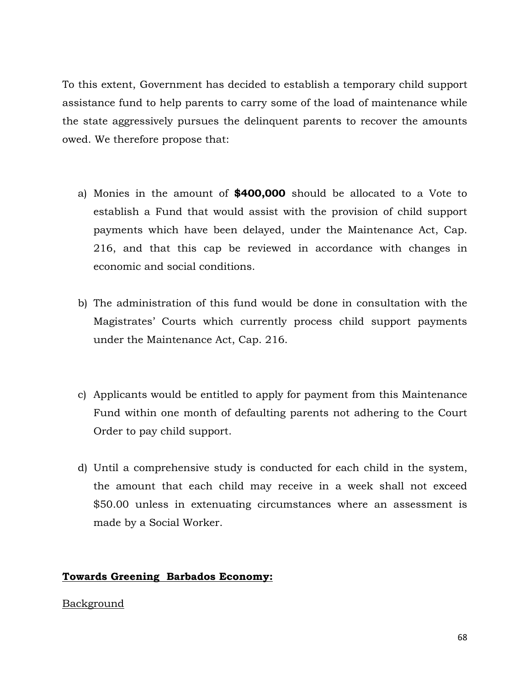To this extent, Government has decided to establish a temporary child support assistance fund to help parents to carry some of the load of maintenance while the state aggressively pursues the delinquent parents to recover the amounts owed. We therefore propose that:

- a) Monies in the amount of \$400,000 should be allocated to a Vote to establish a Fund that would assist with the provision of child support payments which have been delayed, under the Maintenance Act, Cap. 216, and that this cap be reviewed in accordance with changes in economic and social conditions.
- b) The administration of this fund would be done in consultation with the Magistrates' Courts which currently process child support payments under the Maintenance Act, Cap. 216.
- c) Applicants would be entitled to apply for payment from this Maintenance Fund within one month of defaulting parents not adhering to the Court Order to pay child support.
- d) Until a comprehensive study is conducted for each child in the system, the amount that each child may receive in a week shall not exceed \$50.00 unless in extenuating circumstances where an assessment is made by a Social Worker.

# Towards Greening Barbados Economy:

# Background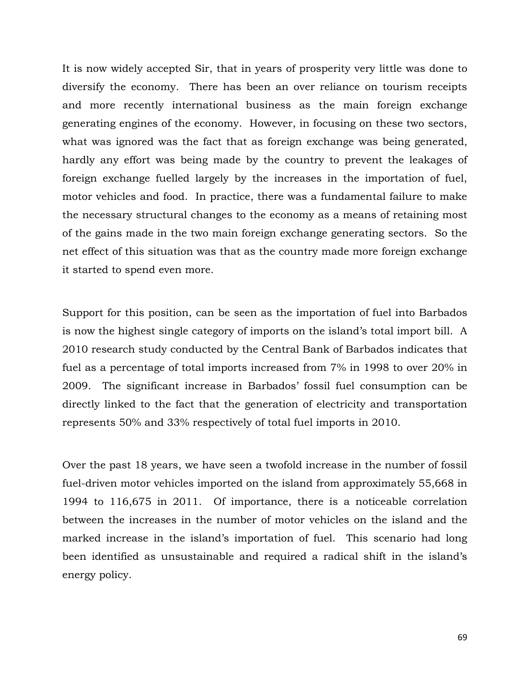It is now widely accepted Sir, that in years of prosperity very little was done to diversify the economy. There has been an over reliance on tourism receipts and more recently international business as the main foreign exchange generating engines of the economy. However, in focusing on these two sectors, what was ignored was the fact that as foreign exchange was being generated, hardly any effort was being made by the country to prevent the leakages of foreign exchange fuelled largely by the increases in the importation of fuel, motor vehicles and food. In practice, there was a fundamental failure to make the necessary structural changes to the economy as a means of retaining most of the gains made in the two main foreign exchange generating sectors. So the net effect of this situation was that as the country made more foreign exchange it started to spend even more.

Support for this position, can be seen as the importation of fuel into Barbados is now the highest single category of imports on the island's total import bill. A 2010 research study conducted by the Central Bank of Barbados indicates that fuel as a percentage of total imports increased from 7% in 1998 to over 20% in 2009. The significant increase in Barbados' fossil fuel consumption can be directly linked to the fact that the generation of electricity and transportation represents 50% and 33% respectively of total fuel imports in 2010.

Over the past 18 years, we have seen a twofold increase in the number of fossil fuel-driven motor vehicles imported on the island from approximately 55,668 in 1994 to 116,675 in 2011. Of importance, there is a noticeable correlation between the increases in the number of motor vehicles on the island and the marked increase in the island's importation of fuel. This scenario had long been identified as unsustainable and required a radical shift in the island's energy policy.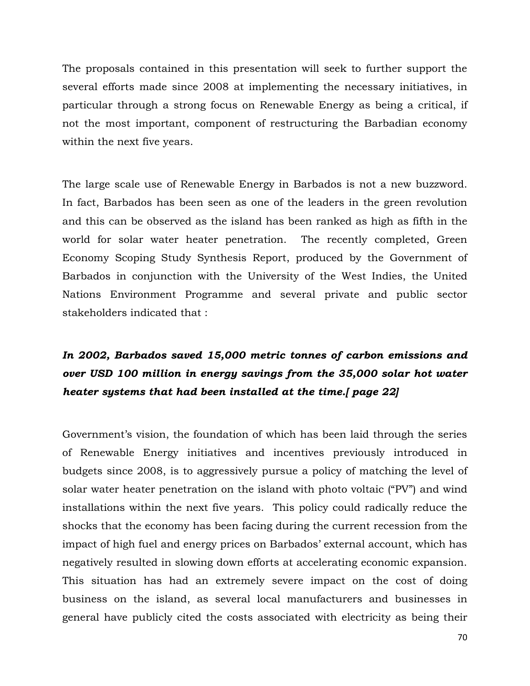The proposals contained in this presentation will seek to further support the several efforts made since 2008 at implementing the necessary initiatives, in particular through a strong focus on Renewable Energy as being a critical, if not the most important, component of restructuring the Barbadian economy within the next five years.

The large scale use of Renewable Energy in Barbados is not a new buzzword. In fact, Barbados has been seen as one of the leaders in the green revolution and this can be observed as the island has been ranked as high as fifth in the world for solar water heater penetration. The recently completed, Green Economy Scoping Study Synthesis Report, produced by the Government of Barbados in conjunction with the University of the West Indies, the United Nations Environment Programme and several private and public sector stakeholders indicated that :

# In 2002, Barbados saved 15,000 metric tonnes of carbon emissions and over USD 100 million in energy savings from the 35,000 solar hot water heater systems that had been installed at the time. [ page 22]

Government's vision, the foundation of which has been laid through the series of Renewable Energy initiatives and incentives previously introduced in budgets since 2008, is to aggressively pursue a policy of matching the level of solar water heater penetration on the island with photo voltaic ("PV") and wind installations within the next five years. This policy could radically reduce the shocks that the economy has been facing during the current recession from the impact of high fuel and energy prices on Barbados' external account, which has negatively resulted in slowing down efforts at accelerating economic expansion. This situation has had an extremely severe impact on the cost of doing business on the island, as several local manufacturers and businesses in general have publicly cited the costs associated with electricity as being their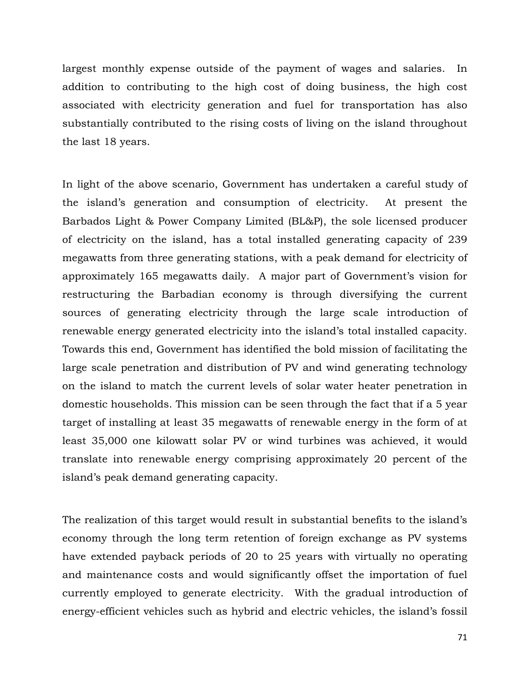largest monthly expense outside of the payment of wages and salaries. In addition to contributing to the high cost of doing business, the high cost associated with electricity generation and fuel for transportation has also substantially contributed to the rising costs of living on the island throughout the last 18 years.

In light of the above scenario, Government has undertaken a careful study of the island's generation and consumption of electricity. At present the Barbados Light & Power Company Limited (BL&P), the sole licensed producer of electricity on the island, has a total installed generating capacity of 239 megawatts from three generating stations, with a peak demand for electricity of approximately 165 megawatts daily. A major part of Government's vision for restructuring the Barbadian economy is through diversifying the current sources of generating electricity through the large scale introduction of renewable energy generated electricity into the island's total installed capacity. Towards this end, Government has identified the bold mission of facilitating the large scale penetration and distribution of PV and wind generating technology on the island to match the current levels of solar water heater penetration in domestic households. This mission can be seen through the fact that if a 5 year target of installing at least 35 megawatts of renewable energy in the form of at least 35,000 one kilowatt solar PV or wind turbines was achieved, it would translate into renewable energy comprising approximately 20 percent of the island's peak demand generating capacity.

The realization of this target would result in substantial benefits to the island's economy through the long term retention of foreign exchange as PV systems have extended payback periods of 20 to 25 years with virtually no operating and maintenance costs and would significantly offset the importation of fuel currently employed to generate electricity. With the gradual introduction of energy-efficient vehicles such as hybrid and electric vehicles, the island's fossil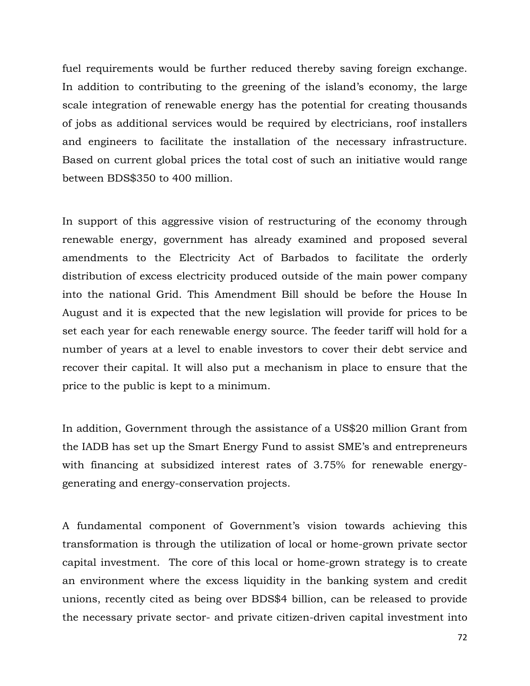fuel requirements would be further reduced thereby saving foreign exchange. In addition to contributing to the greening of the island's economy, the large scale integration of renewable energy has the potential for creating thousands of jobs as additional services would be required by electricians, roof installers and engineers to facilitate the installation of the necessary infrastructure. Based on current global prices the total cost of such an initiative would range between BDS\$350 to 400 million.

In support of this aggressive vision of restructuring of the economy through renewable energy, government has already examined and proposed several amendments to the Electricity Act of Barbados to facilitate the orderly distribution of excess electricity produced outside of the main power company into the national Grid. This Amendment Bill should be before the House In August and it is expected that the new legislation will provide for prices to be set each year for each renewable energy source. The feeder tariff will hold for a number of years at a level to enable investors to cover their debt service and recover their capital. It will also put a mechanism in place to ensure that the price to the public is kept to a minimum.

In addition, Government through the assistance of a US\$20 million Grant from the IADB has set up the Smart Energy Fund to assist SME's and entrepreneurs with financing at subsidized interest rates of 3.75% for renewable energygenerating and energy-conservation projects.

A fundamental component of Government's vision towards achieving this transformation is through the utilization of local or home-grown private sector capital investment. The core of this local or home-grown strategy is to create an environment where the excess liquidity in the banking system and credit unions, recently cited as being over BDS\$4 billion, can be released to provide the necessary private sector- and private citizen-driven capital investment into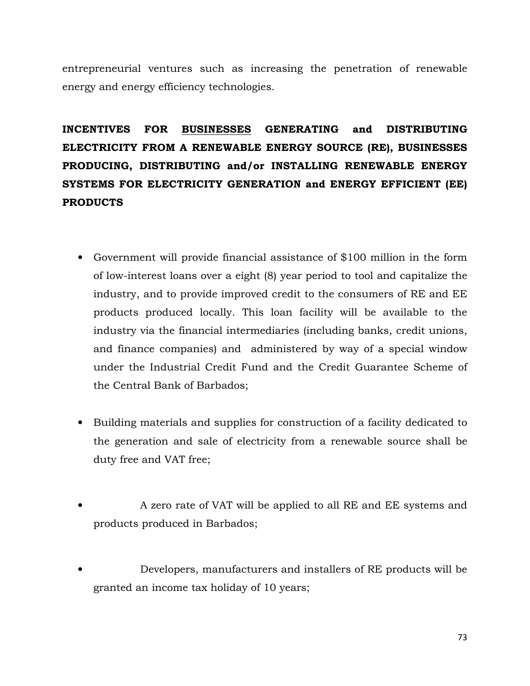entrepreneurial ventures such as increasing the penetration of renewable energy and energy efficiency technologies.

INCENTIVES FOR BUSINESSES GENERATING and DISTRIBUTING ELECTRICITY FROM A RENEWABLE ENERGY SOURCE (RE), BUSINESSES PRODUCING, DISTRIBUTING and/or INSTALLING RENEWABLE ENERGY SYSTEMS FOR ELECTRICITY GENERATION and ENERGY EFFICIENT (EE) PRODUCTS

- Government will provide financial assistance of \$100 million in the form of low-interest loans over a eight (8) year period to tool and capitalize the industry, and to provide improved credit to the consumers of RE and EE products produced locally. This loan facility will be available to the industry via the financial intermediaries (including banks, credit unions, and finance companies) and administered by way of a special window under the Industrial Credit Fund and the Credit Guarantee Scheme of the Central Bank of Barbados;
- Building materials and supplies for construction of a facility dedicated to the generation and sale of electricity from a renewable source shall be duty free and VAT free;
- A zero rate of VAT will be applied to all RE and EE systems and products produced in Barbados;
- Developers, manufacturers and installers of RE products will be granted an income tax holiday of 10 years;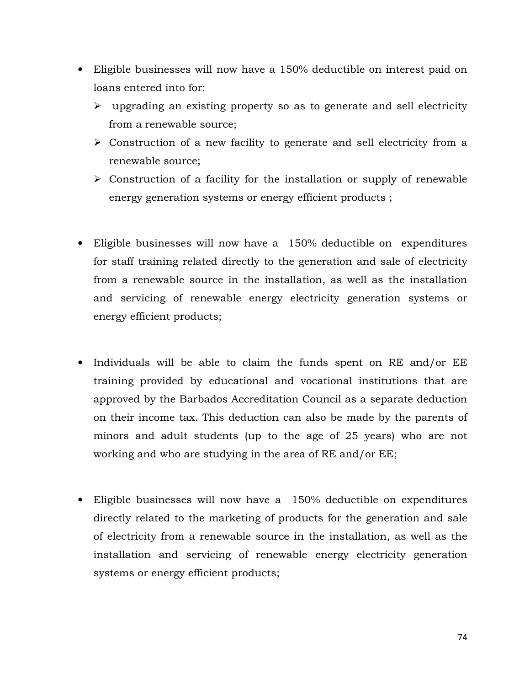- Eligible businesses will now have a 150% deductible on interest paid on loans entered into for:
	- $\triangleright$  upgrading an existing property so as to generate and sell electricity from a renewable source;
	- $\triangleright$  Construction of a new facility to generate and sell electricity from a renewable source;
	- $\triangleright$  Construction of a facility for the installation or supply of renewable energy generation systems or energy efficient products ;
- Eligible businesses will now have a 150% deductible on expenditures for staff training related directly to the generation and sale of electricity from a renewable source in the installation, as well as the installation and servicing of renewable energy electricity generation systems or energy efficient products;
- Individuals will be able to claim the funds spent on RE and/or EE training provided by educational and vocational institutions that are approved by the Barbados Accreditation Council as a separate deduction on their income tax. This deduction can also be made by the parents of minors and adult students (up to the age of 25 years) who are not working and who are studying in the area of RE and/or EE;
- Eligible businesses will now have a 150% deductible on expenditures directly related to the marketing of products for the generation and sale of electricity from a renewable source in the installation, as well as the installation and servicing of renewable energy electricity generation systems or energy efficient products;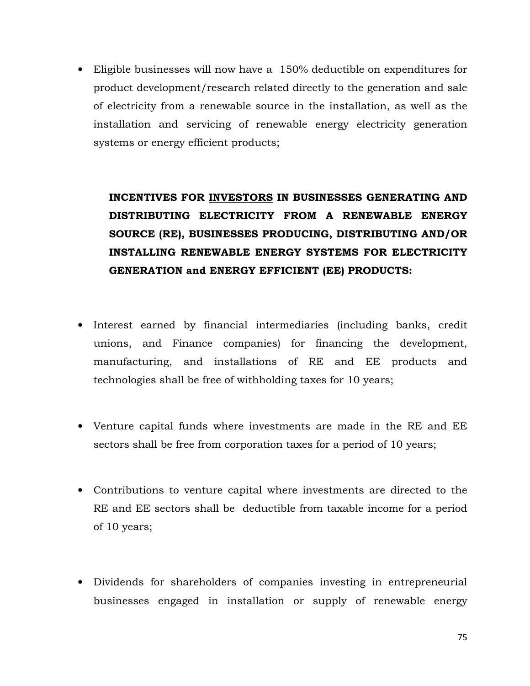• Eligible businesses will now have a 150% deductible on expenditures for product development/research related directly to the generation and sale of electricity from a renewable source in the installation, as well as the installation and servicing of renewable energy electricity generation systems or energy efficient products;

INCENTIVES FOR INVESTORS IN BUSINESSES GENERATING AND DISTRIBUTING ELECTRICITY FROM A RENEWABLE ENERGY SOURCE (RE), BUSINESSES PRODUCING, DISTRIBUTING AND/OR INSTALLING RENEWABLE ENERGY SYSTEMS FOR ELECTRICITY GENERATION and ENERGY EFFICIENT (EE) PRODUCTS:

- Interest earned by financial intermediaries (including banks, credit unions, and Finance companies) for financing the development, manufacturing, and installations of RE and EE products and technologies shall be free of withholding taxes for 10 years;
- Venture capital funds where investments are made in the RE and EE sectors shall be free from corporation taxes for a period of 10 years;
- Contributions to venture capital where investments are directed to the RE and EE sectors shall be deductible from taxable income for a period of 10 years;
- Dividends for shareholders of companies investing in entrepreneurial businesses engaged in installation or supply of renewable energy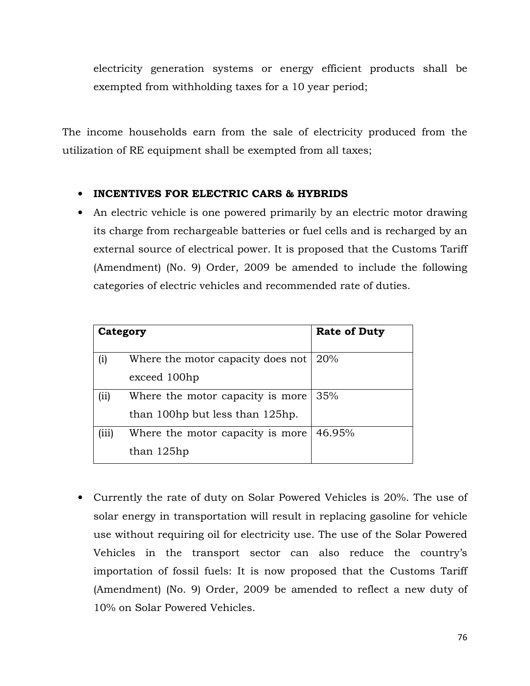electricity generation systems or energy efficient products shall be exempted from withholding taxes for a 10 year period;

The income households earn from the sale of electricity produced from the utilization of RE equipment shall be exempted from all taxes;

# • INCENTIVES FOR ELECTRIC CARS & HYBRIDS

• An electric vehicle is one powered primarily by an electric motor drawing its charge from rechargeable batteries or fuel cells and is recharged by an external source of electrical power. It is proposed that the Customs Tariff (Amendment) (No. 9) Order, 2009 be amended to include the following categories of electric vehicles and recommended rate of duties.

| Category |                                   | <b>Rate of Duty</b> |  |  |  |
|----------|-----------------------------------|---------------------|--|--|--|
| $\rm(i)$ | Where the motor capacity does not | 20%                 |  |  |  |
|          | exceed 100hp                      |                     |  |  |  |
| (i)      | Where the motor capacity is more  | 35%                 |  |  |  |
|          | than 100hp but less than 125hp.   |                     |  |  |  |
| (iii)    | Where the motor capacity is more  | 46.95%              |  |  |  |
|          | than 125hp                        |                     |  |  |  |

• Currently the rate of duty on Solar Powered Vehicles is 20%. The use of solar energy in transportation will result in replacing gasoline for vehicle use without requiring oil for electricity use. The use of the Solar Powered Vehicles in the transport sector can also reduce the country's importation of fossil fuels: It is now proposed that the Customs Tariff (Amendment) (No. 9) Order, 2009 be amended to reflect a new duty of 10% on Solar Powered Vehicles.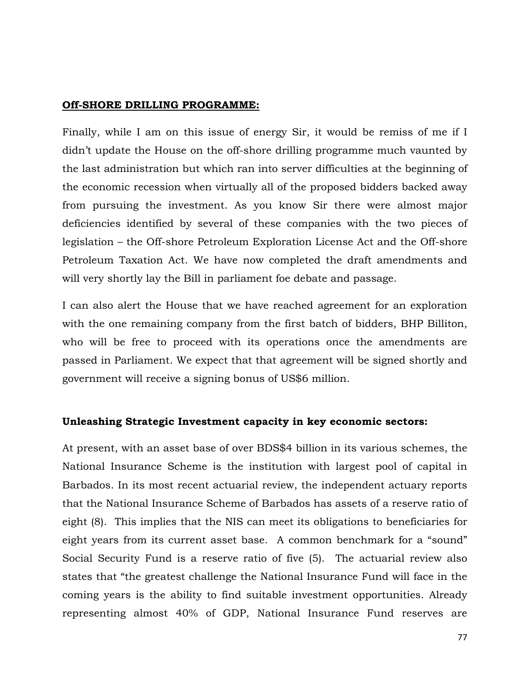## Off-SHORE DRILLING PROGRAMME:

Finally, while I am on this issue of energy Sir, it would be remiss of me if I didn't update the House on the off-shore drilling programme much vaunted by the last administration but which ran into server difficulties at the beginning of the economic recession when virtually all of the proposed bidders backed away from pursuing the investment. As you know Sir there were almost major deficiencies identified by several of these companies with the two pieces of legislation – the Off-shore Petroleum Exploration License Act and the Off-shore Petroleum Taxation Act. We have now completed the draft amendments and will very shortly lay the Bill in parliament foe debate and passage.

I can also alert the House that we have reached agreement for an exploration with the one remaining company from the first batch of bidders, BHP Billiton, who will be free to proceed with its operations once the amendments are passed in Parliament. We expect that that agreement will be signed shortly and government will receive a signing bonus of US\$6 million.

## Unleashing Strategic Investment capacity in key economic sectors:

At present, with an asset base of over BDS\$4 billion in its various schemes, the National Insurance Scheme is the institution with largest pool of capital in Barbados. In its most recent actuarial review, the independent actuary reports that the National Insurance Scheme of Barbados has assets of a reserve ratio of eight (8). This implies that the NIS can meet its obligations to beneficiaries for eight years from its current asset base. A common benchmark for a "sound" Social Security Fund is a reserve ratio of five (5). The actuarial review also states that "the greatest challenge the National Insurance Fund will face in the coming years is the ability to find suitable investment opportunities. Already representing almost 40% of GDP, National Insurance Fund reserves are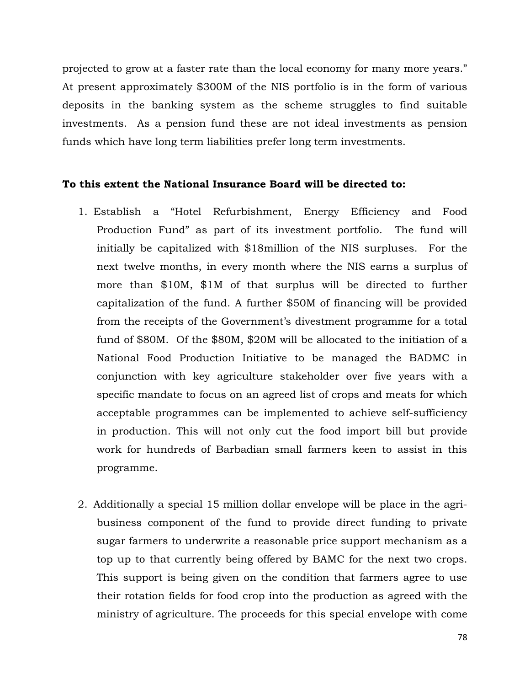projected to grow at a faster rate than the local economy for many more years." At present approximately \$300M of the NIS portfolio is in the form of various deposits in the banking system as the scheme struggles to find suitable investments. As a pension fund these are not ideal investments as pension funds which have long term liabilities prefer long term investments.

### To this extent the National Insurance Board will be directed to:

- 1. Establish a "Hotel Refurbishment, Energy Efficiency and Food Production Fund" as part of its investment portfolio. The fund will initially be capitalized with \$18million of the NIS surpluses. For the next twelve months, in every month where the NIS earns a surplus of more than \$10M, \$1M of that surplus will be directed to further capitalization of the fund. A further \$50M of financing will be provided from the receipts of the Government's divestment programme for a total fund of \$80M. Of the \$80M, \$20M will be allocated to the initiation of a National Food Production Initiative to be managed the BADMC in conjunction with key agriculture stakeholder over five years with a specific mandate to focus on an agreed list of crops and meats for which acceptable programmes can be implemented to achieve self-sufficiency in production. This will not only cut the food import bill but provide work for hundreds of Barbadian small farmers keen to assist in this programme.
- 2. Additionally a special 15 million dollar envelope will be place in the agribusiness component of the fund to provide direct funding to private sugar farmers to underwrite a reasonable price support mechanism as a top up to that currently being offered by BAMC for the next two crops. This support is being given on the condition that farmers agree to use their rotation fields for food crop into the production as agreed with the ministry of agriculture. The proceeds for this special envelope with come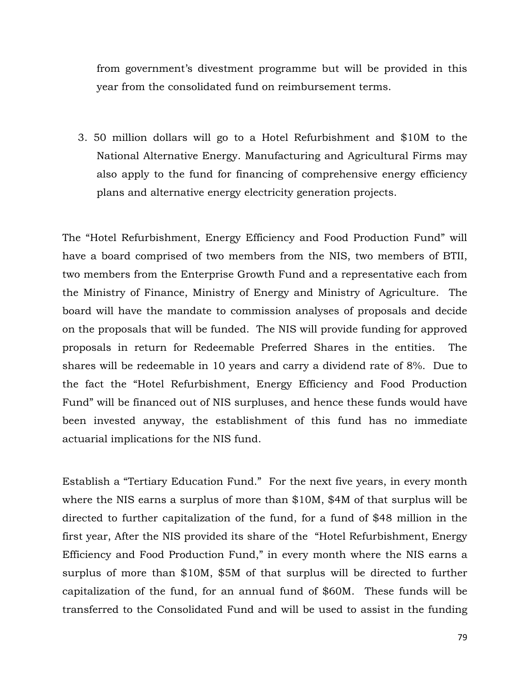from government's divestment programme but will be provided in this year from the consolidated fund on reimbursement terms.

3. 50 million dollars will go to a Hotel Refurbishment and \$10M to the National Alternative Energy. Manufacturing and Agricultural Firms may also apply to the fund for financing of comprehensive energy efficiency plans and alternative energy electricity generation projects.

The "Hotel Refurbishment, Energy Efficiency and Food Production Fund" will have a board comprised of two members from the NIS, two members of BTII, two members from the Enterprise Growth Fund and a representative each from the Ministry of Finance, Ministry of Energy and Ministry of Agriculture. The board will have the mandate to commission analyses of proposals and decide on the proposals that will be funded. The NIS will provide funding for approved proposals in return for Redeemable Preferred Shares in the entities. The shares will be redeemable in 10 years and carry a dividend rate of 8%. Due to the fact the "Hotel Refurbishment, Energy Efficiency and Food Production Fund" will be financed out of NIS surpluses, and hence these funds would have been invested anyway, the establishment of this fund has no immediate actuarial implications for the NIS fund.

Establish a "Tertiary Education Fund." For the next five years, in every month where the NIS earns a surplus of more than \$10M, \$4M of that surplus will be directed to further capitalization of the fund, for a fund of \$48 million in the first year, After the NIS provided its share of the "Hotel Refurbishment, Energy Efficiency and Food Production Fund," in every month where the NIS earns a surplus of more than \$10M, \$5M of that surplus will be directed to further capitalization of the fund, for an annual fund of \$60M. These funds will be transferred to the Consolidated Fund and will be used to assist in the funding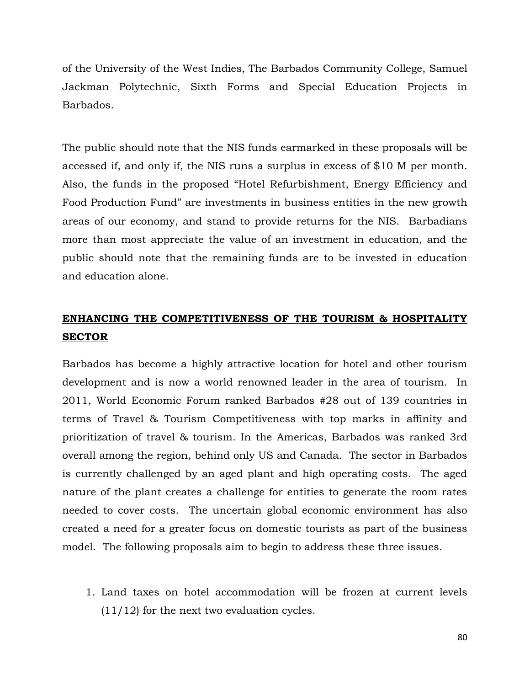of the University of the West Indies, The Barbados Community College, Samuel Jackman Polytechnic, Sixth Forms and Special Education Projects in Barbados.

The public should note that the NIS funds earmarked in these proposals will be accessed if, and only if, the NIS runs a surplus in excess of \$10 M per month. Also, the funds in the proposed "Hotel Refurbishment, Energy Efficiency and Food Production Fund" are investments in business entities in the new growth areas of our economy, and stand to provide returns for the NIS. Barbadians more than most appreciate the value of an investment in education, and the public should note that the remaining funds are to be invested in education and education alone.

# ENHANCING THE COMPETITIVENESS OF THE TOURISM & HOSPITALITY SECTOR

Barbados has become a highly attractive location for hotel and other tourism development and is now a world renowned leader in the area of tourism. In 2011, World Economic Forum ranked Barbados #28 out of 139 countries in terms of Travel & Tourism Competitiveness with top marks in affinity and prioritization of travel & tourism. In the Americas, Barbados was ranked 3rd overall among the region, behind only US and Canada. The sector in Barbados is currently challenged by an aged plant and high operating costs. The aged nature of the plant creates a challenge for entities to generate the room rates needed to cover costs. The uncertain global economic environment has also created a need for a greater focus on domestic tourists as part of the business model. The following proposals aim to begin to address these three issues.

1. Land taxes on hotel accommodation will be frozen at current levels (11/12) for the next two evaluation cycles.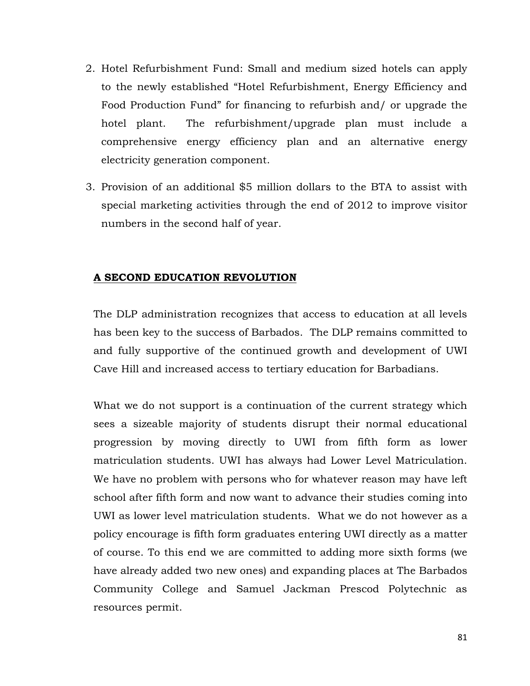- 2. Hotel Refurbishment Fund: Small and medium sized hotels can apply to the newly established "Hotel Refurbishment, Energy Efficiency and Food Production Fund" for financing to refurbish and/ or upgrade the hotel plant. The refurbishment/upgrade plan must include a comprehensive energy efficiency plan and an alternative energy electricity generation component.
- 3. Provision of an additional \$5 million dollars to the BTA to assist with special marketing activities through the end of 2012 to improve visitor numbers in the second half of year.

# A SECOND EDUCATION REVOLUTION

The DLP administration recognizes that access to education at all levels has been key to the success of Barbados. The DLP remains committed to and fully supportive of the continued growth and development of UWI Cave Hill and increased access to tertiary education for Barbadians.

What we do not support is a continuation of the current strategy which sees a sizeable majority of students disrupt their normal educational progression by moving directly to UWI from fifth form as lower matriculation students. UWI has always had Lower Level Matriculation. We have no problem with persons who for whatever reason may have left school after fifth form and now want to advance their studies coming into UWI as lower level matriculation students. What we do not however as a policy encourage is fifth form graduates entering UWI directly as a matter of course. To this end we are committed to adding more sixth forms (we have already added two new ones) and expanding places at The Barbados Community College and Samuel Jackman Prescod Polytechnic as resources permit.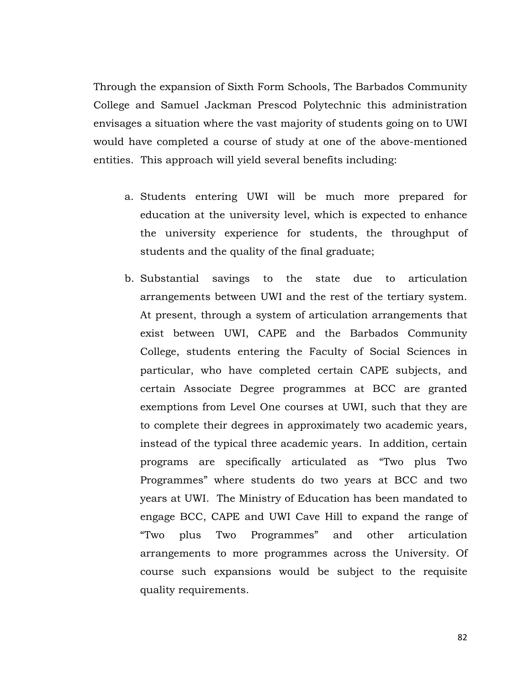Through the expansion of Sixth Form Schools, The Barbados Community College and Samuel Jackman Prescod Polytechnic this administration envisages a situation where the vast majority of students going on to UWI would have completed a course of study at one of the above-mentioned entities. This approach will yield several benefits including:

- a. Students entering UWI will be much more prepared for education at the university level, which is expected to enhance the university experience for students, the throughput of students and the quality of the final graduate;
- b. Substantial savings to the state due to articulation arrangements between UWI and the rest of the tertiary system. At present, through a system of articulation arrangements that exist between UWI, CAPE and the Barbados Community College, students entering the Faculty of Social Sciences in particular, who have completed certain CAPE subjects, and certain Associate Degree programmes at BCC are granted exemptions from Level One courses at UWI, such that they are to complete their degrees in approximately two academic years, instead of the typical three academic years. In addition, certain programs are specifically articulated as "Two plus Two Programmes" where students do two years at BCC and two years at UWI. The Ministry of Education has been mandated to engage BCC, CAPE and UWI Cave Hill to expand the range of "Two plus Two Programmes" and other articulation arrangements to more programmes across the University. Of course such expansions would be subject to the requisite quality requirements.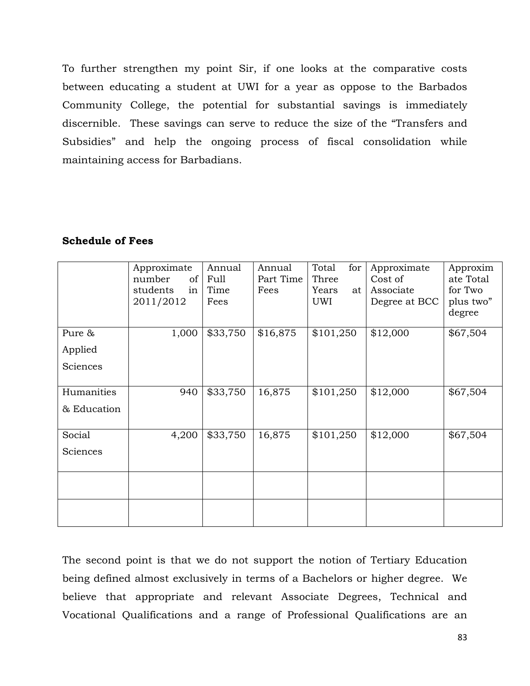To further strengthen my point Sir, if one looks at the comparative costs between educating a student at UWI for a year as oppose to the Barbados Community College, the potential for substantial savings is immediately discernible. These savings can serve to reduce the size of the "Transfers and Subsidies" and help the ongoing process of fiscal consolidation while maintaining access for Barbadians.

## Schedule of Fees

|             | Approximate    | Annual   | Annual    | for<br>Total | Approximate   | Approxim  |
|-------------|----------------|----------|-----------|--------------|---------------|-----------|
|             | number<br>of   | Full     | Part Time | Three        | Cost of       | ate Total |
|             | students<br>in | Time     | Fees      | Years<br>at  | Associate     | for Two   |
|             | 2011/2012      | Fees     |           | UWI          | Degree at BCC | plus two" |
|             |                |          |           |              |               | degree    |
| Pure &      | 1,000          | \$33,750 | \$16,875  | \$101,250    | \$12,000      | \$67,504  |
| Applied     |                |          |           |              |               |           |
| Sciences    |                |          |           |              |               |           |
|             |                |          |           |              |               |           |
| Humanities  | 940            | \$33,750 | 16,875    | \$101,250    | \$12,000      | \$67,504  |
| & Education |                |          |           |              |               |           |
|             |                |          |           |              |               |           |
| Social      | 4,200          | \$33,750 | 16,875    | \$101,250    | \$12,000      | \$67,504  |
| Sciences    |                |          |           |              |               |           |
|             |                |          |           |              |               |           |
|             |                |          |           |              |               |           |
|             |                |          |           |              |               |           |
|             |                |          |           |              |               |           |
|             |                |          |           |              |               |           |

The second point is that we do not support the notion of Tertiary Education being defined almost exclusively in terms of a Bachelors or higher degree. We believe that appropriate and relevant Associate Degrees, Technical and Vocational Qualifications and a range of Professional Qualifications are an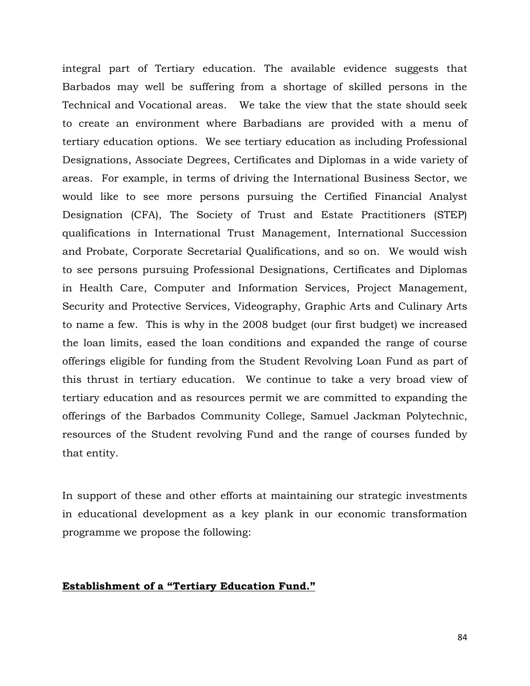integral part of Tertiary education. The available evidence suggests that Barbados may well be suffering from a shortage of skilled persons in the Technical and Vocational areas. We take the view that the state should seek to create an environment where Barbadians are provided with a menu of tertiary education options. We see tertiary education as including Professional Designations, Associate Degrees, Certificates and Diplomas in a wide variety of areas. For example, in terms of driving the International Business Sector, we would like to see more persons pursuing the Certified Financial Analyst Designation (CFA), The Society of Trust and Estate Practitioners (STEP) qualifications in International Trust Management, International Succession and Probate, Corporate Secretarial Qualifications, and so on. We would wish to see persons pursuing Professional Designations, Certificates and Diplomas in Health Care, Computer and Information Services, Project Management, Security and Protective Services, Videography, Graphic Arts and Culinary Arts to name a few. This is why in the 2008 budget (our first budget) we increased the loan limits, eased the loan conditions and expanded the range of course offerings eligible for funding from the Student Revolving Loan Fund as part of this thrust in tertiary education. We continue to take a very broad view of tertiary education and as resources permit we are committed to expanding the offerings of the Barbados Community College, Samuel Jackman Polytechnic, resources of the Student revolving Fund and the range of courses funded by that entity.

In support of these and other efforts at maintaining our strategic investments in educational development as a key plank in our economic transformation programme we propose the following:

## Establishment of a "Tertiary Education Fund."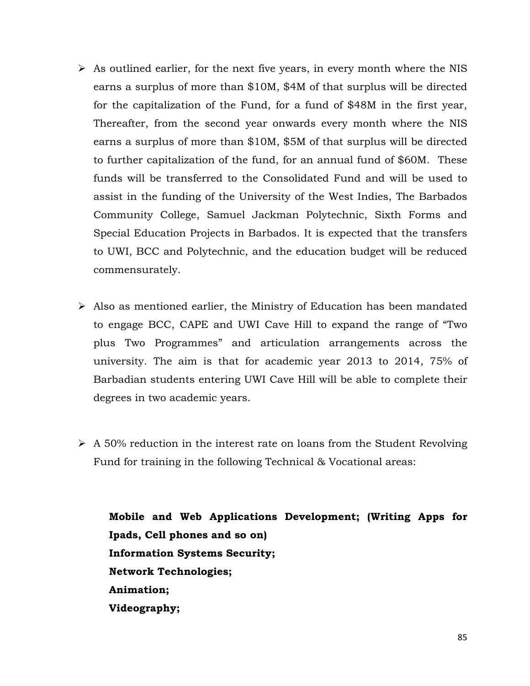- $\triangleright$  As outlined earlier, for the next five years, in every month where the NIS earns a surplus of more than \$10M, \$4M of that surplus will be directed for the capitalization of the Fund, for a fund of \$48M in the first year, Thereafter, from the second year onwards every month where the NIS earns a surplus of more than \$10M, \$5M of that surplus will be directed to further capitalization of the fund, for an annual fund of \$60M. These funds will be transferred to the Consolidated Fund and will be used to assist in the funding of the University of the West Indies, The Barbados Community College, Samuel Jackman Polytechnic, Sixth Forms and Special Education Projects in Barbados. It is expected that the transfers to UWI, BCC and Polytechnic, and the education budget will be reduced commensurately.
- $\triangleright$  Also as mentioned earlier, the Ministry of Education has been mandated to engage BCC, CAPE and UWI Cave Hill to expand the range of "Two plus Two Programmes" and articulation arrangements across the university. The aim is that for academic year 2013 to 2014, 75% of Barbadian students entering UWI Cave Hill will be able to complete their degrees in two academic years.
- $\triangleright$  A 50% reduction in the interest rate on loans from the Student Revolving Fund for training in the following Technical & Vocational areas:

Mobile and Web Applications Development; (Writing Apps for Ipads, Cell phones and so on) Information Systems Security; Network Technologies; Animation; Videography;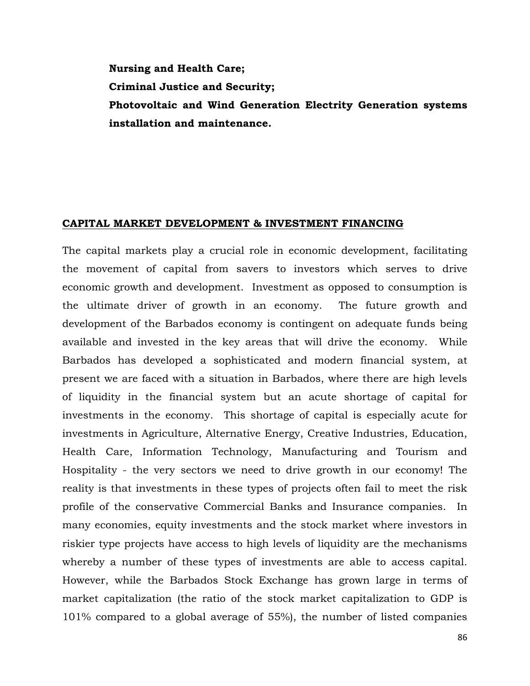Nursing and Health Care; Criminal Justice and Security; Photovoltaic and Wind Generation Electrity Generation systems installation and maintenance.

### CAPITAL MARKET DEVELOPMENT & INVESTMENT FINANCING

The capital markets play a crucial role in economic development, facilitating the movement of capital from savers to investors which serves to drive economic growth and development. Investment as opposed to consumption is the ultimate driver of growth in an economy. The future growth and development of the Barbados economy is contingent on adequate funds being available and invested in the key areas that will drive the economy. While Barbados has developed a sophisticated and modern financial system, at present we are faced with a situation in Barbados, where there are high levels of liquidity in the financial system but an acute shortage of capital for investments in the economy. This shortage of capital is especially acute for investments in Agriculture, Alternative Energy, Creative Industries, Education, Health Care, Information Technology, Manufacturing and Tourism and Hospitality - the very sectors we need to drive growth in our economy! The reality is that investments in these types of projects often fail to meet the risk profile of the conservative Commercial Banks and Insurance companies. In many economies, equity investments and the stock market where investors in riskier type projects have access to high levels of liquidity are the mechanisms whereby a number of these types of investments are able to access capital. However, while the Barbados Stock Exchange has grown large in terms of market capitalization (the ratio of the stock market capitalization to GDP is 101% compared to a global average of 55%), the number of listed companies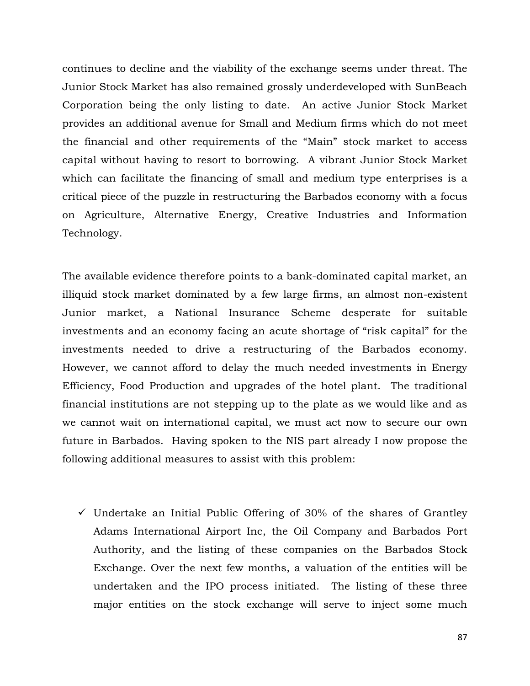continues to decline and the viability of the exchange seems under threat. The Junior Stock Market has also remained grossly underdeveloped with SunBeach Corporation being the only listing to date. An active Junior Stock Market provides an additional avenue for Small and Medium firms which do not meet the financial and other requirements of the "Main" stock market to access capital without having to resort to borrowing. A vibrant Junior Stock Market which can facilitate the financing of small and medium type enterprises is a critical piece of the puzzle in restructuring the Barbados economy with a focus on Agriculture, Alternative Energy, Creative Industries and Information Technology.

The available evidence therefore points to a bank-dominated capital market, an illiquid stock market dominated by a few large firms, an almost non-existent Junior market, a National Insurance Scheme desperate for suitable investments and an economy facing an acute shortage of "risk capital" for the investments needed to drive a restructuring of the Barbados economy. However, we cannot afford to delay the much needed investments in Energy Efficiency, Food Production and upgrades of the hotel plant. The traditional financial institutions are not stepping up to the plate as we would like and as we cannot wait on international capital, we must act now to secure our own future in Barbados. Having spoken to the NIS part already I now propose the following additional measures to assist with this problem:

 $\checkmark$  Undertake an Initial Public Offering of 30% of the shares of Grantley Adams International Airport Inc, the Oil Company and Barbados Port Authority, and the listing of these companies on the Barbados Stock Exchange. Over the next few months, a valuation of the entities will be undertaken and the IPO process initiated. The listing of these three major entities on the stock exchange will serve to inject some much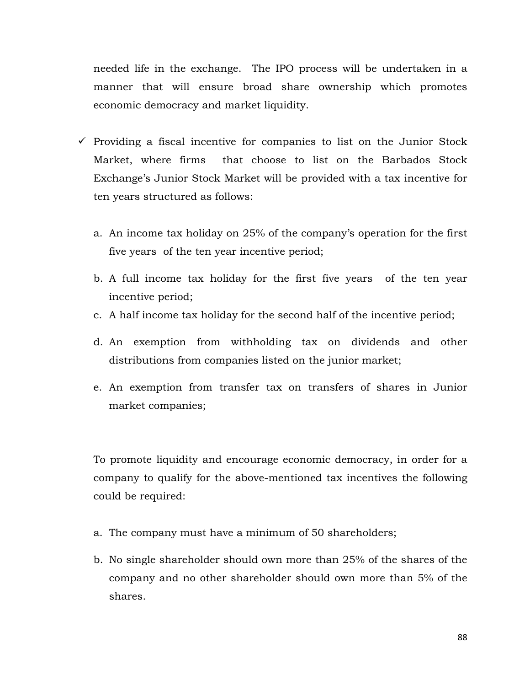needed life in the exchange. The IPO process will be undertaken in a manner that will ensure broad share ownership which promotes economic democracy and market liquidity.

- $\checkmark$  Providing a fiscal incentive for companies to list on the Junior Stock Market, where firms that choose to list on the Barbados Stock Exchange's Junior Stock Market will be provided with a tax incentive for ten years structured as follows:
	- a. An income tax holiday on 25% of the company's operation for the first five years of the ten year incentive period;
	- b. A full income tax holiday for the first five years of the ten year incentive period;
	- c. A half income tax holiday for the second half of the incentive period;
	- d. An exemption from withholding tax on dividends and other distributions from companies listed on the junior market;
	- e. An exemption from transfer tax on transfers of shares in Junior market companies;

To promote liquidity and encourage economic democracy, in order for a company to qualify for the above-mentioned tax incentives the following could be required:

- a. The company must have a minimum of 50 shareholders;
- b. No single shareholder should own more than 25% of the shares of the company and no other shareholder should own more than 5% of the shares.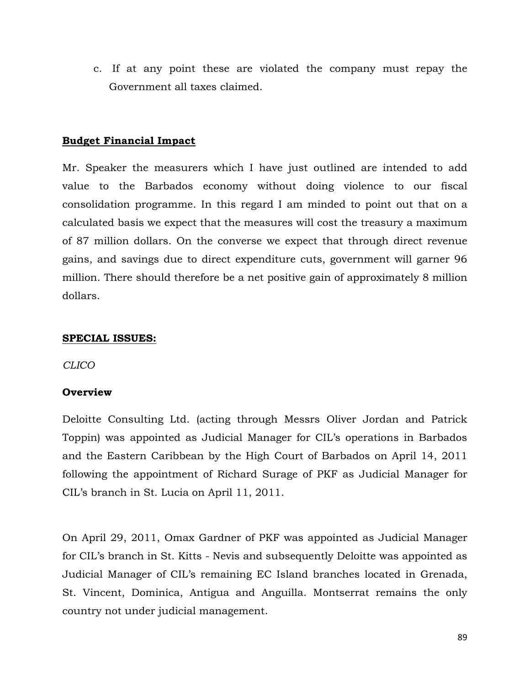c. If at any point these are violated the company must repay the Government all taxes claimed.

# Budget Financial Impact

Mr. Speaker the measurers which I have just outlined are intended to add value to the Barbados economy without doing violence to our fiscal consolidation programme. In this regard I am minded to point out that on a calculated basis we expect that the measures will cost the treasury a maximum of 87 million dollars. On the converse we expect that through direct revenue gains, and savings due to direct expenditure cuts, government will garner 96 million. There should therefore be a net positive gain of approximately 8 million dollars.

# SPECIAL ISSUES:

CLICO

# **Overview**

Deloitte Consulting Ltd. (acting through Messrs Oliver Jordan and Patrick Toppin) was appointed as Judicial Manager for CIL's operations in Barbados and the Eastern Caribbean by the High Court of Barbados on April 14, 2011 following the appointment of Richard Surage of PKF as Judicial Manager for CIL's branch in St. Lucia on April 11, 2011.

On April 29, 2011, Omax Gardner of PKF was appointed as Judicial Manager for CIL's branch in St. Kitts - Nevis and subsequently Deloitte was appointed as Judicial Manager of CIL's remaining EC Island branches located in Grenada, St. Vincent, Dominica, Antigua and Anguilla. Montserrat remains the only country not under judicial management.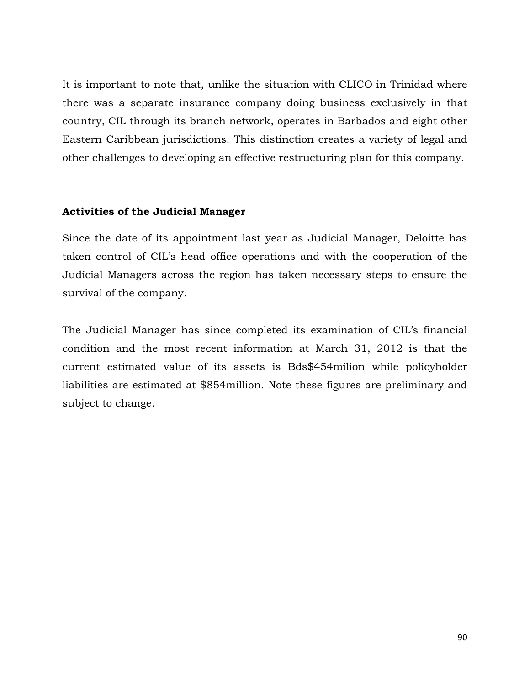It is important to note that, unlike the situation with CLICO in Trinidad where there was a separate insurance company doing business exclusively in that country, CIL through its branch network, operates in Barbados and eight other Eastern Caribbean jurisdictions. This distinction creates a variety of legal and other challenges to developing an effective restructuring plan for this company.

# Activities of the Judicial Manager

Since the date of its appointment last year as Judicial Manager, Deloitte has taken control of CIL's head office operations and with the cooperation of the Judicial Managers across the region has taken necessary steps to ensure the survival of the company.

The Judicial Manager has since completed its examination of CIL's financial condition and the most recent information at March 31, 2012 is that the current estimated value of its assets is Bds\$454milion while policyholder liabilities are estimated at \$854million. Note these figures are preliminary and subject to change.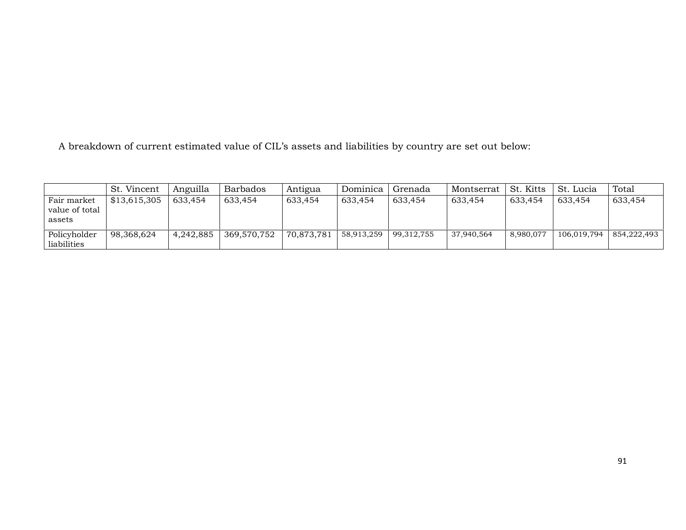A breakdown of current estimated value of CIL's assets and liabilities by country are set out below:

|                                         | St. Vincent  | Anguilla  | <b>Barbados</b> | Antigua    | Dominica   | Grenada    | Montserrat | St. Kitts | St. Lucia   | Total       |
|-----------------------------------------|--------------|-----------|-----------------|------------|------------|------------|------------|-----------|-------------|-------------|
| Fair market<br>value of total<br>assets | \$13.615.305 | 633.454   | 633,454         | 633,454    | 633.454    | 633,454    | 633,454    | 633,454   | 633.454     | 633,454     |
| Policyholder<br>liabilities             | 98.368.624   | 4,242,885 | 369,570,752     | 70,873,781 | 58,913,259 | 99,312,755 | 37,940,564 | 8,980,077 | 106,019,794 | 854.222.493 |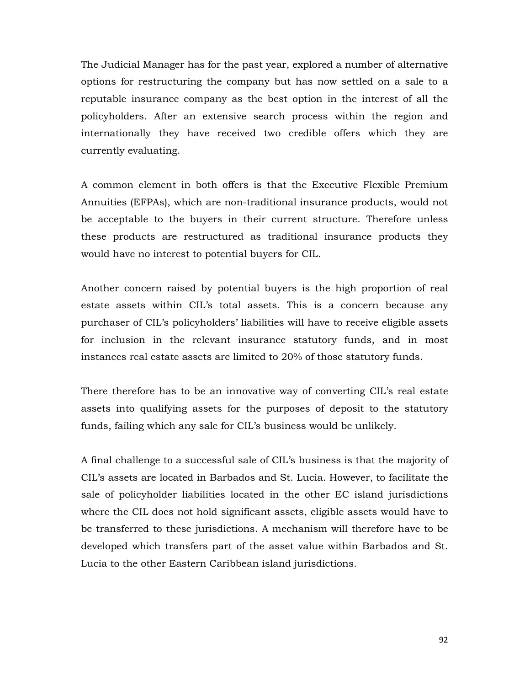The Judicial Manager has for the past year, explored a number of alternative options for restructuring the company but has now settled on a sale to a reputable insurance company as the best option in the interest of all the policyholders. After an extensive search process within the region and internationally they have received two credible offers which they are currently evaluating.

A common element in both offers is that the Executive Flexible Premium Annuities (EFPAs), which are non-traditional insurance products, would not be acceptable to the buyers in their current structure. Therefore unless these products are restructured as traditional insurance products they would have no interest to potential buyers for CIL.

Another concern raised by potential buyers is the high proportion of real estate assets within CIL's total assets. This is a concern because any purchaser of CIL's policyholders' liabilities will have to receive eligible assets for inclusion in the relevant insurance statutory funds, and in most instances real estate assets are limited to 20% of those statutory funds.

There therefore has to be an innovative way of converting CIL's real estate assets into qualifying assets for the purposes of deposit to the statutory funds, failing which any sale for CIL's business would be unlikely.

A final challenge to a successful sale of CIL's business is that the majority of CIL's assets are located in Barbados and St. Lucia. However, to facilitate the sale of policyholder liabilities located in the other EC island jurisdictions where the CIL does not hold significant assets, eligible assets would have to be transferred to these jurisdictions. A mechanism will therefore have to be developed which transfers part of the asset value within Barbados and St. Lucia to the other Eastern Caribbean island jurisdictions.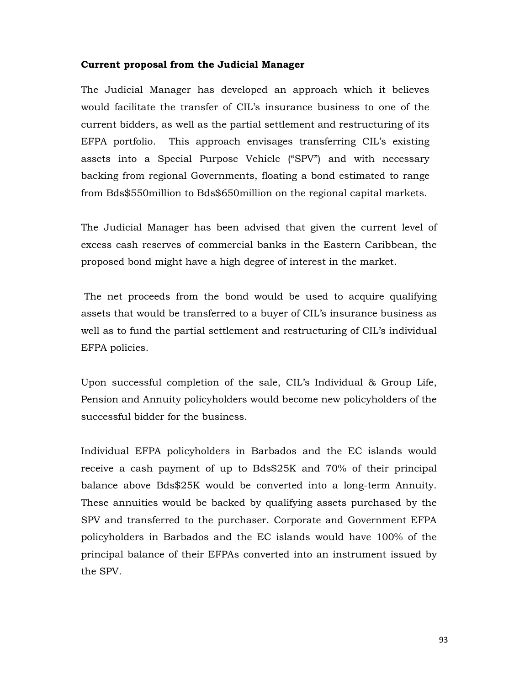#### Current proposal from the Judicial Manager

The Judicial Manager has developed an approach which it believes would facilitate the transfer of CIL's insurance business to one of the current bidders, as well as the partial settlement and restructuring of its EFPA portfolio. This approach envisages transferring CIL's existing assets into a Special Purpose Vehicle ("SPV") and with necessary backing from regional Governments, floating a bond estimated to range from Bds\$550million to Bds\$650million on the regional capital markets.

The Judicial Manager has been advised that given the current level of excess cash reserves of commercial banks in the Eastern Caribbean, the proposed bond might have a high degree of interest in the market.

 The net proceeds from the bond would be used to acquire qualifying assets that would be transferred to a buyer of CIL's insurance business as well as to fund the partial settlement and restructuring of CIL's individual EFPA policies.

Upon successful completion of the sale, CIL's Individual & Group Life, Pension and Annuity policyholders would become new policyholders of the successful bidder for the business.

Individual EFPA policyholders in Barbados and the EC islands would receive a cash payment of up to Bds\$25K and 70% of their principal balance above Bds\$25K would be converted into a long-term Annuity. These annuities would be backed by qualifying assets purchased by the SPV and transferred to the purchaser. Corporate and Government EFPA policyholders in Barbados and the EC islands would have 100% of the principal balance of their EFPAs converted into an instrument issued by the SPV.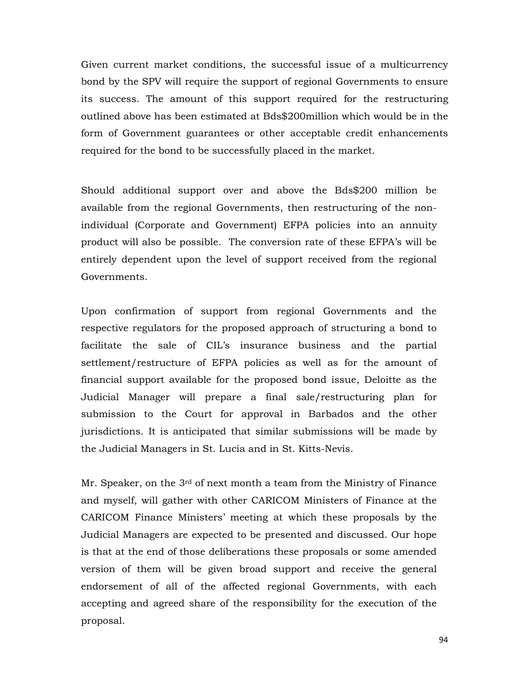Given current market conditions, the successful issue of a multicurrency bond by the SPV will require the support of regional Governments to ensure its success. The amount of this support required for the restructuring outlined above has been estimated at Bds\$200million which would be in the form of Government guarantees or other acceptable credit enhancements required for the bond to be successfully placed in the market.

Should additional support over and above the Bds\$200 million be available from the regional Governments, then restructuring of the nonindividual (Corporate and Government) EFPA policies into an annuity product will also be possible. The conversion rate of these EFPA's will be entirely dependent upon the level of support received from the regional Governments.

Upon confirmation of support from regional Governments and the respective regulators for the proposed approach of structuring a bond to facilitate the sale of CIL's insurance business and the partial settlement/restructure of EFPA policies as well as for the amount of financial support available for the proposed bond issue, Deloitte as the Judicial Manager will prepare a final sale/restructuring plan for submission to the Court for approval in Barbados and the other jurisdictions. It is anticipated that similar submissions will be made by the Judicial Managers in St. Lucia and in St. Kitts-Nevis.

Mr. Speaker, on the 3<sup>rd</sup> of next month a team from the Ministry of Finance and myself, will gather with other CARICOM Ministers of Finance at the CARICOM Finance Ministers' meeting at which these proposals by the Judicial Managers are expected to be presented and discussed. Our hope is that at the end of those deliberations these proposals or some amended version of them will be given broad support and receive the general endorsement of all of the affected regional Governments, with each accepting and agreed share of the responsibility for the execution of the proposal.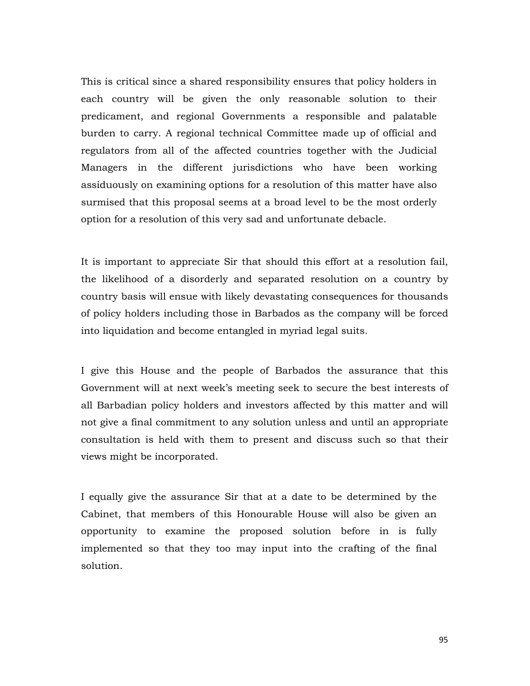This is critical since a shared responsibility ensures that policy holders in each country will be given the only reasonable solution to their predicament, and regional Governments a responsible and palatable burden to carry. A regional technical Committee made up of official and regulators from all of the affected countries together with the Judicial Managers in the different jurisdictions who have been working assiduously on examining options for a resolution of this matter have also surmised that this proposal seems at a broad level to be the most orderly option for a resolution of this very sad and unfortunate debacle.

It is important to appreciate Sir that should this effort at a resolution fail, the likelihood of a disorderly and separated resolution on a country by country basis will ensue with likely devastating consequences for thousands of policy holders including those in Barbados as the company will be forced into liquidation and become entangled in myriad legal suits.

I give this House and the people of Barbados the assurance that this Government will at next week's meeting seek to secure the best interests of all Barbadian policy holders and investors affected by this matter and will not give a final commitment to any solution unless and until an appropriate consultation is held with them to present and discuss such so that their views might be incorporated.

I equally give the assurance Sir that at a date to be determined by the Cabinet, that members of this Honourable House will also be given an opportunity to examine the proposed solution before in is fully implemented so that they too may input into the crafting of the final solution.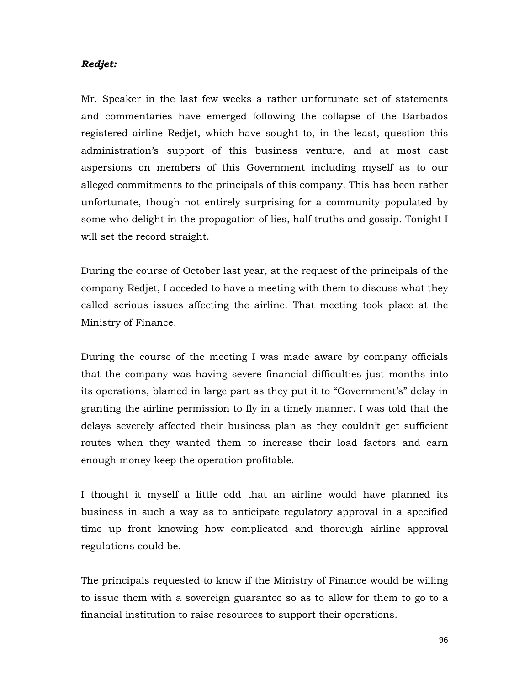### Redjet:

Mr. Speaker in the last few weeks a rather unfortunate set of statements and commentaries have emerged following the collapse of the Barbados registered airline Redjet, which have sought to, in the least, question this administration's support of this business venture, and at most cast aspersions on members of this Government including myself as to our alleged commitments to the principals of this company. This has been rather unfortunate, though not entirely surprising for a community populated by some who delight in the propagation of lies, half truths and gossip. Tonight I will set the record straight.

During the course of October last year, at the request of the principals of the company Redjet, I acceded to have a meeting with them to discuss what they called serious issues affecting the airline. That meeting took place at the Ministry of Finance.

During the course of the meeting I was made aware by company officials that the company was having severe financial difficulties just months into its operations, blamed in large part as they put it to "Government's" delay in granting the airline permission to fly in a timely manner. I was told that the delays severely affected their business plan as they couldn't get sufficient routes when they wanted them to increase their load factors and earn enough money keep the operation profitable.

I thought it myself a little odd that an airline would have planned its business in such a way as to anticipate regulatory approval in a specified time up front knowing how complicated and thorough airline approval regulations could be.

The principals requested to know if the Ministry of Finance would be willing to issue them with a sovereign guarantee so as to allow for them to go to a financial institution to raise resources to support their operations.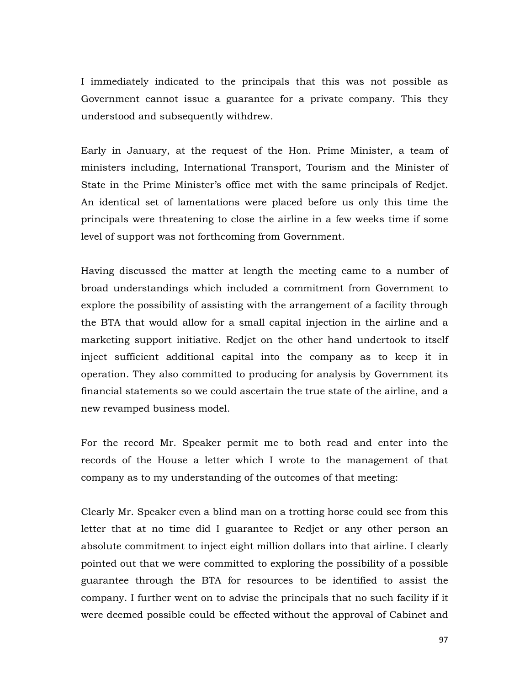I immediately indicated to the principals that this was not possible as Government cannot issue a guarantee for a private company. This they understood and subsequently withdrew.

Early in January, at the request of the Hon. Prime Minister, a team of ministers including, International Transport, Tourism and the Minister of State in the Prime Minister's office met with the same principals of Redjet. An identical set of lamentations were placed before us only this time the principals were threatening to close the airline in a few weeks time if some level of support was not forthcoming from Government.

Having discussed the matter at length the meeting came to a number of broad understandings which included a commitment from Government to explore the possibility of assisting with the arrangement of a facility through the BTA that would allow for a small capital injection in the airline and a marketing support initiative. Redjet on the other hand undertook to itself inject sufficient additional capital into the company as to keep it in operation. They also committed to producing for analysis by Government its financial statements so we could ascertain the true state of the airline, and a new revamped business model.

For the record Mr. Speaker permit me to both read and enter into the records of the House a letter which I wrote to the management of that company as to my understanding of the outcomes of that meeting:

Clearly Mr. Speaker even a blind man on a trotting horse could see from this letter that at no time did I guarantee to Redjet or any other person an absolute commitment to inject eight million dollars into that airline. I clearly pointed out that we were committed to exploring the possibility of a possible guarantee through the BTA for resources to be identified to assist the company. I further went on to advise the principals that no such facility if it were deemed possible could be effected without the approval of Cabinet and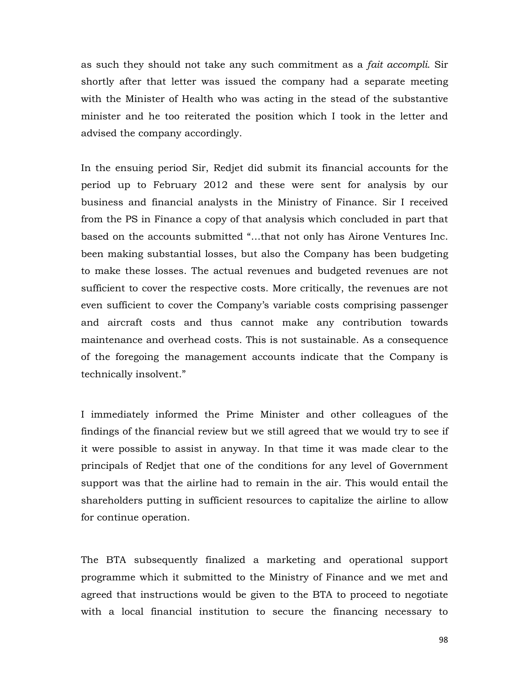as such they should not take any such commitment as a fait accompli. Sir shortly after that letter was issued the company had a separate meeting with the Minister of Health who was acting in the stead of the substantive minister and he too reiterated the position which I took in the letter and advised the company accordingly.

In the ensuing period Sir, Redjet did submit its financial accounts for the period up to February 2012 and these were sent for analysis by our business and financial analysts in the Ministry of Finance. Sir I received from the PS in Finance a copy of that analysis which concluded in part that based on the accounts submitted "…that not only has Airone Ventures Inc. been making substantial losses, but also the Company has been budgeting to make these losses. The actual revenues and budgeted revenues are not sufficient to cover the respective costs. More critically, the revenues are not even sufficient to cover the Company's variable costs comprising passenger and aircraft costs and thus cannot make any contribution towards maintenance and overhead costs. This is not sustainable. As a consequence of the foregoing the management accounts indicate that the Company is technically insolvent."

I immediately informed the Prime Minister and other colleagues of the findings of the financial review but we still agreed that we would try to see if it were possible to assist in anyway. In that time it was made clear to the principals of Redjet that one of the conditions for any level of Government support was that the airline had to remain in the air. This would entail the shareholders putting in sufficient resources to capitalize the airline to allow for continue operation.

The BTA subsequently finalized a marketing and operational support programme which it submitted to the Ministry of Finance and we met and agreed that instructions would be given to the BTA to proceed to negotiate with a local financial institution to secure the financing necessary to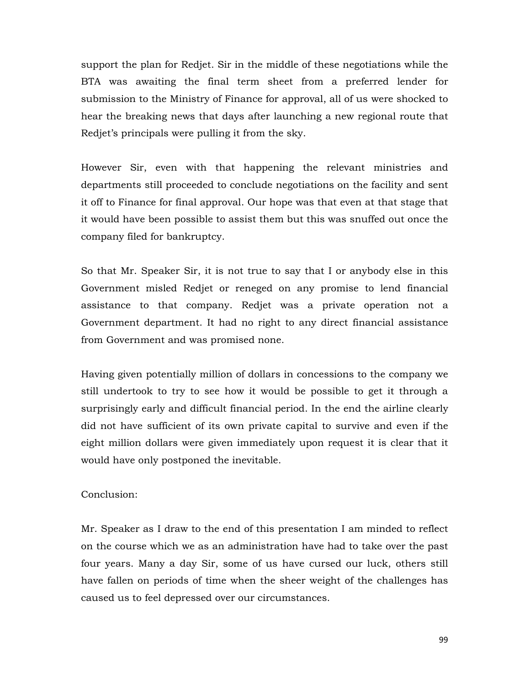support the plan for Redjet. Sir in the middle of these negotiations while the BTA was awaiting the final term sheet from a preferred lender for submission to the Ministry of Finance for approval, all of us were shocked to hear the breaking news that days after launching a new regional route that Redjet's principals were pulling it from the sky.

However Sir, even with that happening the relevant ministries and departments still proceeded to conclude negotiations on the facility and sent it off to Finance for final approval. Our hope was that even at that stage that it would have been possible to assist them but this was snuffed out once the company filed for bankruptcy.

So that Mr. Speaker Sir, it is not true to say that I or anybody else in this Government misled Redjet or reneged on any promise to lend financial assistance to that company. Redjet was a private operation not a Government department. It had no right to any direct financial assistance from Government and was promised none.

Having given potentially million of dollars in concessions to the company we still undertook to try to see how it would be possible to get it through a surprisingly early and difficult financial period. In the end the airline clearly did not have sufficient of its own private capital to survive and even if the eight million dollars were given immediately upon request it is clear that it would have only postponed the inevitable.

### Conclusion:

Mr. Speaker as I draw to the end of this presentation I am minded to reflect on the course which we as an administration have had to take over the past four years. Many a day Sir, some of us have cursed our luck, others still have fallen on periods of time when the sheer weight of the challenges has caused us to feel depressed over our circumstances.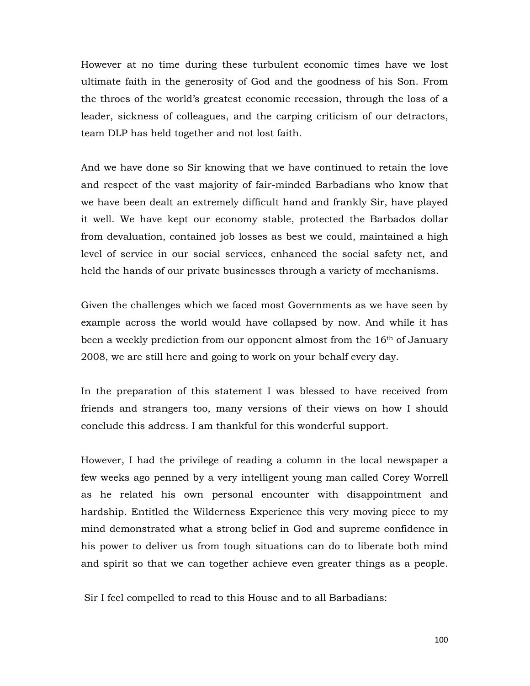However at no time during these turbulent economic times have we lost ultimate faith in the generosity of God and the goodness of his Son. From the throes of the world's greatest economic recession, through the loss of a leader, sickness of colleagues, and the carping criticism of our detractors, team DLP has held together and not lost faith.

And we have done so Sir knowing that we have continued to retain the love and respect of the vast majority of fair-minded Barbadians who know that we have been dealt an extremely difficult hand and frankly Sir, have played it well. We have kept our economy stable, protected the Barbados dollar from devaluation, contained job losses as best we could, maintained a high level of service in our social services, enhanced the social safety net, and held the hands of our private businesses through a variety of mechanisms.

Given the challenges which we faced most Governments as we have seen by example across the world would have collapsed by now. And while it has been a weekly prediction from our opponent almost from the 16<sup>th</sup> of January 2008, we are still here and going to work on your behalf every day.

In the preparation of this statement I was blessed to have received from friends and strangers too, many versions of their views on how I should conclude this address. I am thankful for this wonderful support.

However, I had the privilege of reading a column in the local newspaper a few weeks ago penned by a very intelligent young man called Corey Worrell as he related his own personal encounter with disappointment and hardship. Entitled the Wilderness Experience this very moving piece to my mind demonstrated what a strong belief in God and supreme confidence in his power to deliver us from tough situations can do to liberate both mind and spirit so that we can together achieve even greater things as a people.

Sir I feel compelled to read to this House and to all Barbadians: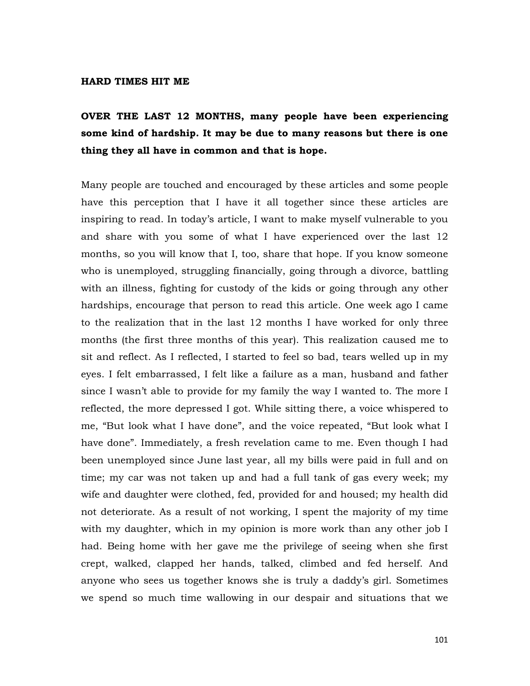#### HARD TIMES HIT ME

# OVER THE LAST 12 MONTHS, many people have been experiencing some kind of hardship. It may be due to many reasons but there is one thing they all have in common and that is hope.

Many people are touched and encouraged by these articles and some people have this perception that I have it all together since these articles are inspiring to read. In today's article, I want to make myself vulnerable to you and share with you some of what I have experienced over the last 12 months, so you will know that I, too, share that hope. If you know someone who is unemployed, struggling financially, going through a divorce, battling with an illness, fighting for custody of the kids or going through any other hardships, encourage that person to read this article. One week ago I came to the realization that in the last 12 months I have worked for only three months (the first three months of this year). This realization caused me to sit and reflect. As I reflected, I started to feel so bad, tears welled up in my eyes. I felt embarrassed, I felt like a failure as a man, husband and father since I wasn't able to provide for my family the way I wanted to. The more I reflected, the more depressed I got. While sitting there, a voice whispered to me, "But look what I have done", and the voice repeated, "But look what I have done". Immediately, a fresh revelation came to me. Even though I had been unemployed since June last year, all my bills were paid in full and on time; my car was not taken up and had a full tank of gas every week; my wife and daughter were clothed, fed, provided for and housed; my health did not deteriorate. As a result of not working, I spent the majority of my time with my daughter, which in my opinion is more work than any other job I had. Being home with her gave me the privilege of seeing when she first crept, walked, clapped her hands, talked, climbed and fed herself. And anyone who sees us together knows she is truly a daddy's girl. Sometimes we spend so much time wallowing in our despair and situations that we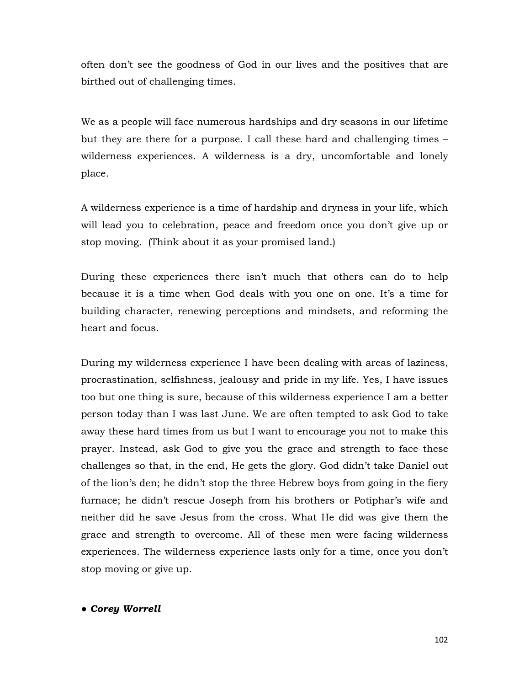often don't see the goodness of God in our lives and the positives that are birthed out of challenging times.

We as a people will face numerous hardships and dry seasons in our lifetime but they are there for a purpose. I call these hard and challenging times – wilderness experiences. A wilderness is a dry, uncomfortable and lonely place.

A wilderness experience is a time of hardship and dryness in your life, which will lead you to celebration, peace and freedom once you don't give up or stop moving. (Think about it as your promised land.)

During these experiences there isn't much that others can do to help because it is a time when God deals with you one on one. It's a time for building character, renewing perceptions and mindsets, and reforming the heart and focus.

During my wilderness experience I have been dealing with areas of laziness, procrastination, selfishness, jealousy and pride in my life. Yes, I have issues too but one thing is sure, because of this wilderness experience I am a better person today than I was last June. We are often tempted to ask God to take away these hard times from us but I want to encourage you not to make this prayer. Instead, ask God to give you the grace and strength to face these challenges so that, in the end, He gets the glory. God didn't take Daniel out of the lion's den; he didn't stop the three Hebrew boys from going in the fiery furnace; he didn't rescue Joseph from his brothers or Potiphar's wife and neither did he save Jesus from the cross. What He did was give them the grace and strength to overcome. All of these men were facing wilderness experiences. The wilderness experience lasts only for a time, once you don't stop moving or give up.

● Corey Worrell